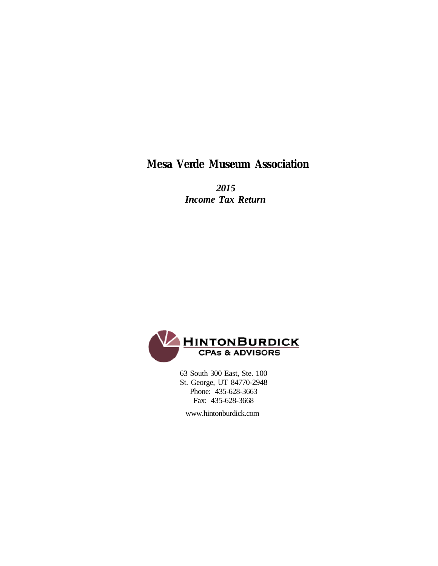## **Mesa Verde Museum Association**

 *2015 Income Tax Return*



 63 South 300 East, Ste. 100 St. George, UT 84770-2948 Phone: 435-628-3663 Fax: 435-628-3668

www.hintonburdick.com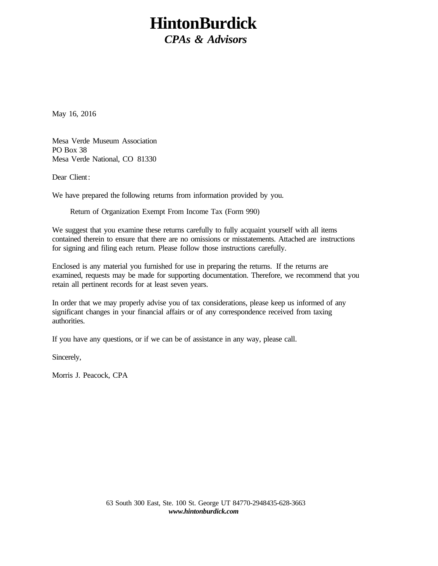# **HintonBurdick**

*CPAs & Advisors*

May 16, 2016

Mesa Verde Museum Association PO Box 38 Mesa Verde National, CO 81330

Dear Client:

We have prepared the following returns from information provided by you.

Return of Organization Exempt From Income Tax (Form 990)

We suggest that you examine these returns carefully to fully acquaint yourself with all items contained therein to ensure that there are no omissions or misstatements. Attached are instructions for signing and filing each return. Please follow those instructions carefully.

Enclosed is any material you furnished for use in preparing the returns. If the returns are examined, requests may be made for supporting documentation. Therefore, we recommend that you retain all pertinent records for at least seven years.

In order that we may properly advise you of tax considerations, please keep us informed of any significant changes in your financial affairs or of any correspondence received from taxing authorities.

If you have any questions, or if we can be of assistance in any way, please call.

Sincerely,

Morris J. Peacock, CPA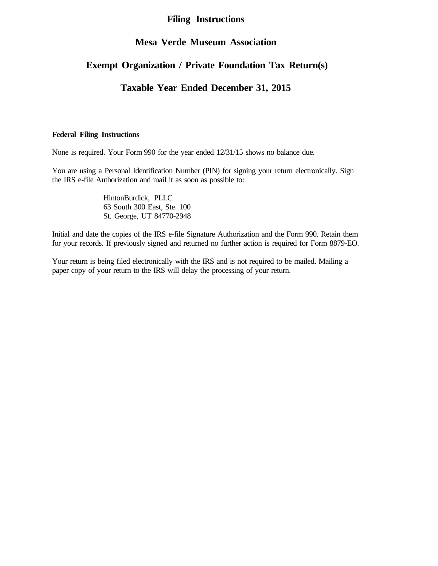### **Filing Instructions**

### **Mesa Verde Museum Association**

### **Exempt Organization / Private Foundation Tax Return(s)**

### **Taxable Year Ended December 31, 2015**

### **Federal Filing Instructions**

None is required. Your Form 990 for the year ended 12/31/15 shows no balance due.

You are using a Personal Identification Number (PIN) for signing your return electronically. Sign the IRS e-file Authorization and mail it as soon as possible to:

> HintonBurdick, PLLC 63 South 300 East, Ste. 100 St. George, UT 84770-2948

Initial and date the copies of the IRS e-file Signature Authorization and the Form 990. Retain them for your records. If previously signed and returned no further action is required for Form 8879-EO.

Your return is being filed electronically with the IRS and is not required to be mailed. Mailing a paper copy of your return to the IRS will delay the processing of your return.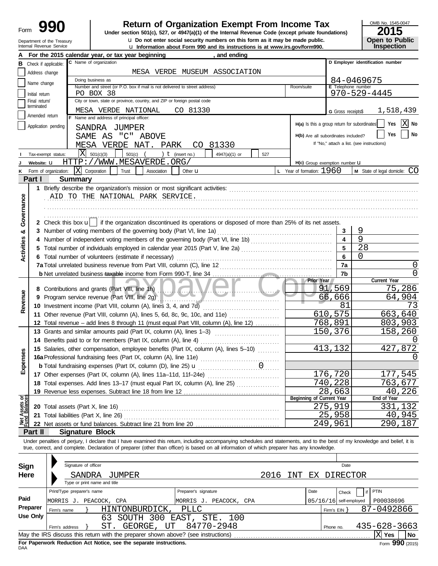| Form |                                                        |
|------|--------------------------------------------------------|
|      | Department of the Treasury<br>Internal Revenue Service |

u **Information about Form 990 and its instructions is at www.irs.gov/form990.** Internal Revenue Service **u** Do not enter social security numbers on this form as it may be made public. **Dumen The Public Open to Public 990 1990 2015**<br>
Under section 501(c), 527, or 4947(a)(1) of the Internal Revenue Code (except private foundations)

# OMB No. 1545-0047

| ----                                 |  |
|--------------------------------------|--|
|                                      |  |
| <b>Open to Public<br/>Inspection</b> |  |

|                                |                                 | For the 2015 calendar year, or tax year beginning                                                                                                                          | and ending                                 |                                              |                          |                                            |
|--------------------------------|---------------------------------|----------------------------------------------------------------------------------------------------------------------------------------------------------------------------|--------------------------------------------|----------------------------------------------|--------------------------|--------------------------------------------|
| в                              | Check if applicable:            | C Name of organization                                                                                                                                                     |                                            |                                              |                          | D Employer identification number           |
|                                | Address change                  |                                                                                                                                                                            | MESA VERDE MUSEUM ASSOCIATION              |                                              |                          |                                            |
|                                | Name change                     | Doing business as                                                                                                                                                          |                                            |                                              |                          | 84-0469675                                 |
|                                |                                 | Number and street (or P.O. box if mail is not delivered to street address)                                                                                                 |                                            | Room/suite                                   | E Telephone number       |                                            |
|                                | Initial return<br>Final return/ | PO BOX 38<br>City or town, state or province, country, and ZIP or foreign postal code                                                                                      |                                            |                                              |                          | $970 - 529 - 4445$                         |
|                                | terminated                      |                                                                                                                                                                            |                                            |                                              |                          |                                            |
|                                | Amended return                  | MESA VERDE NATIONAL<br>F Name and address of principal officer:                                                                                                            | CO 81330                                   |                                              | G Gross receipts\$       | 1,518,439                                  |
|                                | Application pending             |                                                                                                                                                                            |                                            | H(a) Is this a group return for subordinates |                          | ΙX<br>Yes<br>No                            |
|                                |                                 | SANDRA JUMPER                                                                                                                                                              |                                            |                                              |                          | No<br>Yes                                  |
|                                |                                 | SAME AS "C" ABOVE                                                                                                                                                          |                                            | H(b) Are all subordinates included?          |                          |                                            |
|                                |                                 | MESA VERDE NAT.<br>PARK                                                                                                                                                    | CO 81330                                   |                                              |                          | If "No," attach a list. (see instructions) |
|                                | Tax-exempt status:              | X<br>501(c)(3)<br>$501(c)$ (                                                                                                                                               | ) $t$ (insert no.)<br>4947(a)(1) or<br>527 |                                              |                          |                                            |
|                                | Website: U                      | HTTP://WWW.MESAVERDE.ORG/                                                                                                                                                  |                                            | H(c) Group exemption number LI               |                          |                                            |
| κ                              | Form of organization:           | $ \mathbf{X} $ Corporation<br>Trust<br>Association                                                                                                                         | Other <b>u</b>                             | <b>L</b> Year of formation: $1960$           |                          | M State of legal domicile: CO              |
|                                | Part I                          | <b>Summary</b>                                                                                                                                                             |                                            |                                              |                          |                                            |
|                                |                                 |                                                                                                                                                                            |                                            |                                              |                          |                                            |
|                                |                                 | AID TO THE NATIONAL PARK SERVICE.                                                                                                                                          |                                            |                                              |                          |                                            |
|                                |                                 |                                                                                                                                                                            |                                            |                                              |                          |                                            |
|                                |                                 |                                                                                                                                                                            |                                            |                                              |                          |                                            |
| Governance                     |                                 | 2 Check this box u   if the organization discontinued its operations or disposed of more than 25% of its net assets.                                                       |                                            |                                              |                          |                                            |
| න්                             |                                 | 3 Number of voting members of the governing body (Part VI, line 1a)                                                                                                        |                                            |                                              | 3                        | 9                                          |
|                                |                                 |                                                                                                                                                                            |                                            |                                              | $\overline{\mathbf{4}}$  | 9                                          |
|                                |                                 |                                                                                                                                                                            |                                            |                                              | 5                        | 28                                         |
| Activities                     |                                 | 6 Total number of volunteers (estimate if necessary)                                                                                                                       |                                            |                                              | 6                        | 0                                          |
|                                |                                 |                                                                                                                                                                            |                                            |                                              | 7a                       | 0                                          |
|                                |                                 |                                                                                                                                                                            |                                            |                                              | 7b                       | 0                                          |
|                                |                                 |                                                                                                                                                                            |                                            | Prior Year                                   |                          | Current Year                               |
|                                |                                 | 8 Contributions and grants (Part VIII, line 1h)                                                                                                                            | <b>And Marshall</b>                        |                                              | 91,569                   | 75,286                                     |
| Revenue                        | 9                               | Program service revenue (Part VIII, line 2g)                                                                                                                               |                                            |                                              | 66,666                   | 64,904                                     |
|                                |                                 | 10 Investment income (Part VIII, column (A), lines 3, 4, and 7d)                                                                                                           |                                            |                                              | 81                       | 73                                         |
|                                |                                 | 11 Other revenue (Part VIII, column (A), lines 5, 6d, 8c, 9c, 10c, and 11e)                                                                                                |                                            |                                              | 610, 575                 | 663,640                                    |
|                                |                                 | 12 Total revenue - add lines 8 through 11 (must equal Part VIII, column (A), line 12)                                                                                      |                                            |                                              | 768,891                  | 803,903                                    |
|                                |                                 | 13 Grants and similar amounts paid (Part IX, column (A), lines 1-3)                                                                                                        |                                            |                                              | 150,376                  | 158,260                                    |
|                                |                                 |                                                                                                                                                                            |                                            |                                              |                          |                                            |
|                                |                                 | 15 Salaries, other compensation, employee benefits (Part IX, column (A), lines 5-10)                                                                                       |                                            |                                              | 413,132                  | 427,872                                    |
|                                |                                 |                                                                                                                                                                            |                                            |                                              |                          |                                            |
| xpenses                        |                                 |                                                                                                                                                                            |                                            |                                              |                          |                                            |
|                                |                                 | 17 Other expenses (Part IX, column (A), lines 11a-11d, 11f-24e)                                                                                                            |                                            |                                              | 176, 720                 | 177,545                                    |
|                                |                                 | 18 Total expenses. Add lines 13-17 (must equal Part IX, column (A), line 25)                                                                                               |                                            |                                              | 740,228                  | 763,677                                    |
|                                |                                 |                                                                                                                                                                            |                                            |                                              | 28,663                   | 226<br>40                                  |
| Net Assets or<br>Fund Balances |                                 |                                                                                                                                                                            |                                            | Beginning of Current Year                    |                          | End of Year                                |
|                                |                                 | 20 Total assets (Part X, line 16)                                                                                                                                          |                                            |                                              | 275,919                  | 331,132                                    |
|                                |                                 | 21 Total liabilities (Part X, line 26)                                                                                                                                     |                                            |                                              | 25,958                   | 40,945                                     |
|                                |                                 |                                                                                                                                                                            |                                            |                                              | 249,961                  | 290,187                                    |
|                                | Part II                         | <b>Signature Block</b>                                                                                                                                                     |                                            |                                              |                          |                                            |
|                                |                                 | Under penalties of perjury, I declare that I have examined this return, including accompanying schedules and statements, and to the best of my knowledge and belief, it is |                                            |                                              |                          |                                            |
|                                |                                 | true, correct, and complete. Declaration of preparer (other than officer) is based on all information of which preparer has any knowledge.                                 |                                            |                                              |                          |                                            |
|                                |                                 |                                                                                                                                                                            |                                            |                                              |                          |                                            |
| Sign                           |                                 | Signature of officer                                                                                                                                                       |                                            |                                              | Date                     |                                            |
|                                | Here                            | SANDRA<br>JUMPER                                                                                                                                                           | 2016                                       | INT                                          | EX DIRECTOR              |                                            |
|                                |                                 | Type or print name and title                                                                                                                                               |                                            |                                              |                          |                                            |
|                                |                                 | Print/Type preparer's name                                                                                                                                                 | Preparer's signature                       | Date                                         | Check                    | PTIN                                       |
| Paid                           |                                 | MORRIS J. PEACOCK,<br>CPA                                                                                                                                                  | MORRIS J. PEACOCK, CPA                     |                                              | $05/16/16$ self-employed | P00038696                                  |
|                                | Preparer<br>Firm's name         | HINTONBURDICK,                                                                                                                                                             | <b>PLLC</b>                                |                                              | Firm's $EIN$ }           | 87-0492866                                 |
|                                | Use Only                        | SOUTH 300 EAST, STE.<br>63                                                                                                                                                 | 100                                        |                                              |                          |                                            |
|                                | Firm's address                  | ST.<br>UT<br>GEORGE,                                                                                                                                                       | 84770-2948                                 |                                              | Phone no.                | 435-628-3663                               |
|                                |                                 | May the IRS discuss this return with the preparer shown above? (see instructions)                                                                                          |                                            |                                              |                          | $\overline{\mathrm{X}}$ Yes<br>No          |

| Sign            |                            | Signature of officer         |     |                |                 |                                                                                   |              |      |     |      |                | Date                     |              |           |  |
|-----------------|----------------------------|------------------------------|-----|----------------|-----------------|-----------------------------------------------------------------------------------|--------------|------|-----|------|----------------|--------------------------|--------------|-----------|--|
| Here            |                            | SANDRA                       |     | JUMPER         |                 |                                                                                   |              | 2016 | NT. |      |                | EX DIRECTOR              |              |           |  |
|                 |                            | Type or print name and title |     |                |                 |                                                                                   |              |      |     |      |                |                          |              |           |  |
|                 | Print/Type preparer's name |                              |     |                |                 | Preparer's signature                                                              |              |      |     | Date |                | Check                    | PTIN         |           |  |
| Paid            | MORRIS J. PEACOCK, CPA     |                              |     |                |                 | MORRIS J.                                                                         | PEACOCK, CPA |      |     |      |                | $05/16/16$ self-employed | P00038696    |           |  |
| Preparer        | Firm's name                |                              |     | HINTONBURDICK, |                 | PLLC                                                                              |              |      |     |      | Firm's $EIN$ } |                          | 87-0492866   |           |  |
| <b>Use Only</b> |                            |                              | 63  |                | SOUTH 300 EAST, |                                                                                   | STE. 100     |      |     |      |                |                          |              |           |  |
|                 | Firm's address             |                              | ST. | GEORGE,        | UT              |                                                                                   | 84770-2948   |      |     |      | Phone no.      |                          | 435-628-3663 |           |  |
|                 |                            |                              |     |                |                 | May the IRS discuss this return with the preparer shown above? (see instructions) |              |      |     |      |                |                          | <b>Yes</b>   | <b>No</b> |  |
|                 |                            |                              |     |                |                 |                                                                                   |              |      |     |      |                |                          |              | $\cdots$  |  |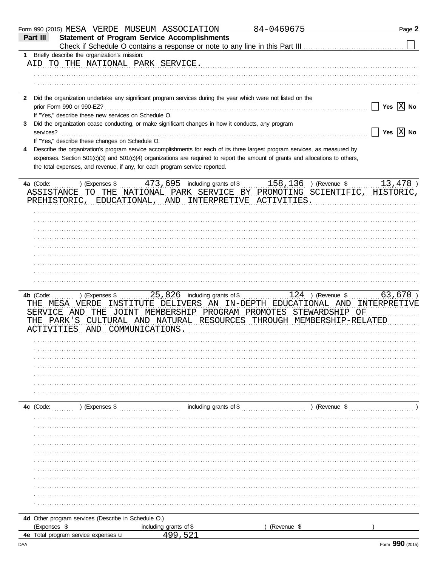|              | Form 990 (2015) MESA VERDE MUSEUM ASSOCIATION        |                                                                                                              | 84-0469675                                                                                                                     | Page 2                             |
|--------------|------------------------------------------------------|--------------------------------------------------------------------------------------------------------------|--------------------------------------------------------------------------------------------------------------------------------|------------------------------------|
| Part III     |                                                      | <b>Statement of Program Service Accomplishments</b>                                                          |                                                                                                                                |                                    |
|              |                                                      |                                                                                                              |                                                                                                                                |                                    |
| 1.           | Briefly describe the organization's mission:         |                                                                                                              |                                                                                                                                |                                    |
|              | AID TO THE NATIONAL PARK SERVICE.                    |                                                                                                              |                                                                                                                                |                                    |
|              |                                                      |                                                                                                              |                                                                                                                                |                                    |
|              |                                                      |                                                                                                              |                                                                                                                                |                                    |
|              |                                                      |                                                                                                              |                                                                                                                                |                                    |
|              |                                                      |                                                                                                              |                                                                                                                                |                                    |
| $\mathbf{2}$ |                                                      | Did the organization undertake any significant program services during the year which were not listed on the |                                                                                                                                |                                    |
|              | prior Form 990 or 990-EZ?                            |                                                                                                              |                                                                                                                                | $\Box$ Yes $\boxed{\mathrm{X}}$ No |
|              | If "Yes," describe these new services on Schedule O. |                                                                                                              |                                                                                                                                |                                    |
| 3            |                                                      | Did the organization cease conducting, or make significant changes in how it conducts, any program           |                                                                                                                                |                                    |
| services?    |                                                      |                                                                                                              |                                                                                                                                | $\Box$ Yes $\boxed{\mathrm{X}}$ No |
|              | If "Yes," describe these changes on Schedule O.      |                                                                                                              |                                                                                                                                |                                    |
| 4            |                                                      |                                                                                                              | Describe the organization's program service accomplishments for each of its three largest program services, as measured by     |                                    |
|              |                                                      |                                                                                                              | expenses. Section 501(c)(3) and 501(c)(4) organizations are required to report the amount of grants and allocations to others, |                                    |
|              |                                                      | the total expenses, and revenue, if any, for each program service reported.                                  |                                                                                                                                |                                    |
|              |                                                      |                                                                                                              |                                                                                                                                |                                    |
| 4a (Code:    | ) (Expenses \$                                       | 473,695 including grants of \$                                                                               | 158,136 ) (Revenue \$                                                                                                          | $13,478$ )                         |
|              |                                                      |                                                                                                              | ASSISTANCE TO THE NATIONAL PARK SERVICE BY PROMOTING SCIENTIFIC, HISTORIC,                                                     |                                    |
|              |                                                      | PREHISTORIC, EDUCATIONAL, AND INTERPRETIVE ACTIVITIES.                                                       |                                                                                                                                |                                    |
|              |                                                      |                                                                                                              |                                                                                                                                |                                    |
|              |                                                      |                                                                                                              |                                                                                                                                |                                    |
|              |                                                      |                                                                                                              |                                                                                                                                |                                    |
|              |                                                      |                                                                                                              |                                                                                                                                |                                    |
|              |                                                      |                                                                                                              |                                                                                                                                |                                    |
|              |                                                      |                                                                                                              |                                                                                                                                |                                    |
|              |                                                      |                                                                                                              |                                                                                                                                |                                    |
|              |                                                      |                                                                                                              |                                                                                                                                |                                    |
|              |                                                      |                                                                                                              |                                                                                                                                |                                    |
|              |                                                      |                                                                                                              |                                                                                                                                |                                    |
|              |                                                      |                                                                                                              |                                                                                                                                |                                    |
|              |                                                      |                                                                                                              |                                                                                                                                |                                    |
|              |                                                      |                                                                                                              |                                                                                                                                |                                    |
| 4b (Code:    | ) (Expenses \$                                       | $25,826$ including grants of \$                                                                              | $124$ ) (Revenue \$                                                                                                            |                                    |
|              | THE MESA VERDE                                       |                                                                                                              | INSTITUTE DELIVERS AN IN-DEPTH EDUCATIONAL AND INTERPRETIVE                                                                    |                                    |
|              |                                                      |                                                                                                              | SERVICE AND THE JOINT MEMBERSHIP PROGRAM PROMOTES STEWARDSHIP OF                                                               |                                    |
|              |                                                      |                                                                                                              | THE PARK'S CULTURAL AND NATURAL RESOURCES THROUGH MEMBERSHIP-RELATED                                                           |                                    |
|              | ACTIVITIES AND COMMUNICATIONS.                       |                                                                                                              |                                                                                                                                |                                    |
|              |                                                      |                                                                                                              |                                                                                                                                |                                    |
|              |                                                      |                                                                                                              |                                                                                                                                |                                    |
|              |                                                      |                                                                                                              |                                                                                                                                |                                    |
|              |                                                      |                                                                                                              |                                                                                                                                |                                    |
|              |                                                      |                                                                                                              |                                                                                                                                |                                    |
|              |                                                      |                                                                                                              |                                                                                                                                |                                    |
|              |                                                      |                                                                                                              |                                                                                                                                |                                    |
|              |                                                      |                                                                                                              |                                                                                                                                |                                    |
|              |                                                      |                                                                                                              |                                                                                                                                |                                    |
| 4c (Code:    |                                                      |                                                                                                              |                                                                                                                                |                                    |
|              |                                                      |                                                                                                              |                                                                                                                                |                                    |
|              |                                                      |                                                                                                              |                                                                                                                                |                                    |
|              |                                                      |                                                                                                              |                                                                                                                                |                                    |
|              |                                                      |                                                                                                              |                                                                                                                                |                                    |
|              |                                                      |                                                                                                              |                                                                                                                                |                                    |
|              |                                                      |                                                                                                              |                                                                                                                                |                                    |
|              |                                                      |                                                                                                              |                                                                                                                                |                                    |
|              |                                                      |                                                                                                              |                                                                                                                                |                                    |
|              |                                                      |                                                                                                              |                                                                                                                                |                                    |
|              |                                                      |                                                                                                              |                                                                                                                                |                                    |
|              |                                                      |                                                                                                              |                                                                                                                                |                                    |
|              |                                                      |                                                                                                              |                                                                                                                                | 63,670)                            |
|              |                                                      |                                                                                                              |                                                                                                                                |                                    |
|              | 4d Other program services (Describe in Schedule O.)  |                                                                                                              |                                                                                                                                |                                    |
| (Expenses \$ |                                                      | including grants of \$                                                                                       | (Revenue \$                                                                                                                    |                                    |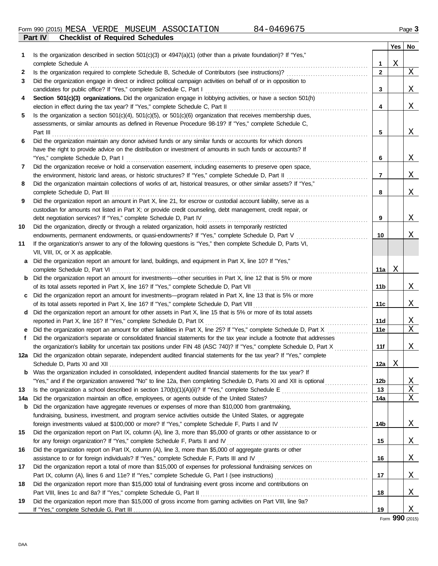**Part IV Checklist of Required Schedules** Form 990 (2015) Page **3** MESA VERDE MUSEUM ASSOCIATION 84-0469675

|     |                                                                                                                                                                                                           |                | Yes | No       |
|-----|-----------------------------------------------------------------------------------------------------------------------------------------------------------------------------------------------------------|----------------|-----|----------|
| 1   | Is the organization described in section 501(c)(3) or 4947(a)(1) (other than a private foundation)? If "Yes,"                                                                                             |                |     |          |
|     | complete Schedule A                                                                                                                                                                                       | 1              | Χ   |          |
| 2   | Is the organization required to complete Schedule B, Schedule of Contributors (see instructions)?                                                                                                         | $\overline{2}$ |     | $X_{-}$  |
| 3   | Did the organization engage in direct or indirect political campaign activities on behalf of or in opposition to                                                                                          |                |     |          |
|     |                                                                                                                                                                                                           | 3              |     | X        |
| 4   | Section 501(c)(3) organizations. Did the organization engage in lobbying activities, or have a section 501(h)                                                                                             |                |     |          |
|     |                                                                                                                                                                                                           | 4              |     | X        |
| 5   | Is the organization a section $501(c)(4)$ , $501(c)(5)$ , or $501(c)(6)$ organization that receives membership dues,                                                                                      |                |     |          |
|     | assessments, or similar amounts as defined in Revenue Procedure 98-19? If "Yes," complete Schedule C,                                                                                                     |                |     |          |
|     |                                                                                                                                                                                                           | 5              |     | <u>X</u> |
| 6   | Did the organization maintain any donor advised funds or any similar funds or accounts for which donors                                                                                                   |                |     |          |
|     | have the right to provide advice on the distribution or investment of amounts in such funds or accounts? If                                                                                               |                |     |          |
|     |                                                                                                                                                                                                           | 6              |     | <u>X</u> |
| 7   | Did the organization receive or hold a conservation easement, including easements to preserve open space,                                                                                                 |                |     |          |
|     |                                                                                                                                                                                                           | $\overline{7}$ |     | <u>X</u> |
| 8   | Did the organization maintain collections of works of art, historical treasures, or other similar assets? If "Yes,"                                                                                       |                |     |          |
|     |                                                                                                                                                                                                           | 8              |     | X        |
| 9   | Did the organization report an amount in Part X, line 21, for escrow or custodial account liability, serve as a                                                                                           |                |     |          |
|     | custodian for amounts not listed in Part X; or provide credit counseling, debt management, credit repair, or                                                                                              |                |     |          |
|     |                                                                                                                                                                                                           | 9              |     | X        |
| 10  | Did the organization, directly or through a related organization, hold assets in temporarily restricted                                                                                                   |                |     |          |
|     | endowments, permanent endowments, or quasi-endowments? If "Yes," complete Schedule D, Part V                                                                                                              | 10             |     | Χ        |
| 11  | If the organization's answer to any of the following questions is "Yes," then complete Schedule D, Parts VI,                                                                                              |                |     |          |
|     | VII, VIII, IX, or X as applicable.                                                                                                                                                                        |                |     |          |
| a   | Did the organization report an amount for land, buildings, and equipment in Part X, line 10? If "Yes,"                                                                                                    |                |     |          |
|     |                                                                                                                                                                                                           | 11a            | Χ   |          |
|     | <b>b</b> Did the organization report an amount for investments—other securities in Part X, line 12 that is 5% or more                                                                                     |                |     |          |
|     |                                                                                                                                                                                                           | 11b            |     | <u>X</u> |
|     | c Did the organization report an amount for investments—program related in Part X, line 13 that is 5% or more                                                                                             |                |     |          |
|     |                                                                                                                                                                                                           | 11c            |     | Χ        |
| d   | Did the organization report an amount for other assets in Part X, line 15 that is 5% or more of its total assets                                                                                          |                |     |          |
|     | reported in Part X, line 16? If "Yes," complete Schedule D, Part IX [11] match contains a contained in Part X, line 16? If "Yes," complete Schedule D, Part IX [11] match contains a contained in Part 3. | 11d            |     | X        |
| e.  | Did the organization report an amount for other liabilities in Part X, line 25? If "Yes," complete Schedule D, Part X                                                                                     | 11e            |     | Χ        |
| f.  | Did the organization's separate or consolidated financial statements for the tax year include a footnote that addresses                                                                                   |                |     |          |
|     | the organization's liability for uncertain tax positions under FIN 48 (ASC 740)? If "Yes," complete Schedule D, Part X                                                                                    | 11f            |     | Χ        |
|     | 12a Did the organization obtain separate, independent audited financial statements for the tax year? If "Yes," complete                                                                                   |                |     |          |
|     |                                                                                                                                                                                                           | 12a            | Χ   |          |
|     | Was the organization included in consolidated, independent audited financial statements for the tax year? If                                                                                              |                |     |          |
|     | "Yes," and if the organization answered "No" to line 12a, then completing Schedule D, Parts XI and XII is optional                                                                                        | 12b            |     | <u>X</u> |
| 13  |                                                                                                                                                                                                           | 13             |     | Χ        |
| 14a |                                                                                                                                                                                                           | 14a            |     | Χ        |
| b   | Did the organization have aggregate revenues or expenses of more than \$10,000 from grantmaking,                                                                                                          |                |     |          |
|     | fundraising, business, investment, and program service activities outside the United States, or aggregate                                                                                                 |                |     |          |
|     |                                                                                                                                                                                                           | 14b            |     | <u>X</u> |
| 15  | Did the organization report on Part IX, column (A), line 3, more than \$5,000 of grants or other assistance to or                                                                                         |                |     |          |
|     |                                                                                                                                                                                                           | 15             |     | <u>X</u> |
| 16  | Did the organization report on Part IX, column (A), line 3, more than \$5,000 of aggregate grants or other                                                                                                |                |     |          |
|     |                                                                                                                                                                                                           | 16             |     | <u>X</u> |
| 17  | Did the organization report a total of more than \$15,000 of expenses for professional fundraising services on                                                                                            |                |     |          |
|     |                                                                                                                                                                                                           | 17             |     | <u>X</u> |
| 18  | Did the organization report more than \$15,000 total of fundraising event gross income and contributions on                                                                                               |                |     |          |
|     |                                                                                                                                                                                                           | 18             |     | <u>X</u> |
| 19  | Did the organization report more than \$15,000 of gross income from gaming activities on Part VIII, line 9a?                                                                                              |                |     |          |
|     |                                                                                                                                                                                                           | 19             |     | X        |

Form **990** (2015)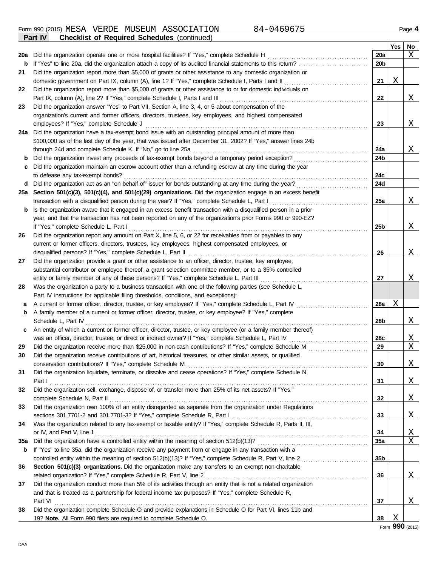Form 990 (2015) Page **4** MESA VERDE MUSEUM ASSOCIATION 84-0469675 **Part IV Checklist of Required Schedules** (continued)

|     |                                                                                                                                                                                                |                 | Yes | No.          |
|-----|------------------------------------------------------------------------------------------------------------------------------------------------------------------------------------------------|-----------------|-----|--------------|
| 20a | Did the organization operate one or more hospital facilities? If "Yes," complete Schedule H                                                                                                    | 20a             |     | Χ            |
| b   | If "Yes" to line 20a, did the organization attach a copy of its audited financial statements to this return?                                                                                   | 20 <sub>b</sub> |     |              |
| 21  | Did the organization report more than \$5,000 of grants or other assistance to any domestic organization or                                                                                    |                 |     |              |
|     |                                                                                                                                                                                                | 21              | Χ   |              |
| 22  | Did the organization report more than \$5,000 of grants or other assistance to or for domestic individuals on                                                                                  |                 |     |              |
|     | Part IX, column (A), line 2? If "Yes," complete Schedule I, Parts I and III                                                                                                                    | 22              |     | X            |
| 23  | Did the organization answer "Yes" to Part VII, Section A, line 3, 4, or 5 about compensation of the                                                                                            |                 |     |              |
|     | organization's current and former officers, directors, trustees, key employees, and highest compensated                                                                                        |                 |     |              |
|     | employees? If "Yes," complete Schedule J                                                                                                                                                       | 23              |     | Χ            |
| 24a | Did the organization have a tax-exempt bond issue with an outstanding principal amount of more than                                                                                            |                 |     |              |
|     | \$100,000 as of the last day of the year, that was issued after December 31, 2002? If "Yes," answer lines 24b                                                                                  |                 |     |              |
|     | through 24d and complete Schedule K. If "No," go to line 25a                                                                                                                                   | 24a             |     | X            |
| b   | Did the organization invest any proceeds of tax-exempt bonds beyond a temporary period exception?                                                                                              | 24 <sub>b</sub> |     |              |
| с   | Did the organization maintain an escrow account other than a refunding escrow at any time during the year                                                                                      |                 |     |              |
|     | to defease any tax-exempt bonds?                                                                                                                                                               | 24c             |     |              |
| d   | Did the organization act as an "on behalf of" issuer for bonds outstanding at any time during the year?                                                                                        | 24d             |     |              |
| 25a | Section 501(c)(3), 501(c)(4), and 501(c)(29) organizations. Did the organization engage in an excess benefit                                                                                   |                 |     |              |
|     | transaction with a disqualified person during the year? If "Yes," complete Schedule L, Part I                                                                                                  | 25a             |     | X            |
| b   | Is the organization aware that it engaged in an excess benefit transaction with a disqualified person in a prior                                                                               |                 |     |              |
|     | year, and that the transaction has not been reported on any of the organization's prior Forms 990 or 990-EZ?                                                                                   |                 |     |              |
|     | If "Yes," complete Schedule L, Part I                                                                                                                                                          | 25b             |     | Χ            |
| 26  | Did the organization report any amount on Part X, line 5, 6, or 22 for receivables from or payables to any                                                                                     |                 |     |              |
|     | current or former officers, directors, trustees, key employees, highest compensated employees, or                                                                                              |                 |     |              |
|     | disqualified persons? If "Yes," complete Schedule L, Part II                                                                                                                                   | 26              |     | Χ            |
| 27  | Did the organization provide a grant or other assistance to an officer, director, trustee, key employee,                                                                                       |                 |     |              |
|     | substantial contributor or employee thereof, a grant selection committee member, or to a 35% controlled                                                                                        |                 |     |              |
|     | entity or family member of any of these persons? If "Yes," complete Schedule L, Part III                                                                                                       | 27              |     | Χ            |
| 28  | Was the organization a party to a business transaction with one of the following parties (see Schedule L,                                                                                      |                 |     |              |
|     | Part IV instructions for applicable filing thresholds, conditions, and exceptions):<br>A current or former officer, director, trustee, or key employee? If "Yes," complete Schedule L, Part IV | <b>28a</b>      | Χ   |              |
| а   | A family member of a current or former officer, director, trustee, or key employee? If "Yes," complete                                                                                         |                 |     |              |
| b   | Schedule L, Part IV                                                                                                                                                                            | 28b             |     |              |
|     | An entity of which a current or former officer, director, trustee, or key employee (or a family member thereof)                                                                                |                 |     | Χ            |
| c   | was an officer, director, trustee, or direct or indirect owner? If "Yes," complete Schedule L, Part IV                                                                                         | 28c             |     | X            |
| 29  | Did the organization receive more than \$25,000 in non-cash contributions? If "Yes," complete Schedule M                                                                                       | 29              |     | X            |
| 30  | Did the organization receive contributions of art, historical treasures, or other similar assets, or qualified                                                                                 |                 |     |              |
|     | conservation contributions? If "Yes," complete Schedule M                                                                                                                                      | 30              |     | <u>X</u>     |
| 31  | Did the organization liquidate, terminate, or dissolve and cease operations? If "Yes," complete Schedule N,                                                                                    |                 |     |              |
|     |                                                                                                                                                                                                | 31              |     | <u>X</u>     |
| 32  | Did the organization sell, exchange, dispose of, or transfer more than 25% of its net assets? If "Yes,"                                                                                        |                 |     |              |
|     | complete Schedule N, Part II Mathematic Andrews Complete Schedule N, Part II Mathematic Andrews Complete Schedule N, Part II                                                                   | 32              |     | <u>X</u>     |
| 33  | Did the organization own 100% of an entity disregarded as separate from the organization under Regulations                                                                                     |                 |     |              |
|     |                                                                                                                                                                                                | 33              |     | <u>X</u>     |
| 34  | Was the organization related to any tax-exempt or taxable entity? If "Yes," complete Schedule R, Parts II, III,                                                                                |                 |     |              |
|     |                                                                                                                                                                                                | 34              |     | $\mathbf{X}$ |
| 35a |                                                                                                                                                                                                | <b>35a</b>      |     | X            |
| b   | If "Yes" to line 35a, did the organization receive any payment from or engage in any transaction with a                                                                                        |                 |     |              |
|     |                                                                                                                                                                                                | 35 <sub>b</sub> |     |              |
| 36  | Section 501(c)(3) organizations. Did the organization make any transfers to an exempt non-charitable                                                                                           |                 |     |              |
|     |                                                                                                                                                                                                | 36              |     | <u>X</u>     |
| 37  | Did the organization conduct more than 5% of its activities through an entity that is not a related organization                                                                               |                 |     |              |
|     | and that is treated as a partnership for federal income tax purposes? If "Yes," complete Schedule R,                                                                                           |                 |     |              |
|     |                                                                                                                                                                                                | 37              |     | Χ            |
| 38  | Did the organization complete Schedule O and provide explanations in Schedule O for Part VI, lines 11b and                                                                                     |                 |     |              |
|     | 19? Note. All Form 990 filers are required to complete Schedule O.                                                                                                                             | 38              | Χ   |              |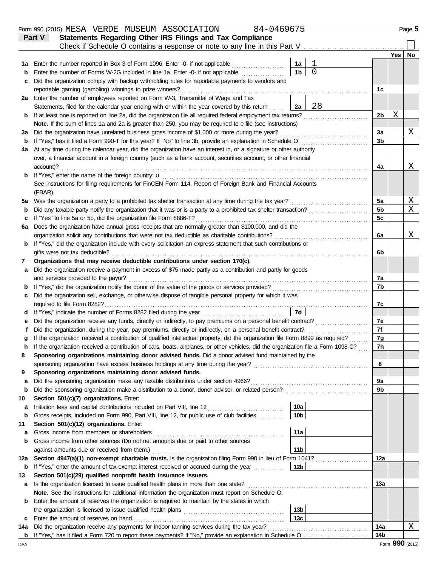|         | 84-0469675<br>Form 990 (2015) MESA VERDE MUSEUM ASSOCIATION                                                                                                                                                               |                 |          |                |     | Page 5                       |
|---------|---------------------------------------------------------------------------------------------------------------------------------------------------------------------------------------------------------------------------|-----------------|----------|----------------|-----|------------------------------|
|         | Statements Regarding Other IRS Filings and Tax Compliance<br><b>Part V</b>                                                                                                                                                |                 |          |                |     |                              |
|         | Check if Schedule O contains a response or note to any line in this Part V                                                                                                                                                |                 |          |                |     |                              |
|         |                                                                                                                                                                                                                           |                 |          |                | Yes | No                           |
| 1а      | Enter the number reported in Box 3 of Form 1096. Enter -0- if not applicable                                                                                                                                              | 1a              | 1        |                |     |                              |
| b       | Enter the number of Forms W-2G included in line 1a. Enter -0- if not applicable                                                                                                                                           | 1 <sub>b</sub>  | $\Omega$ |                |     |                              |
| c       | Did the organization comply with backup withholding rules for reportable payments to vendors and                                                                                                                          |                 |          |                |     |                              |
|         | reportable gaming (gambling) winnings to prize winners?                                                                                                                                                                   |                 |          | 1c             |     |                              |
|         | 2a Enter the number of employees reported on Form W-3, Transmittal of Wage and Tax                                                                                                                                        |                 |          |                |     |                              |
|         | Statements, filed for the calendar year ending with or within the year covered by this return                                                                                                                             | 2a              | 28       |                |     |                              |
| b       | If at least one is reported on line 2a, did the organization file all required federal employment tax returns?                                                                                                            |                 |          | 2b             | Χ   |                              |
|         | Note. If the sum of lines 1a and 2a is greater than 250, you may be required to e-file (see instructions)                                                                                                                 |                 |          |                |     |                              |
| За      | Did the organization have unrelated business gross income of \$1,000 or more during the year?                                                                                                                             |                 |          | 3a             |     | Χ                            |
| b       | If "Yes," has it filed a Form 990-T for this year? If "No" to line 3b, provide an explanation in Schedule O                                                                                                               |                 |          | 3 <sub>b</sub> |     |                              |
| 4a      | At any time during the calendar year, did the organization have an interest in, or a signature or other authority                                                                                                         |                 |          |                |     |                              |
|         | over, a financial account in a foreign country (such as a bank account, securities account, or other financial                                                                                                            |                 |          |                |     |                              |
|         | account)?                                                                                                                                                                                                                 |                 |          | 4a             |     | Χ                            |
| b       |                                                                                                                                                                                                                           |                 |          |                |     |                              |
|         | See instructions for filing requirements for FinCEN Form 114, Report of Foreign Bank and Financial Accounts                                                                                                               |                 |          |                |     |                              |
|         | (FBAR).                                                                                                                                                                                                                   |                 |          |                |     |                              |
| 5а      | Was the organization a party to a prohibited tax shelter transaction at any time during the tax year?<br>Did any taxable party notify the organization that it was or is a party to a prohibited tax shelter transaction? |                 |          | 5a<br>5b       |     | $\overline{\mathrm{X}}$<br>X |
| b       | If "Yes" to line 5a or 5b, did the organization file Form 8886-T?                                                                                                                                                         |                 |          | 5 <sub>c</sub> |     |                              |
| c<br>6а | Does the organization have annual gross receipts that are normally greater than \$100,000, and did the                                                                                                                    |                 |          |                |     |                              |
|         | organization solicit any contributions that were not tax deductible as charitable contributions?                                                                                                                          |                 |          | 6a             |     | Χ                            |
| b       | If "Yes," did the organization include with every solicitation an express statement that such contributions or                                                                                                            |                 |          |                |     |                              |
|         | gifts were not tax deductible?                                                                                                                                                                                            |                 |          | 6b             |     |                              |
| 7       | Organizations that may receive deductible contributions under section 170(c).                                                                                                                                             |                 |          |                |     |                              |
| а       | Did the organization receive a payment in excess of \$75 made partly as a contribution and partly for goods                                                                                                               |                 |          |                |     |                              |
|         | and services provided to the payor?                                                                                                                                                                                       |                 |          | 7a             |     |                              |
| b       |                                                                                                                                                                                                                           |                 |          | 7b             |     |                              |
| с       | Did the organization sell, exchange, or otherwise dispose of tangible personal property for which it was                                                                                                                  |                 |          |                |     |                              |
|         | required to file Form 8282?                                                                                                                                                                                               |                 |          | 7c             |     |                              |
| d       | If "Yes," indicate the number of Forms 8282 filed during the year                                                                                                                                                         | 7d              |          |                |     |                              |
| е       | Did the organization receive any funds, directly or indirectly, to pay premiums on a personal benefit contract?                                                                                                           |                 |          | 7e             |     |                              |
|         | Did the organization, during the year, pay premiums, directly or indirectly, on a personal benefit contract?                                                                                                              |                 |          | 7f             |     |                              |
|         | If the organization received a contribution of qualified intellectual property, did the organization file Form 8899 as required?                                                                                          |                 |          | 7g             |     |                              |
|         | If the organization received a contribution of cars, boats, airplanes, or other vehicles, did the organization file a Form 1098-C?                                                                                        |                 |          | 7h             |     |                              |
| 8       | Sponsoring organizations maintaining donor advised funds. Did a donor advised fund maintained by the                                                                                                                      |                 |          |                |     |                              |
|         |                                                                                                                                                                                                                           |                 |          | 8              |     |                              |
| 9       | Sponsoring organizations maintaining donor advised funds.                                                                                                                                                                 |                 |          |                |     |                              |
| a       | Did the sponsoring organization make any taxable distributions under section 4966?                                                                                                                                        |                 |          | 9а             |     |                              |
| b       |                                                                                                                                                                                                                           |                 |          | 9b             |     |                              |
| 10      | Section 501(c)(7) organizations. Enter:                                                                                                                                                                                   |                 |          |                |     |                              |
| а       | Initiation fees and capital contributions included on Part VIII, line 12 [11] [11] [12] [11] [12] [11] [12] [1                                                                                                            | 10a             |          |                |     |                              |
| b       | Gross receipts, included on Form 990, Part VIII, line 12, for public use of club facilities                                                                                                                               | 10 <sub>b</sub> |          |                |     |                              |
| 11      | Section 501(c)(12) organizations. Enter:                                                                                                                                                                                  |                 |          |                |     |                              |
| а       | Gross income from members or shareholders                                                                                                                                                                                 | 11a             |          |                |     |                              |
| b       | Gross income from other sources (Do not net amounts due or paid to other sources                                                                                                                                          |                 |          |                |     |                              |
|         | against amounts due or received from them.)                                                                                                                                                                               | 11 <sub>b</sub> |          |                |     |                              |
| 12a     | Section 4947(a)(1) non-exempt charitable trusts. Is the organization filing Form 990 in lieu of Form 1041?                                                                                                                |                 |          | 12a            |     |                              |
| b       | If "Yes," enter the amount of tax-exempt interest received or accrued during the year                                                                                                                                     | 12 <sub>b</sub> |          |                |     |                              |
| 13      | Section 501(c)(29) qualified nonprofit health insurance issuers.                                                                                                                                                          |                 |          |                |     |                              |
| a       | Is the organization licensed to issue qualified health plans in more than one state?                                                                                                                                      |                 |          | 13a            |     |                              |
|         | Note. See the instructions for additional information the organization must report on Schedule O.                                                                                                                         |                 |          |                |     |                              |
| b       | Enter the amount of reserves the organization is required to maintain by the states in which                                                                                                                              |                 |          |                |     |                              |
|         |                                                                                                                                                                                                                           | 13 <sub>b</sub> |          |                |     |                              |
| c       | Enter the amount of reserves on hand                                                                                                                                                                                      | 13 <sub>c</sub> |          |                |     |                              |
| 14a     | Did the organization receive any payments for indoor tanning services during the tax year?                                                                                                                                |                 |          | 14a<br>14b     |     | Χ                            |
|         |                                                                                                                                                                                                                           |                 |          |                |     |                              |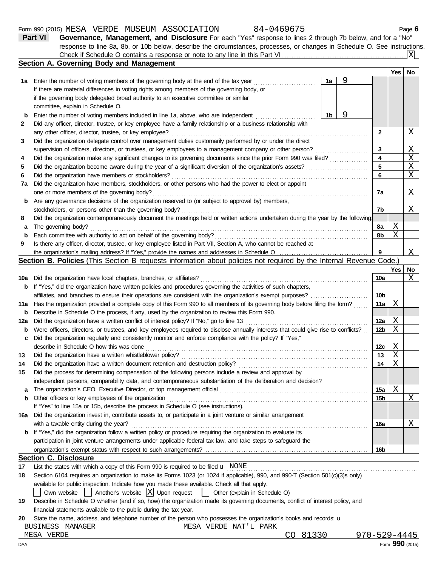|                                   | 84-0469675<br>Form 990 (2015) MESA VERDE MUSEUM ASSOCIATION                                                                                                                                                                     |                |                                       |                 |       | Page 6            |
|-----------------------------------|---------------------------------------------------------------------------------------------------------------------------------------------------------------------------------------------------------------------------------|----------------|---------------------------------------|-----------------|-------|-------------------|
|                                   | Governance, Management, and Disclosure For each "Yes" response to lines 2 through 7b below, and for a "No"<br>Part VI                                                                                                           |                |                                       |                 |       |                   |
|                                   | response to line 8a, 8b, or 10b below, describe the circumstances, processes, or changes in Schedule O. See instructions.                                                                                                       |                |                                       |                 |       |                   |
|                                   |                                                                                                                                                                                                                                 |                |                                       |                 |       | IXI               |
|                                   | Section A. Governing Body and Management                                                                                                                                                                                        |                |                                       |                 |       |                   |
|                                   |                                                                                                                                                                                                                                 |                |                                       |                 | Yes l | No                |
|                                   | 1a Enter the number of voting members of the governing body at the end of the tax year                                                                                                                                          | 1a             | 9                                     |                 |       |                   |
|                                   | If there are material differences in voting rights among members of the governing body, or                                                                                                                                      |                |                                       |                 |       |                   |
|                                   | if the governing body delegated broad authority to an executive committee or similar                                                                                                                                            |                |                                       |                 |       |                   |
|                                   | committee, explain in Schedule O.                                                                                                                                                                                               |                |                                       |                 |       |                   |
| b                                 | Enter the number of voting members included in line 1a, above, who are independent                                                                                                                                              | 1 <sub>b</sub> | 9                                     |                 |       |                   |
|                                   | Did any officer, director, trustee, or key employee have a family relationship or a business relationship with                                                                                                                  |                |                                       |                 |       |                   |
|                                   | any other officer, director, trustee, or key employee?                                                                                                                                                                          |                |                                       | 2               |       | Χ                 |
|                                   | Did the organization delegate control over management duties customarily performed by or under the direct                                                                                                                       |                |                                       |                 |       |                   |
|                                   | supervision of officers, directors, or trustees, or key employees to a management company or other person?                                                                                                                      |                | <u> 1966 - Johann Stoff, martin a</u> | 3               |       | $\mathbf{X}$      |
|                                   | Did the organization make any significant changes to its governing documents since the prior Form 990 was filed?                                                                                                                |                |                                       | 4               |       | $\mathbf X$       |
|                                   | Did the organization become aware during the year of a significant diversion of the organization's assets?                                                                                                                      |                |                                       | 5               |       | X                 |
|                                   | Did the organization have members or stockholders?                                                                                                                                                                              |                |                                       | 6               |       | $\mathbf X$       |
| 7a                                | Did the organization have members, stockholders, or other persons who had the power to elect or appoint                                                                                                                         |                |                                       |                 |       |                   |
|                                   | one or more members of the governing body?                                                                                                                                                                                      |                |                                       | 7a              |       | Χ                 |
| b                                 | Are any governance decisions of the organization reserved to (or subject to approval by) members,                                                                                                                               |                |                                       |                 |       |                   |
|                                   | stockholders, or persons other than the governing body?                                                                                                                                                                         |                |                                       | 7b              |       | Χ                 |
|                                   | Did the organization contemporaneously document the meetings held or written actions undertaken during the year by the following:                                                                                               |                |                                       |                 |       |                   |
| а                                 | The governing body?                                                                                                                                                                                                             |                |                                       | 8a              | Χ     |                   |
| b                                 | Each committee with authority to act on behalf of the governing body?                                                                                                                                                           |                |                                       | 8b              | X     |                   |
|                                   |                                                                                                                                                                                                                                 |                |                                       |                 |       |                   |
|                                   | Is there any officer, director, trustee, or key employee listed in Part VII, Section A, who cannot be reached at                                                                                                                |                |                                       |                 |       |                   |
|                                   |                                                                                                                                                                                                                                 |                |                                       | 9               |       |                   |
|                                   | Section B. Policies (This Section B requests information about policies not required by the Internal Revenue Code.)                                                                                                             |                |                                       |                 |       |                   |
|                                   |                                                                                                                                                                                                                                 |                |                                       |                 | Yes   |                   |
|                                   | Did the organization have local chapters, branches, or affiliates?                                                                                                                                                              |                |                                       | 10a             |       |                   |
|                                   | <b>b</b> If "Yes," did the organization have written policies and procedures governing the activities of such chapters,                                                                                                         |                |                                       |                 |       |                   |
|                                   | affiliates, and branches to ensure their operations are consistent with the organization's exempt purposes?                                                                                                                     |                |                                       | 10 <sub>b</sub> |       |                   |
|                                   | Has the organization provided a complete copy of this Form 990 to all members of its governing body before filing the form?                                                                                                     |                |                                       | 11a             | Χ     |                   |
|                                   | Describe in Schedule O the process, if any, used by the organization to review this Form 990.                                                                                                                                   |                |                                       |                 |       |                   |
|                                   | Did the organization have a written conflict of interest policy? If "No," go to line 13                                                                                                                                         |                |                                       | 12a             | Χ     |                   |
|                                   |                                                                                                                                                                                                                                 |                |                                       | 12 <sub>b</sub> | X     |                   |
|                                   | Were officers, directors, or trustees, and key employees required to disclose annually interests that could give rise to conflicts?                                                                                             |                |                                       |                 |       |                   |
|                                   | Did the organization regularly and consistently monitor and enforce compliance with the policy? If "Yes,"<br>describe in Schedule O how this was done                                                                           |                |                                       | 12с             |       |                   |
|                                   |                                                                                                                                                                                                                                 |                |                                       |                 | Χ     |                   |
|                                   | Did the organization have a written whistleblower policy?                                                                                                                                                                       |                |                                       | 13<br>14        | X     |                   |
|                                   | Did the organization have a written document retention and destruction policy?                                                                                                                                                  |                |                                       |                 | X     |                   |
| 10a<br>11a<br>b<br>12a<br>b<br>15 | Did the process for determining compensation of the following persons include a review and approval by                                                                                                                          |                |                                       |                 |       |                   |
|                                   | independent persons, comparability data, and contemporaneous substantiation of the deliberation and decision?                                                                                                                   |                |                                       |                 |       |                   |
| a                                 | The organization's CEO, Executive Director, or top management official                                                                                                                                                          |                |                                       | 15a             | X     |                   |
|                                   | Other officers or key employees of the organization                                                                                                                                                                             |                |                                       | 15 <sub>b</sub> |       |                   |
|                                   | If "Yes" to line 15a or 15b, describe the process in Schedule O (see instructions).                                                                                                                                             |                |                                       |                 |       |                   |
|                                   | Did the organization invest in, contribute assets to, or participate in a joint venture or similar arrangement                                                                                                                  |                |                                       |                 |       | Χ<br>No<br>Χ<br>X |
| b<br>16a                          | with a taxable entity during the year?                                                                                                                                                                                          |                |                                       | 16a             |       | Χ                 |
|                                   | <b>b</b> If "Yes," did the organization follow a written policy or procedure requiring the organization to evaluate its                                                                                                         |                |                                       |                 |       |                   |
|                                   | participation in joint venture arrangements under applicable federal tax law, and take steps to safeguard the                                                                                                                   |                |                                       |                 |       |                   |
|                                   |                                                                                                                                                                                                                                 |                |                                       | 16b             |       |                   |
|                                   | <b>Section C. Disclosure</b>                                                                                                                                                                                                    |                |                                       |                 |       |                   |
|                                   | List the states with which a copy of this Form 990 is required to be filed $\mathbf u$ NONE                                                                                                                                     |                |                                       |                 |       |                   |
|                                   | Section 6104 requires an organization to make its Forms 1023 (or 1024 if applicable), 990, and 990-T (Section 501(c)(3)s only)<br>available for public inspection. Indicate how you made these available. Check all that apply. |                |                                       |                 |       |                   |

| 19 Describe in Schedule O whether (and if so, how) the organization made its governing documents, conflict of interest policy, and |  |  |
|------------------------------------------------------------------------------------------------------------------------------------|--|--|
| financial statements available to the public during the tax year.                                                                  |  |  |

20 State the name, address, and telephone number of the person who possesses the organization's books and records: u BUSINESS MANAGER MESA VERDE NAT'L PARK MESA VERDE

CO 81330 970-529-4445<br>Form **990** (2015)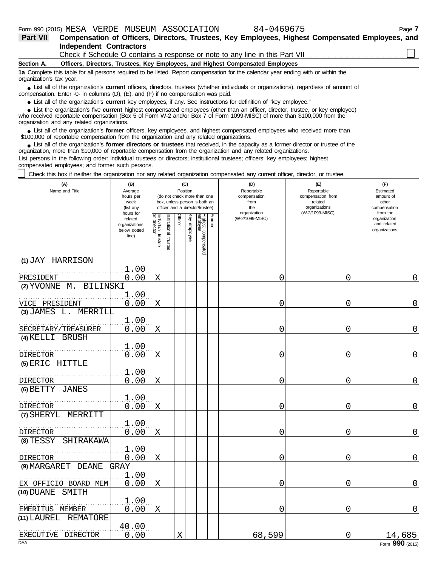| Part VII                 | Compensation of Officers, Directors, Trustees, Key Employees, Highest Compensated Employees, and                                                                                                                            |
|--------------------------|-----------------------------------------------------------------------------------------------------------------------------------------------------------------------------------------------------------------------------|
|                          | <b>Independent Contractors</b>                                                                                                                                                                                              |
|                          |                                                                                                                                                                                                                             |
| Section A.               | Officers, Directors, Trustees, Key Employees, and Highest Compensated Employees                                                                                                                                             |
| organization's tax year. | 1a Complete this table for all persons required to be listed. Report compensation for the calendar year ending with or within the                                                                                           |
|                          | • List all of the organization's current officers, directors, trustees (whether individuals or organizations), regardless of amount of<br>compensation. Enter -0- in columns (D), (E), and (F) if no compensation was paid. |

● List all of the organization's **current** key employees, if any. See instructions for definition of "key employee."

who received reportable compensation (Box 5 of Form W-2 and/or Box 7 of Form 1099-MISC) of more than \$100,000 from the organization and any related organizations. ■ List the organization's five **current** highest compensated employees (other than an officer, director, trustee, or key employee)<br> **•** precised repetable compensation (Box 5 of Ferm W-2 and/or Box 7 of Ferm 1000 MISC) of

■ List all of the organization's **former** officers, key employees, and highest compensated employees who received more than<br>00.000 of reportable compensation from the erganization and any related erganizations \$100,000 of reportable compensation from the organization and any related organizations.

■ List all of the organization's **former directors or trustees** that received, in the capacity as a former director or trustee of the<br>enization more than \$10,000 of reportable compensation from the organization and any re organization, more than \$10,000 of reportable compensation from the organization and any related organizations. List persons in the following order: individual trustees or directors; institutional trustees; officers; key employees; highest

compensated employees; and former such persons.

Check this box if neither the organization nor any related organization compensated any current officer, director, or trustee.

| (A)<br>Name and Title                 | (B)<br>Average<br>hours per<br>week<br>(list any               |                                   |                         |         | (C)<br>Position | (do not check more than one<br>box, unless person is both an<br>officer and a director/trustee) |        | (D)<br>Reportable<br>compensation<br>from<br>the | (E)<br>Reportable<br>compensation from<br>related<br>organizations | (F)<br>Estimated<br>amount of<br>other<br>compensation   |
|---------------------------------------|----------------------------------------------------------------|-----------------------------------|-------------------------|---------|-----------------|-------------------------------------------------------------------------------------------------|--------|--------------------------------------------------|--------------------------------------------------------------------|----------------------------------------------------------|
|                                       | hours for<br>related<br>organizations<br>below dotted<br>line) | Individual trustee<br>or director | nstitutional<br>trustee | Officer | Key employee    | Highest compensated<br>employee                                                                 | Former | organization<br>(W-2/1099-MISC)                  | (W-2/1099-MISC)                                                    | from the<br>organization<br>and related<br>organizations |
| (1) JAY HARRISON                      | 1.00                                                           |                                   |                         |         |                 |                                                                                                 |        |                                                  |                                                                    |                                                          |
| PRESIDENT                             | 0.00                                                           | X                                 |                         |         |                 |                                                                                                 |        | 0                                                | 0                                                                  | 0                                                        |
| $(2)$ YVONNE $M$ .<br><b>BILINSKI</b> |                                                                |                                   |                         |         |                 |                                                                                                 |        |                                                  |                                                                    |                                                          |
| VICE PRESIDENT                        | 1.00<br>0.00                                                   | $\mathbf X$                       |                         |         |                 |                                                                                                 |        | 0                                                | 0                                                                  | $\overline{0}$                                           |
| $(3)$ JAMES L. MERRILL                |                                                                |                                   |                         |         |                 |                                                                                                 |        |                                                  |                                                                    |                                                          |
| SECRETARY/TREASURER                   | 1.00<br>0.00                                                   | X                                 |                         |         |                 |                                                                                                 |        | 0                                                | 0                                                                  | 0                                                        |
| (4) KELLI BRUSH                       |                                                                |                                   |                         |         |                 |                                                                                                 |        |                                                  |                                                                    |                                                          |
| <b>DIRECTOR</b>                       | 1.00<br>0.00                                                   | $\mathbf X$                       |                         |         |                 |                                                                                                 |        | 0                                                | 0                                                                  | 0                                                        |
| (5) ERIC HITTLE                       |                                                                |                                   |                         |         |                 |                                                                                                 |        |                                                  |                                                                    |                                                          |
| DIRECTOR                              | 1.00<br>0.00                                                   | X                                 |                         |         |                 |                                                                                                 |        | 0                                                | 0                                                                  | 0                                                        |
| (6) BETTY JANES                       |                                                                |                                   |                         |         |                 |                                                                                                 |        |                                                  |                                                                    |                                                          |
| DIRECTOR                              | 1.00<br>0.00                                                   | X                                 |                         |         |                 |                                                                                                 |        | 0                                                | 0                                                                  | 0                                                        |
| (7) SHERYL<br>MERRITT                 |                                                                |                                   |                         |         |                 |                                                                                                 |        |                                                  |                                                                    |                                                          |
| <b>DIRECTOR</b>                       | 1.00<br>0.00                                                   | X                                 |                         |         |                 |                                                                                                 |        | 0                                                | 0                                                                  | 0                                                        |
| $(8)$ TESSY<br>SHIRAKAWA              |                                                                |                                   |                         |         |                 |                                                                                                 |        |                                                  |                                                                    |                                                          |
| <b>DIRECTOR</b>                       | 1.00<br>0.00                                                   | X                                 |                         |         |                 |                                                                                                 |        | 0                                                | 0                                                                  | 0                                                        |
| (9) MARGARET DEANE                    | GRAY                                                           |                                   |                         |         |                 |                                                                                                 |        |                                                  |                                                                    |                                                          |
| EX OFFICIO BOARD MEM                  | 1.00<br>0.00                                                   | X                                 |                         |         |                 |                                                                                                 |        | 0                                                | 0                                                                  | 0                                                        |
| (10) DUANE<br>SMITH                   |                                                                |                                   |                         |         |                 |                                                                                                 |        |                                                  |                                                                    |                                                          |
| EMERITUS MEMBER                       | 1.00<br>0.00                                                   | X                                 |                         |         |                 |                                                                                                 |        | 0                                                | 0                                                                  | 0                                                        |
| (11) LAUREL<br><b>REMATORE</b>        | 40.00                                                          |                                   |                         |         |                 |                                                                                                 |        |                                                  |                                                                    |                                                          |
| EXECUTIVE DIRECTOR<br><b>DAA</b>      | 0.00                                                           |                                   |                         | X       |                 |                                                                                                 |        | 68,599                                           | 0                                                                  | 14,685<br>Form 990 (2015)                                |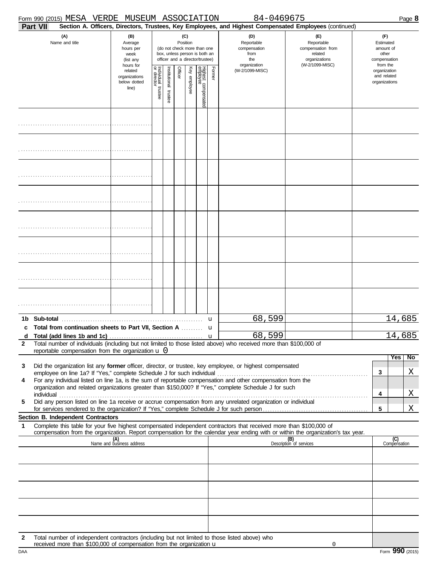|              |          | Form 990 (2015) MESA VERDE MUSEUM ASSOCIATION                                   |                                                               |                                        |                      |         |                 |                                                                                                 |        | 84-0469675                                                                                                                                                                                                                                                                                                                                      |                                                                                       |                                                                    | Page 8              |
|--------------|----------|---------------------------------------------------------------------------------|---------------------------------------------------------------|----------------------------------------|----------------------|---------|-----------------|-------------------------------------------------------------------------------------------------|--------|-------------------------------------------------------------------------------------------------------------------------------------------------------------------------------------------------------------------------------------------------------------------------------------------------------------------------------------------------|---------------------------------------------------------------------------------------|--------------------------------------------------------------------|---------------------|
|              | Part VII |                                                                                 |                                                               |                                        |                      |         |                 |                                                                                                 |        | Section A. Officers, Directors, Trustees, Key Employees, and Highest Compensated Employees (continued)                                                                                                                                                                                                                                          |                                                                                       |                                                                    |                     |
|              |          | (A)<br>Name and title                                                           | (B)<br>Average<br>hours per<br>week<br>(list any<br>hours for |                                        |                      |         | (C)<br>Position | (do not check more than one<br>box, unless person is both an<br>officer and a director/trustee) |        | (D)<br>Reportable<br>compensation<br>from<br>the<br>organization                                                                                                                                                                                                                                                                                | (F)<br>Reportable<br>compensation from<br>related<br>organizations<br>(W-2/1099-MISC) | (F)<br>Estimated<br>amount of<br>other<br>compensation<br>from the |                     |
|              |          |                                                                                 | related<br>organizations<br>below dotted<br>line)             | Individual 1<br>or director<br>trustee | nstitutional trustee | Officer | Key employee    | Highest compensated<br>employee                                                                 | Former | (W-2/1099-MISC)                                                                                                                                                                                                                                                                                                                                 |                                                                                       | organization<br>and related<br>organizations                       |                     |
|              |          |                                                                                 |                                                               |                                        |                      |         |                 |                                                                                                 |        |                                                                                                                                                                                                                                                                                                                                                 |                                                                                       |                                                                    |                     |
|              |          |                                                                                 |                                                               |                                        |                      |         |                 |                                                                                                 |        |                                                                                                                                                                                                                                                                                                                                                 |                                                                                       |                                                                    |                     |
|              |          |                                                                                 |                                                               |                                        |                      |         |                 |                                                                                                 |        |                                                                                                                                                                                                                                                                                                                                                 |                                                                                       |                                                                    |                     |
|              |          |                                                                                 |                                                               |                                        |                      |         |                 |                                                                                                 |        |                                                                                                                                                                                                                                                                                                                                                 |                                                                                       |                                                                    |                     |
|              |          |                                                                                 |                                                               |                                        |                      |         |                 |                                                                                                 |        |                                                                                                                                                                                                                                                                                                                                                 |                                                                                       |                                                                    |                     |
|              |          |                                                                                 |                                                               |                                        |                      |         |                 |                                                                                                 |        |                                                                                                                                                                                                                                                                                                                                                 |                                                                                       |                                                                    |                     |
|              |          |                                                                                 |                                                               |                                        |                      |         |                 |                                                                                                 |        |                                                                                                                                                                                                                                                                                                                                                 |                                                                                       |                                                                    |                     |
|              |          |                                                                                 |                                                               |                                        |                      |         |                 |                                                                                                 |        |                                                                                                                                                                                                                                                                                                                                                 |                                                                                       |                                                                    |                     |
| c            |          | Total from continuation sheets to Part VII, Section A  u                        |                                                               |                                        |                      |         |                 |                                                                                                 |        | 68,599                                                                                                                                                                                                                                                                                                                                          |                                                                                       |                                                                    | 14,685              |
| $\mathbf{2}$ |          | reportable compensation from the organization $\mathbf u$ $0$                   |                                                               |                                        |                      |         |                 |                                                                                                 |        | 68,599<br>Total number of individuals (including but not limited to those listed above) who received more than \$100,000 of                                                                                                                                                                                                                     |                                                                                       |                                                                    | 14,685              |
| 3            |          |                                                                                 |                                                               |                                        |                      |         |                 |                                                                                                 |        | Did the organization list any former officer, director, or trustee, key employee, or highest compensated                                                                                                                                                                                                                                        |                                                                                       |                                                                    | Yes  <br><b>No</b>  |
| 4            |          |                                                                                 |                                                               |                                        |                      |         |                 |                                                                                                 |        | employee on line 1a? If "Yes," complete Schedule J for such individual entertainment compensation from the For any individual listed on line 1a, is the sum of reportable compensation and other compensation from the                                                                                                                          |                                                                                       | 3                                                                  | Χ                   |
|              |          |                                                                                 |                                                               |                                        |                      |         |                 |                                                                                                 |        | organization and related organizations greater than \$150,000? If "Yes," complete Schedule J for such                                                                                                                                                                                                                                           |                                                                                       | 4                                                                  | Χ                   |
| 5            |          |                                                                                 |                                                               |                                        |                      |         |                 |                                                                                                 |        | individual with the contract of the contract of the contract of the contract of the contract of the contract of the contract of the contract of the contract of the contract of the contract of the contract of the contract o<br>Did any person listed on line 1a receive or accrue compensation from any unrelated organization or individual |                                                                                       | 5                                                                  | Χ                   |
|              |          | Section B. Independent Contractors                                              |                                                               |                                        |                      |         |                 |                                                                                                 |        |                                                                                                                                                                                                                                                                                                                                                 |                                                                                       |                                                                    |                     |
| 1            |          |                                                                                 |                                                               |                                        |                      |         |                 |                                                                                                 |        | Complete this table for your five highest compensated independent contractors that received more than \$100,000 of<br>compensation from the organization. Report compensation for the calendar year ending with or within the organization's tax year.                                                                                          |                                                                                       |                                                                    |                     |
|              |          |                                                                                 | (A)<br>Name and business address                              |                                        |                      |         |                 |                                                                                                 |        |                                                                                                                                                                                                                                                                                                                                                 | (B)<br>Description of services                                                        |                                                                    | (C)<br>Compensation |
|              |          |                                                                                 |                                                               |                                        |                      |         |                 |                                                                                                 |        |                                                                                                                                                                                                                                                                                                                                                 |                                                                                       |                                                                    |                     |
|              |          |                                                                                 |                                                               |                                        |                      |         |                 |                                                                                                 |        |                                                                                                                                                                                                                                                                                                                                                 |                                                                                       |                                                                    |                     |
|              |          |                                                                                 |                                                               |                                        |                      |         |                 |                                                                                                 |        |                                                                                                                                                                                                                                                                                                                                                 |                                                                                       |                                                                    |                     |
|              |          |                                                                                 |                                                               |                                        |                      |         |                 |                                                                                                 |        |                                                                                                                                                                                                                                                                                                                                                 |                                                                                       |                                                                    |                     |
|              |          |                                                                                 |                                                               |                                        |                      |         |                 |                                                                                                 |        |                                                                                                                                                                                                                                                                                                                                                 |                                                                                       |                                                                    |                     |
| $\mathbf{2}$ |          | received more than $$100,000$ of compensation from the organization $\mathbf u$ |                                                               |                                        |                      |         |                 |                                                                                                 |        | Total number of independent contractors (including but not limited to those listed above) who                                                                                                                                                                                                                                                   | 0                                                                                     |                                                                    |                     |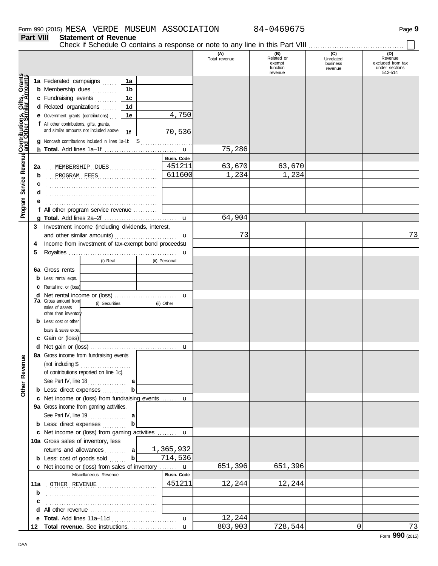**Part VIII Statement of Revenue**

Check if Schedule O contains a response or note to any line in this Part VIII . . . . . . . . . . . . . . . . . . . . . . . . . . . . . . . . . . . . . . . .

|                                              |    |                                                     |                |                   | (A)<br>Total revenue | (B)<br>Related or<br>exempt<br>function<br>revenue | (C)<br>Unrelated<br>business<br>revenue | (D)<br>Revenue<br>excluded from tax<br>under sections<br>512-514 |
|----------------------------------------------|----|-----------------------------------------------------|----------------|-------------------|----------------------|----------------------------------------------------|-----------------------------------------|------------------------------------------------------------------|
|                                              |    | 1a Federated campaigns                              | 1a             |                   |                      |                                                    |                                         |                                                                  |
|                                              |    | <b>b</b> Membership dues                            | 1 <sub>b</sub> |                   |                      |                                                    |                                         |                                                                  |
|                                              |    | c Fundraising events                                | 1c             |                   |                      |                                                    |                                         |                                                                  |
|                                              |    | d Related organizations                             | 1 <sub>d</sub> |                   |                      |                                                    |                                         |                                                                  |
|                                              |    | e Government grants (contributions)                 | 1е             | 4,750             |                      |                                                    |                                         |                                                                  |
|                                              |    | f All other contributions, gifts, grants,           |                |                   |                      |                                                    |                                         |                                                                  |
|                                              |    | and similar amounts not included above              | 1f             | 70,536            |                      |                                                    |                                         |                                                                  |
|                                              |    | g Noncash contributions included in lines 1a-1f: \$ |                | .                 |                      |                                                    |                                         |                                                                  |
| Service Revenue Contributions, Gifts, Grants |    |                                                     |                |                   | 75,286               |                                                    |                                         |                                                                  |
|                                              |    |                                                     |                | Busn. Code        |                      |                                                    |                                         |                                                                  |
|                                              | 2a | MEMBERSHIP DUES                                     | .              | 451211            | 63,670               | 63,670                                             |                                         |                                                                  |
|                                              | b  | PROGRAM FEES                                        |                | 611600            | 1,234                | 1,234                                              |                                         |                                                                  |
|                                              | c  |                                                     |                |                   |                      |                                                    |                                         |                                                                  |
|                                              |    |                                                     |                |                   |                      |                                                    |                                         |                                                                  |
|                                              |    |                                                     |                |                   |                      |                                                    |                                         |                                                                  |
| Program                                      |    | f All other program service revenue                 |                |                   |                      |                                                    |                                         |                                                                  |
|                                              |    |                                                     |                |                   | 64,904               |                                                    |                                         |                                                                  |
|                                              | 3  | Investment income (including dividends, interest,   |                |                   |                      |                                                    |                                         |                                                                  |
|                                              |    | and other similar amounts)                          |                | u                 | 73                   |                                                    |                                         | 73                                                               |
|                                              | 4  | Income from investment of tax-exempt bond proceedsu |                |                   |                      |                                                    |                                         |                                                                  |
|                                              | 5  |                                                     |                | u                 |                      |                                                    |                                         |                                                                  |
|                                              |    | (i) Real                                            |                | (ii) Personal     |                      |                                                    |                                         |                                                                  |
|                                              | 6а | Gross rents                                         |                |                   |                      |                                                    |                                         |                                                                  |
|                                              | b  | Less: rental exps.                                  |                |                   |                      |                                                    |                                         |                                                                  |
|                                              | c  | Rental inc. or (loss)                               |                |                   |                      |                                                    |                                         |                                                                  |
|                                              | d  |                                                     |                | u                 |                      |                                                    |                                         |                                                                  |
|                                              |    | <b>7a</b> Gross amount from<br>(i) Securities       |                | (ii) Other        |                      |                                                    |                                         |                                                                  |
|                                              |    | sales of assets<br>other than inventor              |                |                   |                      |                                                    |                                         |                                                                  |
|                                              | b  | Less: cost or other                                 |                |                   |                      |                                                    |                                         |                                                                  |
|                                              |    | basis & sales exps.                                 |                |                   |                      |                                                    |                                         |                                                                  |
|                                              |    | c Gain or (loss)                                    |                |                   |                      |                                                    |                                         |                                                                  |
|                                              |    |                                                     |                | u                 |                      |                                                    |                                         |                                                                  |
|                                              |    | 8a Gross income from fundraising events             |                |                   |                      |                                                    |                                         |                                                                  |
| anueve                                       |    | (not including \$<br>.                              |                |                   |                      |                                                    |                                         |                                                                  |
|                                              |    | of contributions reported on line 1c).              |                |                   |                      |                                                    |                                         |                                                                  |
| <u>č</u>                                     |    | See Part IV, line 18                                |                |                   |                      |                                                    |                                         |                                                                  |
| Other                                        |    | <b>b</b> Less: direct expenses                      |                |                   |                      |                                                    |                                         |                                                                  |
|                                              |    | c Net income or (loss) from fundraising events  u   |                |                   |                      |                                                    |                                         |                                                                  |
|                                              |    | 9a Gross income from gaming activities.             |                |                   |                      |                                                    |                                         |                                                                  |
|                                              |    | See Part IV, line 19                                | a              |                   |                      |                                                    |                                         |                                                                  |
|                                              |    | <b>b</b> Less: direct expenses                      | b              |                   |                      |                                                    |                                         |                                                                  |
|                                              |    | c Net income or (loss) from gaming activities  u    |                |                   |                      |                                                    |                                         |                                                                  |
|                                              |    | 10a Gross sales of inventory, less                  |                |                   |                      |                                                    |                                         |                                                                  |
|                                              |    | returns and allowances  a                           |                | 1,365,932         |                      |                                                    |                                         |                                                                  |
|                                              |    | <b>b</b> Less: cost of goods sold                   | $\mathbf{b}$   | 714,536           |                      |                                                    |                                         |                                                                  |
|                                              |    | c Net income or (loss) from sales of inventory      |                | $\mathbf u$       | 651,396              | 651,396                                            |                                         |                                                                  |
|                                              |    | Miscellaneous Revenue                               |                | <b>Busn. Code</b> |                      |                                                    |                                         |                                                                  |
|                                              |    | 11a OTHER REVENUE                                   |                | 451211            | 12,244               | 12,244                                             |                                         |                                                                  |
|                                              | b  |                                                     |                |                   |                      |                                                    |                                         |                                                                  |
|                                              | c  |                                                     |                |                   |                      |                                                    |                                         |                                                                  |
|                                              | d  | All other revenue                                   |                |                   |                      |                                                    |                                         |                                                                  |
|                                              |    | e Total. Add lines 11a-11d                          |                | $\mathbf u$       | 12,244               |                                                    |                                         |                                                                  |
|                                              | 12 |                                                     |                |                   | 803,903              | 728,544                                            | 0                                       | 73                                                               |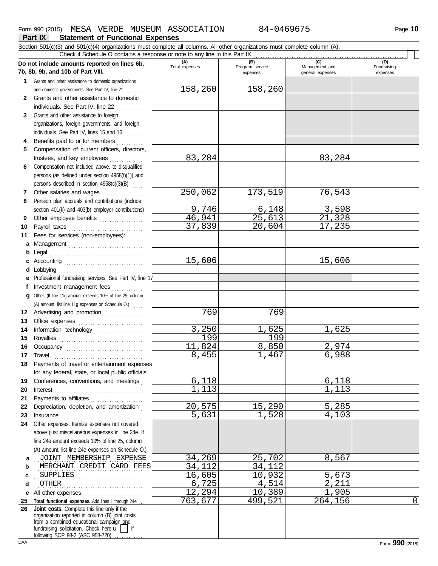$\Box$ 

**Part IX Statement of Functional Expenses** Section 501(c)(3) and 501(c)(4) organizations must complete all columns. All other organizations must complete column (A).

|              | Check if Schedule O contains a response or note to any line in this Part IX                                                                                                                                                                                                   |                       |                                    |                                           |                                |
|--------------|-------------------------------------------------------------------------------------------------------------------------------------------------------------------------------------------------------------------------------------------------------------------------------|-----------------------|------------------------------------|-------------------------------------------|--------------------------------|
|              | Do not include amounts reported on lines 6b,<br>7b, 8b, 9b, and 10b of Part VIII.                                                                                                                                                                                             | (A)<br>Total expenses | (B)<br>Program service<br>expenses | (C)<br>Management and<br>general expenses | (D)<br>Fundraising<br>expenses |
| 1.           | Grants and other assistance to domestic organizations                                                                                                                                                                                                                         |                       |                                    |                                           |                                |
|              | and domestic governments. See Part IV, line 21                                                                                                                                                                                                                                | 158,260               | 158,260                            |                                           |                                |
| $\mathbf{2}$ | Grants and other assistance to domestic                                                                                                                                                                                                                                       |                       |                                    |                                           |                                |
|              | individuals. See Part IV, line 22<br><u>.</u>                                                                                                                                                                                                                                 |                       |                                    |                                           |                                |
| 3            | Grants and other assistance to foreign                                                                                                                                                                                                                                        |                       |                                    |                                           |                                |
|              | organizations, foreign governments, and foreign                                                                                                                                                                                                                               |                       |                                    |                                           |                                |
|              | individuals. See Part IV, lines 15 and 16                                                                                                                                                                                                                                     |                       |                                    |                                           |                                |
| 4            | Benefits paid to or for members                                                                                                                                                                                                                                               |                       |                                    |                                           |                                |
| 5            | Compensation of current officers, directors,                                                                                                                                                                                                                                  |                       |                                    |                                           |                                |
|              |                                                                                                                                                                                                                                                                               | 83,284                |                                    | 83,284                                    |                                |
| 6            | Compensation not included above, to disqualified                                                                                                                                                                                                                              |                       |                                    |                                           |                                |
|              | persons (as defined under section 4958(f)(1)) and                                                                                                                                                                                                                             |                       |                                    |                                           |                                |
|              | persons described in section 4958(c)(3)(B)                                                                                                                                                                                                                                    |                       |                                    |                                           |                                |
| 7            | Other salaries and wages                                                                                                                                                                                                                                                      | 250,062               | 173,519                            | 76,543                                    |                                |
| 8            | Pension plan accruals and contributions (include                                                                                                                                                                                                                              |                       |                                    |                                           |                                |
|              | section 401(k) and 403(b) employer contributions)                                                                                                                                                                                                                             | 9,746                 | 6,148                              | 3,598                                     |                                |
| 9            | Other employee benefits                                                                                                                                                                                                                                                       | 46,941                | 25,613                             | 21,328                                    |                                |
| 10           |                                                                                                                                                                                                                                                                               | 37,839                | 20,604                             | 17,235                                    |                                |
| 11           | Fees for services (non-employees):                                                                                                                                                                                                                                            |                       |                                    |                                           |                                |
| a            | Management                                                                                                                                                                                                                                                                    |                       |                                    |                                           |                                |
| b            | Legal                                                                                                                                                                                                                                                                         |                       |                                    |                                           |                                |
| c            |                                                                                                                                                                                                                                                                               | 15,606                |                                    | 15,606                                    |                                |
| d            |                                                                                                                                                                                                                                                                               |                       |                                    |                                           |                                |
| e            | Professional fundraising services. See Part IV, line 1                                                                                                                                                                                                                        |                       |                                    |                                           |                                |
| f            | Investment management fees                                                                                                                                                                                                                                                    |                       |                                    |                                           |                                |
| q            | Other. (If line 11g amount exceeds 10% of line 25, column                                                                                                                                                                                                                     |                       |                                    |                                           |                                |
|              | (A) amount, list line 11g expenses on Schedule O.)                                                                                                                                                                                                                            | 769                   |                                    |                                           |                                |
| 12           | Advertising and promotion [11] [11] Advertising and promotion                                                                                                                                                                                                                 |                       | 769                                |                                           |                                |
| 13           |                                                                                                                                                                                                                                                                               | 3,250                 | 1,625                              | 1,625                                     |                                |
| 14           | Information technology                                                                                                                                                                                                                                                        | 199                   | 199                                |                                           |                                |
| 15<br>16     |                                                                                                                                                                                                                                                                               | 11,824                | 8,850                              | 2,974                                     |                                |
| 17           | Travel                                                                                                                                                                                                                                                                        | 8,455                 | 1,467                              | 6,988                                     |                                |
| 18           | Payments of travel or entertainment expenses                                                                                                                                                                                                                                  |                       |                                    |                                           |                                |
|              | for any federal, state, or local public officials                                                                                                                                                                                                                             |                       |                                    |                                           |                                |
| 19           | Conferences, conventions, and meetings                                                                                                                                                                                                                                        | 6,118                 |                                    | 6,118                                     |                                |
| 20           | $\textbf{Interest} \hspace{0.05cm} \textbf{} \hspace{0.05cm} \textbf{} \hspace{0.05cm} \textbf{} \hspace{0.05cm} \textbf{} \hspace{0.05cm} \textbf{} \hspace{0.05cm} \textbf{} \hspace{0.05cm} \textbf{} \hspace{0.05cm} \textbf{} \hspace{0.05cm} \textbf{} \hspace{0.05cm}$ | 1,113                 |                                    | 1,113                                     |                                |
| 21           |                                                                                                                                                                                                                                                                               |                       |                                    |                                           |                                |
| 22           | Depreciation, depletion, and amortization                                                                                                                                                                                                                                     | 20,575                | 15,290                             | 5,285                                     |                                |
| 23           | Insurance with a construction of the construction of the construction of the construction of the construction of the construction of the construction of the construction of the construction of the construction of the const                                                | 5,631                 | 1,528                              | 4,103                                     |                                |
| 24           | Other expenses. Itemize expenses not covered                                                                                                                                                                                                                                  |                       |                                    |                                           |                                |
|              | above (List miscellaneous expenses in line 24e. If                                                                                                                                                                                                                            |                       |                                    |                                           |                                |
|              | line 24e amount exceeds 10% of line 25, column                                                                                                                                                                                                                                |                       |                                    |                                           |                                |
|              | (A) amount, list line 24e expenses on Schedule O.)                                                                                                                                                                                                                            |                       |                                    |                                           |                                |
| a            | JOINT MEMBERSHIP EXPENSE                                                                                                                                                                                                                                                      | 34,269                | 25,702                             | 8,567                                     |                                |
| b            | MERCHANT CREDIT CARD FEES                                                                                                                                                                                                                                                     | 34,112                | 34,112                             |                                           |                                |
| c            | SUPPLIES                                                                                                                                                                                                                                                                      | 16,605                | 10,932                             | 5,673                                     |                                |
| d            | OTHER                                                                                                                                                                                                                                                                         | 6,725                 | 4,514                              | 2,211                                     |                                |
| е            | All other expenses                                                                                                                                                                                                                                                            | 12,294                | 10,389                             | 1,905                                     |                                |
| 25           | Total functional expenses. Add lines 1 through 24e                                                                                                                                                                                                                            | 763,677               | 499,521                            | 264,156                                   | $\mathbf 0$                    |
| 26           | Joint costs. Complete this line only if the<br>organization reported in column (B) joint costs<br>from a combined educational campaign_and<br>fundraising solicitation. Check here $\mathbf{u}$   if<br>following SOP 98-2 (ASC 958-720)                                      |                       |                                    |                                           |                                |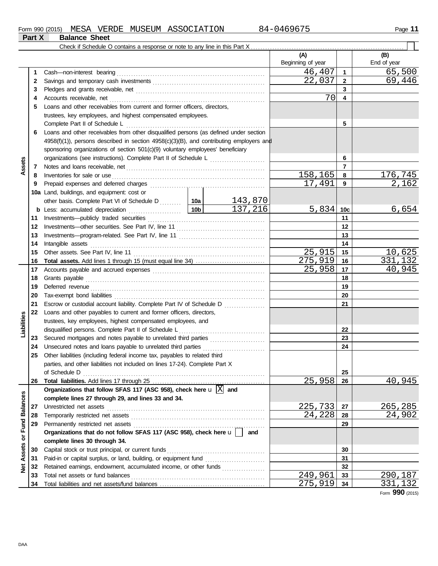|                         |    | Check if Schedule O contains a response or note to any line in this Part X                                                                                                                                                          |        |         |                          |                 |                    |
|-------------------------|----|-------------------------------------------------------------------------------------------------------------------------------------------------------------------------------------------------------------------------------------|--------|---------|--------------------------|-----------------|--------------------|
|                         |    |                                                                                                                                                                                                                                     |        |         | (A)<br>Beginning of year |                 | (B)<br>End of year |
|                         | 1  | Cash-non-interest bearing                                                                                                                                                                                                           |        |         | 46,407                   | $\mathbf{1}$    | 65,500             |
|                         | 2  |                                                                                                                                                                                                                                     |        |         | 22,037                   | $\overline{2}$  | 69,446             |
|                         | 3  |                                                                                                                                                                                                                                     |        |         |                          | 3               |                    |
|                         | 4  |                                                                                                                                                                                                                                     |        |         | 70                       | 4               |                    |
|                         | 5  | Loans and other receivables from current and former officers, directors,                                                                                                                                                            |        |         |                          |                 |                    |
|                         |    | trustees, key employees, and highest compensated employees.                                                                                                                                                                         |        |         |                          |                 |                    |
|                         |    | Complete Part II of Schedule L                                                                                                                                                                                                      |        |         |                          | 5               |                    |
|                         | 6  | Loans and other receivables from other disqualified persons (as defined under section                                                                                                                                               |        |         |                          |                 |                    |
|                         |    | $4958(f)(1)$ ), persons described in section $4958(c)(3)(B)$ , and contributing employers and                                                                                                                                       |        |         |                          |                 |                    |
|                         |    | sponsoring organizations of section 501(c)(9) voluntary employees' beneficiary                                                                                                                                                      |        |         |                          |                 |                    |
|                         |    | organizations (see instructions). Complete Part II of Schedule L                                                                                                                                                                    |        |         | 6                        |                 |                    |
| Assets                  | 7  |                                                                                                                                                                                                                                     |        |         |                          | $\overline{7}$  |                    |
|                         | 8  | Inventories for sale or use                                                                                                                                                                                                         |        |         | 158,165                  | 8               | 176,745            |
|                         | 9  | Prepaid expenses and deferred charges                                                                                                                                                                                               |        |         | 17,491                   | 9               | 2,162              |
|                         |    | 10a Land, buildings, and equipment: cost or                                                                                                                                                                                         |        |         |                          |                 |                    |
|                         |    | other basis. Complete Part VI of Schedule D  10a                                                                                                                                                                                    |        | 143,870 |                          |                 |                    |
|                         |    | <b>b</b> Less: accumulated depreciation                                                                                                                                                                                             |        | 137,216 | 5,834                    | 10 <sub>c</sub> | 6,654              |
|                         | 11 |                                                                                                                                                                                                                                     |        |         |                          | 11              |                    |
|                         | 12 |                                                                                                                                                                                                                                     |        |         | 12                       |                 |                    |
|                         | 13 |                                                                                                                                                                                                                                     |        | 13      |                          |                 |                    |
|                         | 14 | Intangible assets                                                                                                                                                                                                                   |        | 14      |                          |                 |                    |
|                         | 15 |                                                                                                                                                                                                                                     | 25,915 | 15      | 10,625                   |                 |                    |
|                         | 16 |                                                                                                                                                                                                                                     |        |         | 275,919                  | 16              | 331,132            |
|                         | 17 |                                                                                                                                                                                                                                     |        |         | 25,958                   | 17              | <u>40,945</u>      |
|                         | 18 | Grants payable                                                                                                                                                                                                                      |        |         |                          | 18              |                    |
|                         | 19 | Deferred revenue <i>communication</i> and the contract of the contract of the contract of the contract of the contract of the contract of the contract of the contract of the contract of the contract of the contract of the contr |        |         |                          | 19              |                    |
|                         | 20 |                                                                                                                                                                                                                                     |        |         |                          | 20              |                    |
|                         | 21 | Escrow or custodial account liability. Complete Part IV of Schedule D                                                                                                                                                               |        |         |                          | 21              |                    |
|                         | 22 | Loans and other payables to current and former officers, directors,                                                                                                                                                                 |        |         |                          |                 |                    |
| Liabilities             |    | trustees, key employees, highest compensated employees, and                                                                                                                                                                         |        |         |                          |                 |                    |
|                         |    | disqualified persons. Complete Part II of Schedule L                                                                                                                                                                                |        |         |                          | 22              |                    |
|                         | 23 | Secured mortgages and notes payable to unrelated third parties                                                                                                                                                                      |        |         |                          | 23              |                    |
|                         | 24 | Unsecured notes and loans payable to unrelated third parties                                                                                                                                                                        |        |         |                          | 24              |                    |
|                         | 25 | Other liabilities (including federal income tax, payables to related third                                                                                                                                                          |        |         |                          |                 |                    |
|                         |    | parties, and other liabilities not included on lines 17-24). Complete Part X                                                                                                                                                        |        |         |                          |                 |                    |
|                         |    | of Schedule D                                                                                                                                                                                                                       |        |         |                          | 25              |                    |
|                         | 26 |                                                                                                                                                                                                                                     |        |         | 25,958                   | 26              | 40,945             |
|                         |    | Organizations that follow SFAS 117 (ASC 958), check here $\mathbf{u} \times \mathbf{a}$ and                                                                                                                                         |        |         |                          |                 |                    |
|                         |    | complete lines 27 through 29, and lines 33 and 34.                                                                                                                                                                                  |        |         |                          |                 |                    |
|                         | 27 | Unrestricted net assets                                                                                                                                                                                                             |        |         | 225,733                  | 27              | 265,285            |
|                         | 28 |                                                                                                                                                                                                                                     |        |         | 24,228                   | 28              | 24,902             |
|                         | 29 |                                                                                                                                                                                                                                     |        |         |                          | 29              |                    |
|                         |    | Organizations that do not follow SFAS 117 (ASC 958), check here u                                                                                                                                                                   |        | and     |                          |                 |                    |
| Assets or Fund Balances |    | complete lines 30 through 34.                                                                                                                                                                                                       |        |         |                          |                 |                    |
|                         | 30 | Capital stock or trust principal, or current funds                                                                                                                                                                                  |        |         |                          | 30              |                    |
|                         | 31 | Paid-in or capital surplus, or land, building, or equipment fund                                                                                                                                                                    |        |         |                          | 31              |                    |
| $\frac{1}{2}$           | 32 | Retained earnings, endowment, accumulated income, or other funds                                                                                                                                                                    |        |         |                          | 32              |                    |
|                         | 33 | Total net assets or fund balances                                                                                                                                                                                                   |        |         | 249,961                  | 33              | 290,187            |
|                         | 34 |                                                                                                                                                                                                                                     |        |         | 275,919                  | 34              | 331,132            |

Form **990** (2015)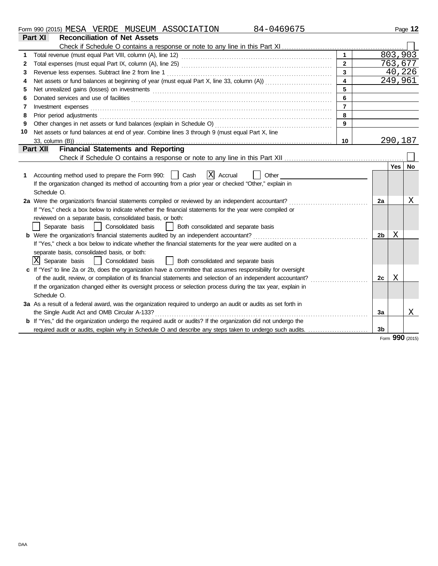| Form<br>$\sim$<br>990 | 12015<br>. $1201J1$ | $\sim$ $\sim$ $\sim$ $\sim$<br>MESA | סתססי<br>RDE<br>. <del>. .</del> | . MIJSEIT<br>SEUM | <b>ASSOCIATION</b><br>70 L<br>AU. | - 71 -<br>$\mathbf{1}$ | Page |
|-----------------------|---------------------|-------------------------------------|----------------------------------|-------------------|-----------------------------------|------------------------|------|
|                       |                     |                                     |                                  |                   |                                   |                        |      |

|    | Part XI<br><b>Reconciliation of Net Assets</b>                                                                 |                         |                |         |    |  |
|----|----------------------------------------------------------------------------------------------------------------|-------------------------|----------------|---------|----|--|
|    |                                                                                                                |                         |                |         |    |  |
|    |                                                                                                                | $\mathbf{1}$            |                | 803,903 |    |  |
| 2  |                                                                                                                | $\overline{2}$          |                | 763,677 |    |  |
| 3  |                                                                                                                | $\overline{3}$          |                | 40,226  |    |  |
| 4  |                                                                                                                | $\overline{\mathbf{4}}$ |                | 249,961 |    |  |
| 5  |                                                                                                                | 5                       |                |         |    |  |
| 6  |                                                                                                                | 6                       |                |         |    |  |
| 7  | Investment expenses                                                                                            | $\overline{7}$          |                |         |    |  |
| 8  | Prior period adjustments                                                                                       | 8                       |                |         |    |  |
| 9  | Other changes in net assets or fund balances (explain in Schedule O)                                           |                         |                |         |    |  |
| 10 | Net assets or fund balances at end of year. Combine lines 3 through 9 (must equal Part X, line                 |                         |                |         |    |  |
|    |                                                                                                                | 10                      |                | 290,187 |    |  |
|    | <b>Financial Statements and Reporting</b><br>Part XII                                                          |                         |                |         |    |  |
|    |                                                                                                                |                         |                |         |    |  |
|    |                                                                                                                |                         |                | Yes     | No |  |
| 1  | $ X $ Accrual<br>Accounting method used to prepare the Form 990:     Cash<br>Other                             |                         |                |         |    |  |
|    | If the organization changed its method of accounting from a prior year or checked "Other," explain in          |                         |                |         |    |  |
|    | Schedule O.                                                                                                    |                         |                |         |    |  |
|    | 2a Were the organization's financial statements compiled or reviewed by an independent accountant?             |                         | 2a             |         | Χ  |  |
|    | If "Yes," check a box below to indicate whether the financial statements for the year were compiled or         |                         |                |         |    |  |
|    | reviewed on a separate basis, consolidated basis, or both:                                                     |                         |                |         |    |  |
|    | Consolidated basis<br>  Both consolidated and separate basis<br>Separate basis                                 |                         |                |         |    |  |
|    |                                                                                                                |                         | 2 <sub>b</sub> | Χ       |    |  |
|    | If "Yes," check a box below to indicate whether the financial statements for the year were audited on a        |                         |                |         |    |  |
|    | separate basis, consolidated basis, or both:                                                                   |                         |                |         |    |  |
|    | X Separate basis<br>Consolidated basis<br>Both consolidated and separate basis                                 |                         |                |         |    |  |
|    | c If "Yes" to line 2a or 2b, does the organization have a committee that assumes responsibility for oversight  |                         |                |         |    |  |
|    | of the audit, review, or compilation of its financial statements and selection of an independent accountant?   |                         | 2c             | Χ       |    |  |
|    | If the organization changed either its oversight process or selection process during the tax year, explain in  |                         |                |         |    |  |
|    | Schedule O.                                                                                                    |                         |                |         |    |  |
|    | 3a As a result of a federal award, was the organization required to undergo an audit or audits as set forth in |                         |                |         |    |  |
|    | the Single Audit Act and OMB Circular A-133?                                                                   |                         | 3a             |         | Χ  |  |
|    | b If "Yes," did the organization undergo the required audit or audits? If the organization did not undergo the |                         |                |         |    |  |
|    |                                                                                                                |                         | 3 <sub>b</sub> |         |    |  |
|    |                                                                                                                |                         |                | non     |    |  |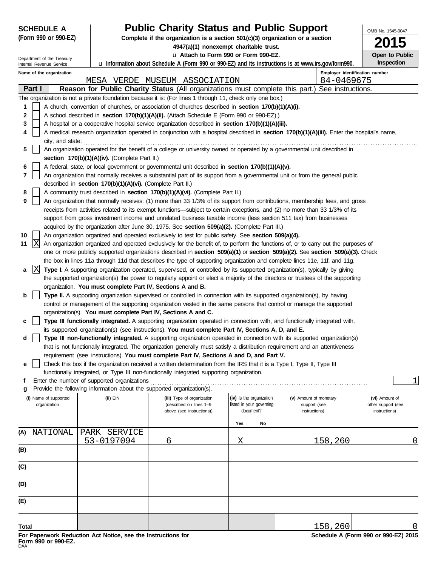| <b>SCHEDULE A</b>                                    |                                                                        | <b>Public Charity Status and Public Support</b>                                                                                                                                                       |                                                                               |  |                                | OMB No. 1545-0047            |  |  |  |
|------------------------------------------------------|------------------------------------------------------------------------|-------------------------------------------------------------------------------------------------------------------------------------------------------------------------------------------------------|-------------------------------------------------------------------------------|--|--------------------------------|------------------------------|--|--|--|
| (Form 990 or 990-EZ)                                 |                                                                        |                                                                                                                                                                                                       | Complete if the organization is a section 501(c)(3) organization or a section |  |                                |                              |  |  |  |
|                                                      |                                                                        | 4947(a)(1) nonexempt charitable trust.                                                                                                                                                                |                                                                               |  |                                | 15                           |  |  |  |
| Department of the Treasury                           |                                                                        | u Attach to Form 990 or Form 990-EZ.                                                                                                                                                                  |                                                                               |  |                                | Open to Public<br>Inspection |  |  |  |
| Internal Revenue Service<br>Name of the organization |                                                                        | <b>u</b> Information about Schedule A (Form 990 or 990-EZ) and its instructions is at www.irs.gov/form990.                                                                                            |                                                                               |  | Employer identification number |                              |  |  |  |
|                                                      |                                                                        | MESA VERDE MUSEUM ASSOCIATION                                                                                                                                                                         |                                                                               |  | 84-0469675                     |                              |  |  |  |
| Part I                                               |                                                                        | Reason for Public Charity Status (All organizations must complete this part.) See instructions.                                                                                                       |                                                                               |  |                                |                              |  |  |  |
|                                                      |                                                                        | The organization is not a private foundation because it is: (For lines 1 through 11, check only one box.)                                                                                             |                                                                               |  |                                |                              |  |  |  |
| 1                                                    |                                                                        | A church, convention of churches, or association of churches described in section 170(b)(1)(A)(i).                                                                                                    |                                                                               |  |                                |                              |  |  |  |
| 2                                                    |                                                                        | A school described in section 170(b)(1)(A)(ii). (Attach Schedule E (Form 990 or 990-EZ).)                                                                                                             |                                                                               |  |                                |                              |  |  |  |
| 3                                                    |                                                                        | A hospital or a cooperative hospital service organization described in section 170(b)(1)(A)(iii).                                                                                                     |                                                                               |  |                                |                              |  |  |  |
| 4                                                    |                                                                        | A medical research organization operated in conjunction with a hospital described in section 170(b)(1)(A)(iii). Enter the hospital's name,                                                            |                                                                               |  |                                |                              |  |  |  |
| city, and state:                                     |                                                                        |                                                                                                                                                                                                       |                                                                               |  |                                |                              |  |  |  |
| 5                                                    | section 170(b)(1)(A)(iv). (Complete Part II.)                          | An organization operated for the benefit of a college or university owned or operated by a governmental unit described in                                                                             |                                                                               |  |                                |                              |  |  |  |
| 6                                                    |                                                                        | A federal, state, or local government or governmental unit described in section 170(b)(1)(A)(v).                                                                                                      |                                                                               |  |                                |                              |  |  |  |
| 7                                                    |                                                                        | An organization that normally receives a substantial part of its support from a governmental unit or from the general public                                                                          |                                                                               |  |                                |                              |  |  |  |
|                                                      | described in section 170(b)(1)(A)(vi). (Complete Part II.)             |                                                                                                                                                                                                       |                                                                               |  |                                |                              |  |  |  |
| 8                                                    |                                                                        | A community trust described in section 170(b)(1)(A)(vi). (Complete Part II.)                                                                                                                          |                                                                               |  |                                |                              |  |  |  |
| 9                                                    |                                                                        | An organization that normally receives: (1) more than 33 1/3% of its support from contributions, membership fees, and gross                                                                           |                                                                               |  |                                |                              |  |  |  |
|                                                      |                                                                        | receipts from activities related to its exempt functions—subject to certain exceptions, and (2) no more than 33 1/3% of its                                                                           |                                                                               |  |                                |                              |  |  |  |
|                                                      |                                                                        | support from gross investment income and unrelated business taxable income (less section 511 tax) from businesses                                                                                     |                                                                               |  |                                |                              |  |  |  |
| 10                                                   |                                                                        | acquired by the organization after June 30, 1975. See section 509(a)(2). (Complete Part III.)<br>An organization organized and operated exclusively to test for public safety. See section 509(a)(4). |                                                                               |  |                                |                              |  |  |  |
| x<br>11                                              |                                                                        | An organization organized and operated exclusively for the benefit of, to perform the functions of, or to carry out the purposes of                                                                   |                                                                               |  |                                |                              |  |  |  |
|                                                      |                                                                        | one or more publicly supported organizations described in section 509(a)(1) or section 509(a)(2). See section 509(a)(3). Check                                                                        |                                                                               |  |                                |                              |  |  |  |
|                                                      |                                                                        | the box in lines 11a through 11d that describes the type of supporting organization and complete lines 11e, 11f, and 11g.                                                                             |                                                                               |  |                                |                              |  |  |  |
| X<br>a                                               |                                                                        | Type I. A supporting organization operated, supervised, or controlled by its supported organization(s), typically by giving                                                                           |                                                                               |  |                                |                              |  |  |  |
|                                                      |                                                                        | the supported organization(s) the power to regularly appoint or elect a majority of the directors or trustees of the supporting                                                                       |                                                                               |  |                                |                              |  |  |  |
|                                                      | organization. You must complete Part IV, Sections A and B.             |                                                                                                                                                                                                       |                                                                               |  |                                |                              |  |  |  |
| b                                                    |                                                                        | Type II. A supporting organization supervised or controlled in connection with its supported organization(s), by having                                                                               |                                                                               |  |                                |                              |  |  |  |
|                                                      |                                                                        | control or management of the supporting organization vested in the same persons that control or manage the supported                                                                                  |                                                                               |  |                                |                              |  |  |  |
| c                                                    | organization(s). You must complete Part IV, Sections A and C.          | Type III functionally integrated. A supporting organization operated in connection with, and functionally integrated with,                                                                            |                                                                               |  |                                |                              |  |  |  |
|                                                      |                                                                        | its supported organization(s) (see instructions). You must complete Part IV, Sections A, D, and E.                                                                                                    |                                                                               |  |                                |                              |  |  |  |
| d                                                    |                                                                        | Type III non-functionally integrated. A supporting organization operated in connection with its supported organization(s)                                                                             |                                                                               |  |                                |                              |  |  |  |
|                                                      |                                                                        | that is not functionally integrated. The organization generally must satisfy a distribution requirement and an attentiveness                                                                          |                                                                               |  |                                |                              |  |  |  |
|                                                      |                                                                        | requirement (see instructions). You must complete Part IV, Sections A and D, and Part V.                                                                                                              |                                                                               |  |                                |                              |  |  |  |
| е                                                    |                                                                        | Check this box if the organization received a written determination from the IRS that it is a Type I, Type II, Type III                                                                               |                                                                               |  |                                |                              |  |  |  |
|                                                      | Enter the number of supported organizations                            | functionally integrated, or Type III non-functionally integrated supporting organization.                                                                                                             |                                                                               |  |                                | $\mathbf{1}$                 |  |  |  |
| g                                                    | Provide the following information about the supported organization(s). |                                                                                                                                                                                                       |                                                                               |  |                                |                              |  |  |  |
| (i) Name of supported                                | (ii) EIN                                                               | (iii) Type of organization                                                                                                                                                                            | (iv) Is the organization                                                      |  | (v) Amount of monetary         | (vi) Amount of               |  |  |  |
| organization                                         |                                                                        | (described on lines 1-9                                                                                                                                                                               | listed in your governing                                                      |  | support (see                   | other support (see           |  |  |  |
|                                                      |                                                                        | above (see instructions))                                                                                                                                                                             | document?                                                                     |  | instructions)                  | instructions)                |  |  |  |
|                                                      |                                                                        |                                                                                                                                                                                                       | Yes<br>No                                                                     |  |                                |                              |  |  |  |
| NATIONAL<br>(A)                                      | PARK SERVICE                                                           |                                                                                                                                                                                                       |                                                                               |  |                                |                              |  |  |  |
|                                                      | 53-0197094                                                             | 6                                                                                                                                                                                                     | Χ                                                                             |  | <u>158,260</u>                 | 0                            |  |  |  |
| (B)                                                  |                                                                        |                                                                                                                                                                                                       |                                                                               |  |                                |                              |  |  |  |
| (C)                                                  |                                                                        |                                                                                                                                                                                                       |                                                                               |  |                                |                              |  |  |  |
|                                                      |                                                                        |                                                                                                                                                                                                       |                                                                               |  |                                |                              |  |  |  |
| (D)                                                  |                                                                        |                                                                                                                                                                                                       |                                                                               |  |                                |                              |  |  |  |
|                                                      |                                                                        |                                                                                                                                                                                                       |                                                                               |  |                                |                              |  |  |  |
| (E)                                                  |                                                                        |                                                                                                                                                                                                       |                                                                               |  |                                |                              |  |  |  |
|                                                      |                                                                        |                                                                                                                                                                                                       |                                                                               |  |                                |                              |  |  |  |
| Total                                                |                                                                        |                                                                                                                                                                                                       |                                                                               |  | <u>158,260</u>                 | 0                            |  |  |  |
|                                                      |                                                                        |                                                                                                                                                                                                       |                                                                               |  |                                |                              |  |  |  |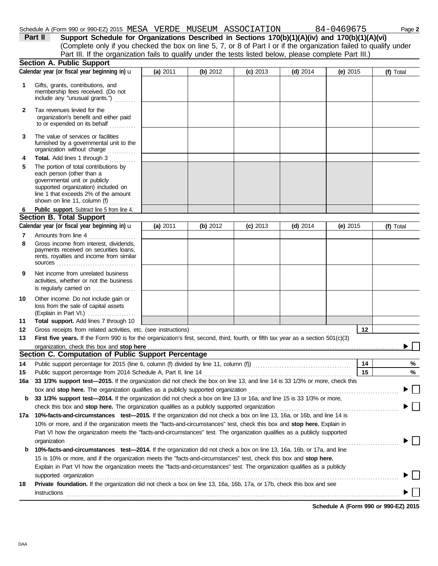$\blacktriangleright$   $\Box$ 

 $\blacktriangleright \Box$ 

|              | Schedule A (Form 990 or 990-EZ) 2015 MESA VERDE MUSEUM ASSOCIATION                                                                  |          |            |            |            | 84-0469675 | Page 2    |
|--------------|-------------------------------------------------------------------------------------------------------------------------------------|----------|------------|------------|------------|------------|-----------|
|              | Part II<br>Support Schedule for Organizations Described in Sections 170(b)(1)(A)(iv) and 170(b)(1)(A)(vi)                           |          |            |            |            |            |           |
|              | (Complete only if you checked the box on line 5, 7, or 8 of Part I or if the organization failed to qualify under                   |          |            |            |            |            |           |
|              | Part III. If the organization fails to qualify under the tests listed below, please complete Part III.)                             |          |            |            |            |            |           |
|              | <b>Section A. Public Support</b>                                                                                                    |          |            |            |            |            |           |
|              | Calendar year (or fiscal year beginning in) u                                                                                       | (a) 2011 | (b) 2012   | $(c)$ 2013 | (d) $2014$ | (e) $2015$ | (f) Total |
| 1            | Gifts, grants, contributions, and<br>membership fees received. (Do not<br>include any "unusual grants.")                            |          |            |            |            |            |           |
| $\mathbf{2}$ | Tax revenues levied for the<br>organization's benefit and either paid<br>to or expended on its behalf                               |          |            |            |            |            |           |
| 3            | The value of services or facilities<br>furnished by a governmental unit to the<br>organization without charge                       |          |            |            |            |            |           |
| 4<br>5       | Total. Add lines 1 through 3<br>The portion of total contributions by<br>each person (other than a<br>governmental unit or publicly |          |            |            |            |            |           |
|              | supported organization) included on<br>line 1 that exceeds 2% of the amount<br>shown on line 11, column (f)                         |          |            |            |            |            |           |
| 6            | Public support. Subtract line 5 from line 4.                                                                                        |          |            |            |            |            |           |
|              | <b>Section B. Total Support</b>                                                                                                     |          |            |            |            |            |           |
|              | Calendar year (or fiscal year beginning in) u                                                                                       | (a) 2011 | (b) $2012$ | $(c)$ 2013 | $(d)$ 2014 | (e) $2015$ | (f) Total |
| 7            | Amounts from line 4                                                                                                                 |          |            |            |            |            |           |
| 8            | Gross income from interest, dividends,<br>payments received on securities loans,<br>rents, royalties and income from similar        |          |            |            |            |            |           |
| 9            | Net income from unrelated business<br>activities, whether or not the business<br>is regularly carried on                            |          |            |            |            |            |           |
| 10           | Other income. Do not include gain or<br>loss from the sale of capital assets<br>$(Explain in Part VI.)$                             |          |            |            |            |            |           |
| 11           | Total support. Add lines 7 through 10                                                                                               |          |            |            |            |            |           |
| 12           |                                                                                                                                     |          |            |            |            | 12         |           |
| 13           | First five years. If the Form 990 is for the organization's first, second, third, fourth, or fifth tax year as a section 501(c)(3)  |          |            |            |            |            |           |
|              |                                                                                                                                     |          |            |            |            |            |           |
|              | Section C. Computation of Public Support Percentage                                                                                 |          |            |            |            |            |           |
| 14           |                                                                                                                                     |          |            |            |            | 14         | %         |
| 15           |                                                                                                                                     |          |            |            |            | 15         | ℅         |
| 16a          | 33 1/3% support test-2015. If the organization did not check the box on line 13, and line 14 is 33 1/3% or more, check this         |          |            |            |            |            |           |
|              |                                                                                                                                     |          |            |            |            |            |           |
| b            | 33 1/3% support test-2014. If the organization did not check a box on line 13 or 16a, and line 15 is 33 1/3% or more,               |          |            |            |            |            |           |
|              |                                                                                                                                     |          |            |            |            |            |           |

| GIFUL LIIS DUX AND <b>Stup NETE.</b> THE UIGANIZATUM QUAINES AS A PUDILITY SUPPORTED UIGANIZATUM                               |
|--------------------------------------------------------------------------------------------------------------------------------|
| 17a 10%-facts-and-circumstances test-2015. If the organization did not check a box on line 13, 16a, or 16b, and line 14 is     |
| 10% or more, and if the organization meets the "facts-and-circumstances" test, check this box and stop here. Explain in        |
| Part VI how the organization meets the "facts-and-circumstances" test. The organization qualifies as a publicly supported      |
| organization                                                                                                                   |
| <b>b</b> 10%-facts-and-circumstances test-2014. If the organization did not check a box on line 13, 16a, 16b, or 17a, and line |
| 15 is 10% or more, and if the organization meets the "facts-and-circumstances" test, check this box and stop here.             |
| Explain in Part VI how the organization meets the "facts-and-circumstances" test. The organization qualifies as a publicly     |
| supported organization                                                                                                         |
|                                                                                                                                |

**18 Private foundation.** If the organization did not check a box on line 13, 16a, 16b, 17a, or 17b, check this box and see  $\blacksquare \textsf{instructions} \texttt{1} \texttt{1} \texttt{1} \texttt{1} \texttt{1} \texttt{1} \texttt{1} \texttt{1} \texttt{1} \texttt{1} \texttt{1} \texttt{1} \texttt{1} \texttt{1} \texttt{1} \texttt{1} \texttt{1} \texttt{1} \texttt{1} \texttt{1} \texttt{1} \texttt{1} \texttt{1} \texttt{1} \texttt{1} \texttt{1} \texttt{1} \texttt{1} \texttt{1} \texttt{1} \texttt{1} \texttt{1} \texttt{1} \texttt{1} \texttt{1$ 

**Schedule A (Form 990 or 990-EZ) 2015**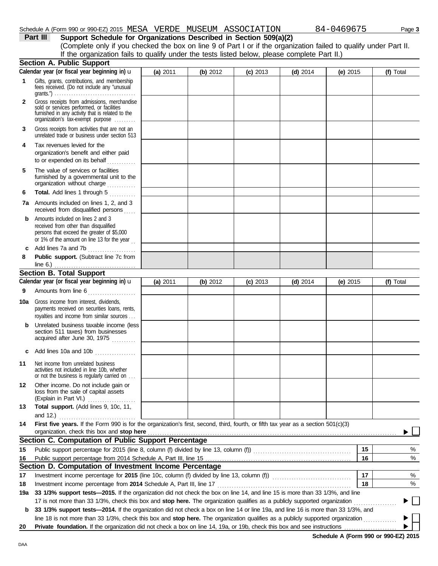|              | Schedule A (Form 990 or 990-EZ) 2015 MESA VERDE MUSEUM ASSOCIATION                                                                                                                |          |          |            |            | 84-0469675 |    | Page 3    |
|--------------|-----------------------------------------------------------------------------------------------------------------------------------------------------------------------------------|----------|----------|------------|------------|------------|----|-----------|
|              | Part III<br>Support Schedule for Organizations Described in Section 509(a)(2)                                                                                                     |          |          |            |            |            |    |           |
|              | (Complete only if you checked the box on line 9 of Part I or if the organization failed to qualify under Part II.                                                                 |          |          |            |            |            |    |           |
|              | If the organization fails to qualify under the tests listed below, please complete Part II.)                                                                                      |          |          |            |            |            |    |           |
|              | Section A. Public Support                                                                                                                                                         |          |          |            |            |            |    |           |
|              | Calendar year (or fiscal year beginning in) u                                                                                                                                     | (a) 2011 | (b) 2012 | $(c)$ 2013 | $(d)$ 2014 | (e) $2015$ |    | (f) Total |
| 1            | Gifts, grants, contributions, and membership<br>fees received. (Do not include any "unusual                                                                                       |          |          |            |            |            |    |           |
| $\mathbf{2}$ | Gross receipts from admissions, merchandise<br>sold or services performed, or facilities<br>furnished in any activity that is related to the<br>organization's tax-exempt purpose |          |          |            |            |            |    |           |
| 3            | Gross receipts from activities that are not an<br>unrelated trade or business under section 513                                                                                   |          |          |            |            |            |    |           |
| 4            | Tax revenues levied for the<br>organization's benefit and either paid<br>to or expended on its behalf                                                                             |          |          |            |            |            |    |           |
| 5            | The value of services or facilities<br>furnished by a governmental unit to the<br>organization without charge                                                                     |          |          |            |            |            |    |           |
| 6            | Total. Add lines 1 through 5                                                                                                                                                      |          |          |            |            |            |    |           |
|              | 7a Amounts included on lines 1, 2, and 3<br>received from disqualified persons                                                                                                    |          |          |            |            |            |    |           |
| b            | Amounts included on lines 2 and 3<br>received from other than disqualified<br>persons that exceed the greater of \$5,000<br>or 1% of the amount on line 13 for the year           |          |          |            |            |            |    |           |
| c            | Add lines 7a and 7b                                                                                                                                                               |          |          |            |            |            |    |           |
| 8            | Public support. (Subtract line 7c from<br>Section B. Total Support                                                                                                                |          |          |            |            |            |    |           |
|              |                                                                                                                                                                                   |          |          |            |            |            |    |           |
|              | Calendar year (or fiscal year beginning in) u                                                                                                                                     | (a) 2011 | (b) 2012 | $(c)$ 2013 | $(d)$ 2014 | (e) $2015$ |    | (f) Total |
| 9            | Amounts from line 6                                                                                                                                                               |          |          |            |            |            |    |           |
|              | <b>10a</b> Gross income from interest, dividends,<br>payments received on securities loans, rents,<br>royalties and income from similar sources                                   |          |          |            |            |            |    |           |
| b            | Unrelated business taxable income (less<br>section 511 taxes) from businesses<br>acquired after June 30, 1975                                                                     |          |          |            |            |            |    |           |
| c            | Add lines 10a and 10b                                                                                                                                                             |          |          |            |            |            |    |           |
| 11           | Net income from unrelated business<br>activities not included in line 10b, whether<br>or not the business is regularly carried on                                                 |          |          |            |            |            |    |           |
| 12           | Other income. Do not include gain or<br>loss from the sale of capital assets<br>(Explain in Part VI.)                                                                             |          |          |            |            |            |    |           |
| 13           | Total support. (Add lines 9, 10c, 11,<br>and 12.) <u></u>                                                                                                                         |          |          |            |            |            |    |           |
| 14           | First five years. If the Form 990 is for the organization's first, second, third, fourth, or fifth tax year as a section 501(c)(3)                                                |          |          |            |            |            |    |           |
|              | organization, check this box and stop here                                                                                                                                        |          |          |            |            |            |    |           |
|              | Section C. Computation of Public Support Percentage                                                                                                                               |          |          |            |            |            |    |           |
| 15           |                                                                                                                                                                                   |          |          |            |            |            | 15 | %         |
| 16           |                                                                                                                                                                                   |          |          |            |            |            | 16 | %         |
| 17           | Section D. Computation of Investment Income Percentage<br>Investment income percentage for 2015 (line 10c, column (f) divided by line 13, column (f)) [[[[[[[[[[[[[[[[[           |          |          |            |            |            | 17 | %         |
| 18           |                                                                                                                                                                                   |          |          |            |            |            | 18 | %         |
| 19a          | 33 1/3% support tests-2015. If the organization did not check the box on line 14, and line 15 is more than 33 1/3%, and line                                                      |          |          |            |            |            |    |           |
|              | 17 is not more than 33 1/3%, check this box and stop here. The organization qualifies as a publicly supported organization                                                        |          |          |            |            |            |    |           |
| b            | 33 1/3% support tests-2014. If the organization did not check a box on line 14 or line 19a, and line 16 is more than 33 1/3%, and                                                 |          |          |            |            |            |    |           |
|              | line 18 is not more than 33 1/3%, check this box and stop here. The organization qualifies as a publicly supported organization                                                   |          |          |            |            |            |    |           |
| 20           | Private foundation. If the organization did not check a box on line 14, 19a, or 19b, check this box and see instructions                                                          |          |          |            |            |            |    |           |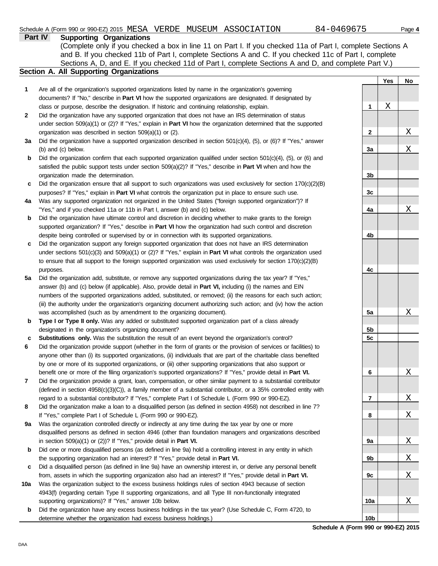|              | 84-0469675<br>Schedule A (Form 990 or 990-EZ) 2015 MESA VERDE MUSEUM ASSOCIATION                                                                                                                                                                                                                                                                                            |                   | Page 4      |
|--------------|-----------------------------------------------------------------------------------------------------------------------------------------------------------------------------------------------------------------------------------------------------------------------------------------------------------------------------------------------------------------------------|-------------------|-------------|
|              | Part IV<br><b>Supporting Organizations</b><br>(Complete only if you checked a box in line 11 on Part I. If you checked 11a of Part I, complete Sections A<br>and B. If you checked 11b of Part I, complete Sections A and C. If you checked 11c of Part I, complete<br>Sections A, D, and E. If you checked 11d of Part I, complete Sections A and D, and complete Part V.) |                   |             |
|              | Section A. All Supporting Organizations                                                                                                                                                                                                                                                                                                                                     | Yes               | No          |
| 1            | Are all of the organization's supported organizations listed by name in the organization's governing                                                                                                                                                                                                                                                                        |                   |             |
|              | documents? If "No," describe in Part VI how the supported organizations are designated. If designated by                                                                                                                                                                                                                                                                    |                   |             |
|              | class or purpose, describe the designation. If historic and continuing relationship, explain.                                                                                                                                                                                                                                                                               | X<br>$\mathbf{1}$ |             |
| $\mathbf{2}$ | Did the organization have any supported organization that does not have an IRS determination of status                                                                                                                                                                                                                                                                      |                   |             |
|              | under section $509(a)(1)$ or (2)? If "Yes," explain in <b>Part VI</b> how the organization determined that the supported                                                                                                                                                                                                                                                    |                   |             |
|              | organization was described in section 509(a)(1) or (2).                                                                                                                                                                                                                                                                                                                     | $\mathbf{2}$      | $\mathbf X$ |
| За           | Did the organization have a supported organization described in section $501(c)(4)$ , (5), or (6)? If "Yes," answer                                                                                                                                                                                                                                                         |                   |             |
|              | (b) and (c) below.                                                                                                                                                                                                                                                                                                                                                          | 3a                | $\mathbf X$ |
| b            | Did the organization confirm that each supported organization qualified under section $501(c)(4)$ , (5), or (6) and                                                                                                                                                                                                                                                         |                   |             |
|              | satisfied the public support tests under section 509(a)(2)? If "Yes," describe in Part VI when and how the                                                                                                                                                                                                                                                                  |                   |             |
|              | organization made the determination.                                                                                                                                                                                                                                                                                                                                        | 3b                |             |
| c            | Did the organization ensure that all support to such organizations was used exclusively for section $170(c)(2)(B)$                                                                                                                                                                                                                                                          |                   |             |
|              | purposes? If "Yes," explain in <b>Part VI</b> what controls the organization put in place to ensure such use.                                                                                                                                                                                                                                                               | 3c                |             |
| 4a           | Was any supported organization not organized in the United States ("foreign supported organization")? If                                                                                                                                                                                                                                                                    |                   |             |
|              | "Yes," and if you checked 11a or 11b in Part I, answer (b) and (c) below.                                                                                                                                                                                                                                                                                                   | 4a                | Χ           |
| b            | Did the organization have ultimate control and discretion in deciding whether to make grants to the foreign                                                                                                                                                                                                                                                                 |                   |             |
|              | supported organization? If "Yes," describe in Part VI how the organization had such control and discretion                                                                                                                                                                                                                                                                  |                   |             |
|              |                                                                                                                                                                                                                                                                                                                                                                             | 4b                |             |
|              | despite being controlled or supervised by or in connection with its supported organizations.                                                                                                                                                                                                                                                                                |                   |             |
| c            | Did the organization support any foreign supported organization that does not have an IRS determination                                                                                                                                                                                                                                                                     |                   |             |
|              | under sections $501(c)(3)$ and $509(a)(1)$ or (2)? If "Yes," explain in <b>Part VI</b> what controls the organization used                                                                                                                                                                                                                                                  |                   |             |
|              | to ensure that all support to the foreign supported organization was used exclusively for section 170(c)(2)(B)                                                                                                                                                                                                                                                              |                   |             |
|              | purposes.                                                                                                                                                                                                                                                                                                                                                                   | 4с                |             |
| 5a           | Did the organization add, substitute, or remove any supported organizations during the tax year? If "Yes,"                                                                                                                                                                                                                                                                  |                   |             |
|              | answer (b) and (c) below (if applicable). Also, provide detail in Part VI, including (i) the names and EIN                                                                                                                                                                                                                                                                  |                   |             |
|              | numbers of the supported organizations added, substituted, or removed; (ii) the reasons for each such action;                                                                                                                                                                                                                                                               |                   |             |
|              | (iii) the authority under the organization's organizing document authorizing such action; and (iv) how the action                                                                                                                                                                                                                                                           |                   |             |
|              | was accomplished (such as by amendment to the organizing document).                                                                                                                                                                                                                                                                                                         | 5a                | Χ           |
| b            | Type I or Type II only. Was any added or substituted supported organization part of a class already                                                                                                                                                                                                                                                                         |                   |             |
|              | designated in the organization's organizing document?                                                                                                                                                                                                                                                                                                                       | 5b                |             |
| c            | Substitutions only. Was the substitution the result of an event beyond the organization's control?                                                                                                                                                                                                                                                                          | 5c                |             |
| 6            | Did the organization provide support (whether in the form of grants or the provision of services or facilities) to                                                                                                                                                                                                                                                          |                   |             |
|              | anyone other than (i) its supported organizations, (ii) individuals that are part of the charitable class benefited                                                                                                                                                                                                                                                         |                   |             |
|              | by one or more of its supported organizations, or (iii) other supporting organizations that also support or                                                                                                                                                                                                                                                                 |                   |             |
|              | benefit one or more of the filing organization's supported organizations? If "Yes," provide detail in Part VI.                                                                                                                                                                                                                                                              | 6                 | X           |

- **7** Did the organization provide a grant, loan, compensation, or other similar payment to a substantial contributor (defined in section 4958(c)(3)(C)), a family member of a substantial contributor, or a 35% controlled entity with regard to a substantial contributor? If "Yes," complete Part I of Schedule L (Form 990 or 990-EZ).
- **8** Did the organization make a loan to a disqualified person (as defined in section 4958) not described in line 7? If "Yes," complete Part I of Schedule L (Form 990 or 990-EZ).
- **9a** Was the organization controlled directly or indirectly at any time during the tax year by one or more disqualified persons as defined in section 4946 (other than foundation managers and organizations described in section 509(a)(1) or (2))? If "Yes," provide detail in **Part VI.**
- **b** Did one or more disqualified persons (as defined in line 9a) hold a controlling interest in any entity in which the supporting organization had an interest? If "Yes," provide detail in **Part VI.**
- **c** Did a disqualified person (as defined in line 9a) have an ownership interest in, or derive any personal benefit from, assets in which the supporting organization also had an interest? If "Yes," provide detail in **Part VI.**
- **10a** Was the organization subject to the excess business holdings rules of section 4943 because of section 4943(f) (regarding certain Type II supporting organizations, and all Type III non-functionally integrated supporting organizations)? If "Yes," answer 10b below.
- **b** Did the organization have any excess business holdings in the tax year? (Use Schedule C, Form 4720, to determine whether the organization had excess business holdings.)

**Schedule A (Form 990 or 990-EZ) 2015 10b**

**7**

X

X

X

X

X

X

**8**

**9a**

**9b**

**9c**

**10a**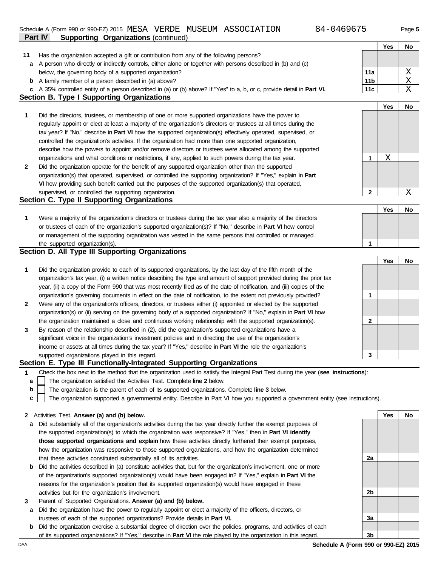### **Part IV Supporting Organizations** (continued) Schedule A (Form 990 or 990-EZ) 2015 MESA VERDE MUSEUM ASSOCIATION 684-0469675 Page 5

Has the organization accepted a gift or contribution from any of the following persons?

**11**

| 84-046967 |  |
|-----------|--|
|-----------|--|

**Yes No**

|              | a A person who directly or indirectly controls, either alone or together with persons described in (b) and (c)                    |                 |     |                         |
|--------------|-----------------------------------------------------------------------------------------------------------------------------------|-----------------|-----|-------------------------|
|              | below, the governing body of a supported organization?                                                                            | 11a             |     | $\overline{\mathrm{X}}$ |
|              | <b>b</b> A family member of a person described in (a) above?                                                                      | 11 <sub>b</sub> |     | $\mathbf{X}$            |
|              | c A 35% controlled entity of a person described in (a) or (b) above? If "Yes" to a, b, or c, provide detail in Part VI.           | 11c             |     | X                       |
|              | <b>Section B. Type I Supporting Organizations</b>                                                                                 |                 |     |                         |
|              |                                                                                                                                   |                 | Yes | No                      |
| 1            | Did the directors, trustees, or membership of one or more supported organizations have the power to                               |                 |     |                         |
|              | regularly appoint or elect at least a majority of the organization's directors or trustees at all times during the                |                 |     |                         |
|              | tax year? If "No," describe in Part VI how the supported organization(s) effectively operated, supervised, or                     |                 |     |                         |
|              | controlled the organization's activities. If the organization had more than one supported organization,                           |                 |     |                         |
|              | describe how the powers to appoint and/or remove directors or trustees were allocated among the supported                         |                 |     |                         |
|              | organizations and what conditions or restrictions, if any, applied to such powers during the tax year.                            | 1               | Χ   |                         |
| $\mathbf{2}$ | Did the organization operate for the benefit of any supported organization other than the supported                               |                 |     |                         |
|              | organization(s) that operated, supervised, or controlled the supporting organization? If "Yes," explain in Part                   |                 |     |                         |
|              | VI how providing such benefit carried out the purposes of the supported organization(s) that operated,                            |                 |     |                         |
|              | supervised, or controlled the supporting organization.                                                                            | $\mathbf{2}$    |     | Χ                       |
|              | Section C. Type II Supporting Organizations                                                                                       |                 |     |                         |
|              |                                                                                                                                   |                 | Yes | No                      |
| 1            | Were a majority of the organization's directors or trustees during the tax year also a majority of the directors                  |                 |     |                         |
|              | or trustees of each of the organization's supported organization(s)? If "No," describe in Part VI how control                     |                 |     |                         |
|              | or management of the supporting organization was vested in the same persons that controlled or managed                            |                 |     |                         |
|              | the supported organization(s).                                                                                                    | 1               |     |                         |
|              | Section D. All Type III Supporting Organizations                                                                                  |                 |     |                         |
|              |                                                                                                                                   |                 | Yes | No                      |
| 1            | Did the organization provide to each of its supported organizations, by the last day of the fifth month of the                    |                 |     |                         |
|              | organization's tax year, (i) a written notice describing the type and amount of support provided during the prior tax             |                 |     |                         |
|              | year, (ii) a copy of the Form 990 that was most recently filed as of the date of notification, and (iii) copies of the            |                 |     |                         |
|              | organization's governing documents in effect on the date of notification, to the extent not previously provided?                  | 1               |     |                         |
| 2            | Were any of the organization's officers, directors, or trustees either (i) appointed or elected by the supported                  |                 |     |                         |
|              | organization(s) or (ii) serving on the governing body of a supported organization? If "No," explain in Part VI how                |                 |     |                         |
|              | the organization maintained a close and continuous working relationship with the supported organization(s).                       | 2               |     |                         |
| 3            | By reason of the relationship described in (2), did the organization's supported organizations have a                             |                 |     |                         |
|              | significant voice in the organization's investment policies and in directing the use of the organization's                        |                 |     |                         |
|              | income or assets at all times during the tax year? If "Yes," describe in Part VI the role the organization's                      |                 |     |                         |
|              | supported organizations played in this regard.                                                                                    | 3               |     |                         |
|              | Section E. Type III Functionally-Integrated Supporting Organizations                                                              |                 |     |                         |
| 1            | Check the box next to the method that the organization used to satisfy the Integral Part Test during the year (see instructions): |                 |     |                         |
|              | The organization satisfied the Activities Test. Complete line 2 below.                                                            |                 |     |                         |
| b            | The organization is the parent of each of its supported organizations. Complete line 3 below.                                     |                 |     |                         |
| c            | The organization supported a governmental entity. Describe in Part VI how you supported a government entity (see instructions).   |                 |     |                         |
|              | 2 Activities Test. Answer (a) and (b) below.                                                                                      |                 | Yes | No                      |
| a            | Did substantially all of the organization's activities during the tax year directly further the exempt purposes of                |                 |     |                         |
|              | the supported organization(s) to which the organization was responsive? If "Yes," then in Part VI identify                        |                 |     |                         |
|              | those supported organizations and explain how these activities directly furthered their exempt purposes,                          |                 |     |                         |
|              | how the organization was responsive to those supported organizations, and how the organization determined                         |                 |     |                         |
|              | that these activities constituted substantially all of its activities.                                                            | 2a              |     |                         |
| b            | Did the activities described in (a) constitute activities that, but for the organization's involvement, one or more               |                 |     |                         |
|              | of the organization's supported organization(s) would have been engaged in? If "Yes," explain in Part VI the                      |                 |     |                         |
|              | reasons for the organization's position that its supported organization(s) would have engaged in these                            |                 |     |                         |
|              | activities but for the organization's involvement.                                                                                | 2b              |     |                         |
| 3            | Parent of Supported Organizations. Answer (a) and (b) below.                                                                      |                 |     |                         |
| a            | Did the organization have the power to regularly appoint or elect a majority of the officers, directors, or                       |                 |     |                         |
|              | trustees of each of the supported organizations? Provide details in Part VI.                                                      | 3a              |     |                         |
| b            | Did the organization exercise a substantial degree of direction over the policies, programs, and activities of each               |                 |     |                         |
|              | of its supported organizations? If "Yes," describe in Part VI the role played by the organization in this regard.                 | 3b              |     |                         |
| DAA          | Schedule A (Form 990 or 990-EZ) 2015                                                                                              |                 |     |                         |
|              |                                                                                                                                   |                 |     |                         |
|              |                                                                                                                                   |                 |     |                         |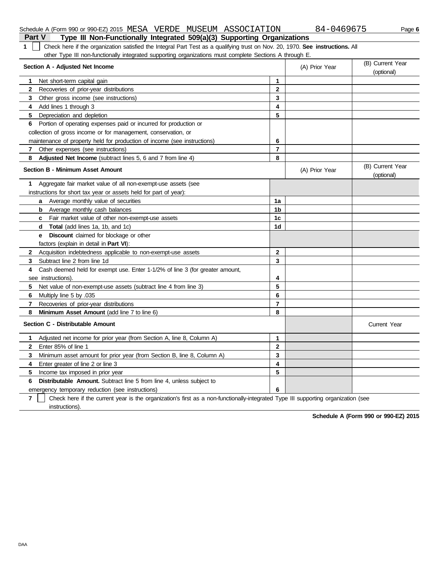| Check here if the organization satisfied the Integral Part Test as a qualifying trust on Nov. 20, 1970. See instructions. All<br>$\mathbf 1$ |                |                |                                |
|----------------------------------------------------------------------------------------------------------------------------------------------|----------------|----------------|--------------------------------|
| other Type III non-functionally integrated supporting organizations must complete Sections A through E.                                      |                |                |                                |
| Section A - Adjusted Net Income                                                                                                              |                | (A) Prior Year | (B) Current Year<br>(optional) |
| Net short-term capital gain<br>1                                                                                                             | 1              |                |                                |
| $\mathbf{2}$<br>Recoveries of prior-year distributions                                                                                       | $\mathbf 2$    |                |                                |
| 3<br>Other gross income (see instructions)                                                                                                   | 3              |                |                                |
| 4<br>Add lines 1 through 3                                                                                                                   | 4              |                |                                |
| Depreciation and depletion<br>5                                                                                                              | 5              |                |                                |
| Portion of operating expenses paid or incurred for production or<br>6                                                                        |                |                |                                |
| collection of gross income or for management, conservation, or                                                                               |                |                |                                |
| maintenance of property held for production of income (see instructions)                                                                     | 6              |                |                                |
| Other expenses (see instructions)<br>7                                                                                                       | $\overline{7}$ |                |                                |
| 8<br><b>Adjusted Net Income</b> (subtract lines 5, 6 and 7 from line 4)                                                                      | 8              |                |                                |
| <b>Section B - Minimum Asset Amount</b>                                                                                                      |                | (A) Prior Year | (B) Current Year<br>(optional) |
| Aggregate fair market value of all non-exempt-use assets (see<br>1                                                                           |                |                |                                |
| instructions for short tax year or assets held for part of year):                                                                            |                |                |                                |
| <b>a</b> Average monthly value of securities                                                                                                 | 1a             |                |                                |
| <b>b</b> Average monthly cash balances                                                                                                       | 1b             |                |                                |
| <b>c</b> Fair market value of other non-exempt-use assets                                                                                    | 1c             |                |                                |
| <b>Total</b> (add lines 1a, 1b, and 1c)<br>d                                                                                                 | 1d             |                |                                |
| <b>e</b> Discount claimed for blockage or other                                                                                              |                |                |                                |
| factors (explain in detail in Part VI):                                                                                                      |                |                |                                |
| Acquisition indebtedness applicable to non-exempt-use assets<br>$\mathbf{2}$                                                                 | $\overline{2}$ |                |                                |
| 3<br>Subtract line 2 from line 1d                                                                                                            | 3              |                |                                |
| Cash deemed held for exempt use. Enter 1-1/2% of line 3 (for greater amount,<br>4                                                            |                |                |                                |
| see instructions)                                                                                                                            | 4              |                |                                |
| 5.<br>Net value of non-exempt-use assets (subtract line 4 from line 3)                                                                       | 5              |                |                                |
| 6<br>Multiply line 5 by .035                                                                                                                 | 6              |                |                                |
| 7<br>Recoveries of prior-year distributions                                                                                                  | $\overline{7}$ |                |                                |
| 8<br>Minimum Asset Amount (add line 7 to line 6)                                                                                             | 8              |                |                                |
| Section C - Distributable Amount                                                                                                             |                |                | <b>Current Year</b>            |
| Adjusted net income for prior year (from Section A, line 8, Column A)<br>1.                                                                  | 1              |                |                                |
| Enter 85% of line 1<br>$\mathbf{2}$                                                                                                          | $\mathbf{2}$   |                |                                |
| 3<br>Minimum asset amount for prior year (from Section B, line 8, Column A)                                                                  | 3              |                |                                |
| 4<br>Enter greater of line 2 or line 3                                                                                                       | 4              |                |                                |
| 5<br>Income tax imposed in prior year                                                                                                        | 5              |                |                                |
| Distributable Amount. Subtract line 5 from line 4, unless subject to<br>6                                                                    |                |                |                                |
| emergency temporary reduction (see instructions)                                                                                             | 6              |                |                                |

**7** Check here if the current year is the organization's first as a non-functionally-integrated Type III supporting organization (see

## **Part V Type III Non-Functionally Integrated 509(a)(3) Supporting Organizations**

**Schedule A (Form 990 or 990-EZ) 2015**

instructions).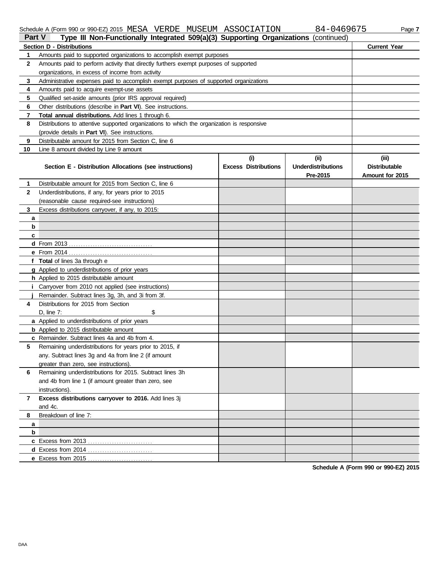### Schedule A (Form 990 or 990-EZ) 2015 MESA VERDE MUSEUM ASSOCIATION 84-0469675 Page 7

| 0469675 |  |  |
|---------|--|--|
|---------|--|--|

| <b>Part V</b> | SCIEDING M (LOILLI SAO DI SAO-ET) SOTO INE DHA IN ETELLE IMO DE OLAH TERRITORI                                                            |                             | 04-0402073                | raye r               |
|---------------|-------------------------------------------------------------------------------------------------------------------------------------------|-----------------------------|---------------------------|----------------------|
|               | Type III Non-Functionally Integrated 509(a)(3) Supporting Organizations (continued)                                                       |                             |                           |                      |
|               | <b>Section D - Distributions</b>                                                                                                          |                             |                           | <b>Current Year</b>  |
| 1             | Amounts paid to supported organizations to accomplish exempt purposes                                                                     |                             |                           |                      |
| $\mathbf{2}$  | Amounts paid to perform activity that directly furthers exempt purposes of supported                                                      |                             |                           |                      |
|               | organizations, in excess of income from activity<br>Administrative expenses paid to accomplish exempt purposes of supported organizations |                             |                           |                      |
| 3             |                                                                                                                                           |                             |                           |                      |
| 4<br>5        | Amounts paid to acquire exempt-use assets                                                                                                 |                             |                           |                      |
|               | Qualified set-aside amounts (prior IRS approval required)                                                                                 |                             |                           |                      |
| 6             | Other distributions (describe in Part VI). See instructions.                                                                              |                             |                           |                      |
| 7             | Total annual distributions. Add lines 1 through 6.                                                                                        |                             |                           |                      |
| 8             | Distributions to attentive supported organizations to which the organization is responsive                                                |                             |                           |                      |
|               | (provide details in Part VI). See instructions.                                                                                           |                             |                           |                      |
| 9             | Distributable amount for 2015 from Section C, line 6                                                                                      |                             |                           |                      |
| 10            | Line 8 amount divided by Line 9 amount                                                                                                    |                             |                           |                      |
|               |                                                                                                                                           | (i)                         | (ii)                      | (iii)                |
|               | Section E - Distribution Allocations (see instructions)                                                                                   | <b>Excess Distributions</b> | <b>Underdistributions</b> | <b>Distributable</b> |
|               |                                                                                                                                           |                             | Pre-2015                  | Amount for 2015      |
| 1.            | Distributable amount for 2015 from Section C, line 6                                                                                      |                             |                           |                      |
| $\mathbf{2}$  | Underdistributions, if any, for years prior to 2015                                                                                       |                             |                           |                      |
|               | (reasonable cause required-see instructions)                                                                                              |                             |                           |                      |
| 3             | Excess distributions carryover, if any, to 2015:                                                                                          |                             |                           |                      |
| a             |                                                                                                                                           |                             |                           |                      |
| b             |                                                                                                                                           |                             |                           |                      |
| c             |                                                                                                                                           |                             |                           |                      |
|               |                                                                                                                                           |                             |                           |                      |
|               |                                                                                                                                           |                             |                           |                      |
|               | f Total of lines 3a through e                                                                                                             |                             |                           |                      |
|               | g Applied to underdistributions of prior years                                                                                            |                             |                           |                      |
|               | h Applied to 2015 distributable amount                                                                                                    |                             |                           |                      |
|               | Carryover from 2010 not applied (see instructions)                                                                                        |                             |                           |                      |
|               | Remainder. Subtract lines 3g, 3h, and 3i from 3f.                                                                                         |                             |                           |                      |
| 4             | Distributions for 2015 from Section                                                                                                       |                             |                           |                      |
|               | D, line $7$ :<br>\$                                                                                                                       |                             |                           |                      |
|               | a Applied to underdistributions of prior years                                                                                            |                             |                           |                      |
|               | <b>b</b> Applied to 2015 distributable amount                                                                                             |                             |                           |                      |
|               | c Remainder. Subtract lines 4a and 4b from 4.                                                                                             |                             |                           |                      |
| 5             | Remaining underdistributions for years prior to 2015, if                                                                                  |                             |                           |                      |
|               | any. Subtract lines 3g and 4a from line 2 (if amount                                                                                      |                             |                           |                      |
|               | greater than zero, see instructions).                                                                                                     |                             |                           |                      |
| 6             | Remaining underdistributions for 2015. Subtract lines 3h                                                                                  |                             |                           |                      |
|               | and 4b from line 1 (if amount greater than zero, see                                                                                      |                             |                           |                      |
|               | instructions).                                                                                                                            |                             |                           |                      |
| 7             | Excess distributions carryover to 2016. Add lines 3j                                                                                      |                             |                           |                      |
|               | and 4c.                                                                                                                                   |                             |                           |                      |
| 8             | Breakdown of line 7:                                                                                                                      |                             |                           |                      |
| a             |                                                                                                                                           |                             |                           |                      |
| b             |                                                                                                                                           |                             |                           |                      |
|               | <b>c</b> Excess from 2013                                                                                                                 |                             |                           |                      |
|               |                                                                                                                                           |                             |                           |                      |
|               |                                                                                                                                           |                             |                           |                      |

**Schedule A (Form 990 or 990-EZ) 2015**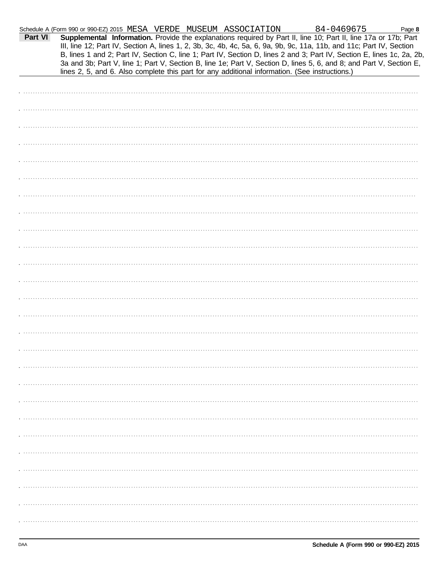| Part VI | Schedule A (Form 990 or 990-EZ) 2015 MESA VERDE MUSEUM ASSOCIATION<br>Supplemental Information. Provide the explanations required by Part II, line 10; Part II, line 17a or 17b; Part<br>III, line 12; Part IV, Section A, lines 1, 2, 3b, 3c, 4b, 4c, 5a, 6, 9a, 9b, 9c, 11a, 11b, and 11c; Part IV, Section<br>B, lines 1 and 2; Part IV, Section C, line 1; Part IV, Section D, lines 2 and 3; Part IV, Section E, lines 1c, 2a, 2b,<br>3a and 3b; Part V, line 1; Part V, Section B, line 1e; Part V, Section D, lines 5, 6, and 8; and Part V, Section E, |  | 84-0469675 | Page 8 |
|---------|----------------------------------------------------------------------------------------------------------------------------------------------------------------------------------------------------------------------------------------------------------------------------------------------------------------------------------------------------------------------------------------------------------------------------------------------------------------------------------------------------------------------------------------------------------------|--|------------|--------|
|         | lines 2, 5, and 6. Also complete this part for any additional information. (See instructions.)                                                                                                                                                                                                                                                                                                                                                                                                                                                                 |  |            |        |
|         |                                                                                                                                                                                                                                                                                                                                                                                                                                                                                                                                                                |  |            |        |
|         |                                                                                                                                                                                                                                                                                                                                                                                                                                                                                                                                                                |  |            |        |
|         |                                                                                                                                                                                                                                                                                                                                                                                                                                                                                                                                                                |  |            |        |
|         |                                                                                                                                                                                                                                                                                                                                                                                                                                                                                                                                                                |  |            |        |
|         |                                                                                                                                                                                                                                                                                                                                                                                                                                                                                                                                                                |  |            |        |
|         |                                                                                                                                                                                                                                                                                                                                                                                                                                                                                                                                                                |  |            |        |
|         |                                                                                                                                                                                                                                                                                                                                                                                                                                                                                                                                                                |  |            |        |
|         |                                                                                                                                                                                                                                                                                                                                                                                                                                                                                                                                                                |  |            |        |
|         |                                                                                                                                                                                                                                                                                                                                                                                                                                                                                                                                                                |  |            |        |
|         |                                                                                                                                                                                                                                                                                                                                                                                                                                                                                                                                                                |  |            |        |
|         |                                                                                                                                                                                                                                                                                                                                                                                                                                                                                                                                                                |  |            |        |
|         |                                                                                                                                                                                                                                                                                                                                                                                                                                                                                                                                                                |  |            |        |
|         |                                                                                                                                                                                                                                                                                                                                                                                                                                                                                                                                                                |  |            |        |
|         |                                                                                                                                                                                                                                                                                                                                                                                                                                                                                                                                                                |  |            |        |
|         |                                                                                                                                                                                                                                                                                                                                                                                                                                                                                                                                                                |  |            |        |
|         |                                                                                                                                                                                                                                                                                                                                                                                                                                                                                                                                                                |  |            |        |
|         |                                                                                                                                                                                                                                                                                                                                                                                                                                                                                                                                                                |  |            |        |
|         |                                                                                                                                                                                                                                                                                                                                                                                                                                                                                                                                                                |  |            |        |
|         |                                                                                                                                                                                                                                                                                                                                                                                                                                                                                                                                                                |  |            |        |
|         |                                                                                                                                                                                                                                                                                                                                                                                                                                                                                                                                                                |  |            |        |
|         |                                                                                                                                                                                                                                                                                                                                                                                                                                                                                                                                                                |  |            |        |
|         |                                                                                                                                                                                                                                                                                                                                                                                                                                                                                                                                                                |  |            |        |
|         |                                                                                                                                                                                                                                                                                                                                                                                                                                                                                                                                                                |  |            |        |
|         |                                                                                                                                                                                                                                                                                                                                                                                                                                                                                                                                                                |  |            |        |
|         |                                                                                                                                                                                                                                                                                                                                                                                                                                                                                                                                                                |  |            |        |
|         |                                                                                                                                                                                                                                                                                                                                                                                                                                                                                                                                                                |  |            |        |
|         |                                                                                                                                                                                                                                                                                                                                                                                                                                                                                                                                                                |  |            |        |
|         |                                                                                                                                                                                                                                                                                                                                                                                                                                                                                                                                                                |  |            |        |
|         |                                                                                                                                                                                                                                                                                                                                                                                                                                                                                                                                                                |  |            |        |
|         |                                                                                                                                                                                                                                                                                                                                                                                                                                                                                                                                                                |  |            |        |
|         |                                                                                                                                                                                                                                                                                                                                                                                                                                                                                                                                                                |  |            |        |
|         |                                                                                                                                                                                                                                                                                                                                                                                                                                                                                                                                                                |  |            |        |
|         |                                                                                                                                                                                                                                                                                                                                                                                                                                                                                                                                                                |  |            |        |
|         |                                                                                                                                                                                                                                                                                                                                                                                                                                                                                                                                                                |  |            |        |
|         |                                                                                                                                                                                                                                                                                                                                                                                                                                                                                                                                                                |  |            |        |
|         |                                                                                                                                                                                                                                                                                                                                                                                                                                                                                                                                                                |  |            |        |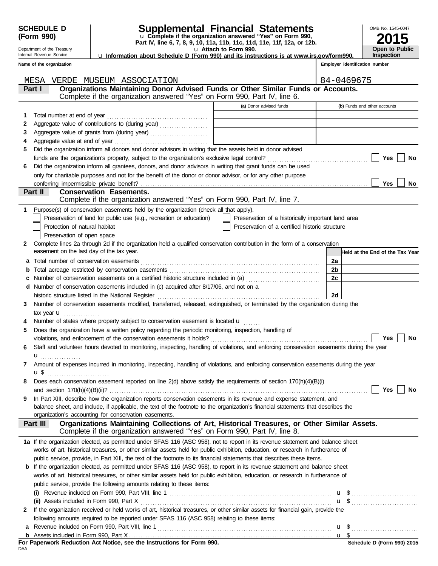DAA

Department of the Treasury Internal Revenue Service

### **SCHEDULE D Supplemental Financial Statements**

**Part IV, line 6, 7, 8, 9, 10, 11a, 11b, 11c, 11d, 11e, 11f, 12a, or 12b.** u **Complete if the organization answered "Yes" on Form 990,**

u **Attach to Form 990.**  u **Information about Schedule D (Form 990) and its instructions is at www.irs.gov/form990.**

| OMB No. 1545-0047                   |
|-------------------------------------|
| 2015                                |
| <b>Open to Public</b><br>Inspection |

**Employer identification number**

**Name of the organization**

|                | MESA<br>VERDE MUSEUM ASSOCIATION                                                                                                                       |                                                    |                | 84-0469675                      |
|----------------|--------------------------------------------------------------------------------------------------------------------------------------------------------|----------------------------------------------------|----------------|---------------------------------|
|                | Organizations Maintaining Donor Advised Funds or Other Similar Funds or Accounts.<br>Part I                                                            |                                                    |                |                                 |
|                | Complete if the organization answered "Yes" on Form 990, Part IV, line 6.                                                                              |                                                    |                |                                 |
|                |                                                                                                                                                        | (a) Donor advised funds                            |                | (b) Funds and other accounts    |
| 1.             | Total number at end of year                                                                                                                            |                                                    |                |                                 |
| 2              | Aggregate value of contributions to (during year)                                                                                                      |                                                    |                |                                 |
| 3              |                                                                                                                                                        |                                                    |                |                                 |
| 4              |                                                                                                                                                        |                                                    |                |                                 |
| 5              | Did the organization inform all donors and donor advisors in writing that the assets held in donor advised                                             |                                                    |                |                                 |
|                |                                                                                                                                                        |                                                    |                | <b>Yes</b><br>No                |
| 6              | Did the organization inform all grantees, donors, and donor advisors in writing that grant funds can be used                                           |                                                    |                |                                 |
|                | only for charitable purposes and not for the benefit of the donor or donor advisor, or for any other purpose                                           |                                                    |                |                                 |
|                |                                                                                                                                                        |                                                    |                | Yes<br>No                       |
|                | <b>Conservation Easements.</b><br>Part II                                                                                                              |                                                    |                |                                 |
|                | Complete if the organization answered "Yes" on Form 990, Part IV, line 7.                                                                              |                                                    |                |                                 |
|                | 1 Purpose(s) of conservation easements held by the organization (check all that apply).                                                                |                                                    |                |                                 |
|                | Preservation of land for public use (e.g., recreation or education)                                                                                    | Preservation of a historically important land area |                |                                 |
|                | Protection of natural habitat                                                                                                                          | Preservation of a certified historic structure     |                |                                 |
|                | Preservation of open space                                                                                                                             |                                                    |                |                                 |
| $\mathbf{2}^-$ | Complete lines 2a through 2d if the organization held a qualified conservation contribution in the form of a conservation                              |                                                    |                |                                 |
|                | easement on the last day of the tax year.                                                                                                              |                                                    |                | Held at the End of the Tax Year |
| a              |                                                                                                                                                        |                                                    | 2a             |                                 |
| b              |                                                                                                                                                        |                                                    | 2 <sub>b</sub> |                                 |
| c              | Number of conservation easements on a certified historic structure included in (a) [[[[[ [ [ ]]]                                                       |                                                    | 2c             |                                 |
| d              | Number of conservation easements included in (c) acquired after 8/17/06, and not on a                                                                  |                                                    |                |                                 |
|                |                                                                                                                                                        |                                                    | 2d             |                                 |
| 3              | Number of conservation easements modified, transferred, released, extinguished, or terminated by the organization during the                           |                                                    |                |                                 |
|                | tax year $\mathbf u$                                                                                                                                   |                                                    |                |                                 |
|                | Number of states where property subject to conservation easement is located <b>u</b>                                                                   |                                                    |                |                                 |
| 5              | Does the organization have a written policy regarding the periodic monitoring, inspection, handling of                                                 |                                                    |                |                                 |
|                |                                                                                                                                                        |                                                    |                | <b>Yes</b><br>No                |
| 6              | Staff and volunteer hours devoted to monitoring, inspecting, handling of violations, and enforcing conservation easements during the year              |                                                    |                |                                 |
|                |                                                                                                                                                        |                                                    |                |                                 |
| 7              | Amount of expenses incurred in monitoring, inspecting, handling of violations, and enforcing conservation easements during the year                    |                                                    |                |                                 |
|                | u \$                                                                                                                                                   |                                                    |                |                                 |
|                | Does each conservation easement reported on line $2(d)$ above satisfy the requirements of section $170(h)(4)(B)(i)$                                    |                                                    |                |                                 |
|                | and section $170(h)(4)(B)(ii)?$                                                                                                                        |                                                    |                | <b>Yes</b><br>No                |
|                | In Part XIII, describe how the organization reports conservation easements in its revenue and expense statement, and                                   |                                                    |                |                                 |
|                | balance sheet, and include, if applicable, the text of the footnote to the organization's financial statements that describes the                      |                                                    |                |                                 |
|                | organization's accounting for conservation easements.                                                                                                  |                                                    |                |                                 |
|                | Organizations Maintaining Collections of Art, Historical Treasures, or Other Similar Assets.<br>Part III                                               |                                                    |                |                                 |
|                | Complete if the organization answered "Yes" on Form 990, Part IV, line 8.                                                                              |                                                    |                |                                 |
|                | 1a If the organization elected, as permitted under SFAS 116 (ASC 958), not to report in its revenue statement and balance sheet                        |                                                    |                |                                 |
|                | works of art, historical treasures, or other similar assets held for public exhibition, education, or research in furtherance of                       |                                                    |                |                                 |
|                | public service, provide, in Part XIII, the text of the footnote to its financial statements that describes these items.                                |                                                    |                |                                 |
|                | <b>b</b> If the organization elected, as permitted under SFAS 116 (ASC 958), to report in its revenue statement and balance sheet                      |                                                    |                |                                 |
|                | works of art, historical treasures, or other similar assets held for public exhibition, education, or research in furtherance of                       |                                                    |                |                                 |
|                | public service, provide the following amounts relating to these items:                                                                                 |                                                    |                |                                 |
|                | (i) Revenue included on Form 990, Part VIII, line 1 $\ldots$ $\ldots$ $\ldots$ $\ldots$ $\ldots$ $\ldots$ $\ldots$ $\ldots$ $\ldots$ $\ldots$ $\ldots$ |                                                    |                |                                 |
|                |                                                                                                                                                        |                                                    |                |                                 |
| 2              | If the organization received or held works of art, historical treasures, or other similar assets for financial gain, provide the                       |                                                    |                |                                 |
|                | following amounts required to be reported under SFAS 116 (ASC 958) relating to these items:                                                            |                                                    |                |                                 |
|                |                                                                                                                                                        |                                                    |                |                                 |
|                |                                                                                                                                                        |                                                    |                |                                 |
|                | For Paperwork Reduction Act Notice, see the Instructions for Form 990.                                                                                 |                                                    |                | Schedule D (Form 990) 2015      |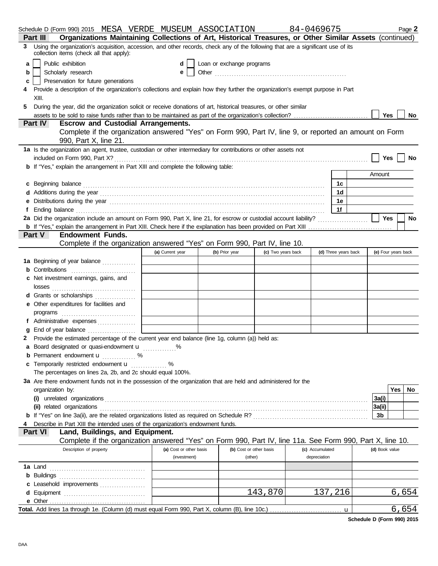| Schedule D (Form 990) 2015 MESA VERDE MUSEUM ASSOCIATION                                                                                                                                                                       |                                         |                                    |                    | 84-0469675                      |                      |                | Page 2              |
|--------------------------------------------------------------------------------------------------------------------------------------------------------------------------------------------------------------------------------|-----------------------------------------|------------------------------------|--------------------|---------------------------------|----------------------|----------------|---------------------|
| Organizations Maintaining Collections of Art, Historical Treasures, or Other Similar Assets (continued)<br>Part III                                                                                                            |                                         |                                    |                    |                                 |                      |                |                     |
| Using the organization's acquisition, accession, and other records, check any of the following that are a significant use of its<br>3<br>collection items (check all that apply):                                              |                                         |                                    |                    |                                 |                      |                |                     |
| Public exhibition<br>a                                                                                                                                                                                                         | d                                       | Loan or exchange programs          |                    |                                 |                      |                |                     |
| Scholarly research<br>b                                                                                                                                                                                                        | e                                       |                                    |                    |                                 |                      |                |                     |
| Preservation for future generations<br>c                                                                                                                                                                                       |                                         |                                    |                    |                                 |                      |                |                     |
| Provide a description of the organization's collections and explain how they further the organization's exempt purpose in Part<br>4                                                                                            |                                         |                                    |                    |                                 |                      |                |                     |
| XIII.                                                                                                                                                                                                                          |                                         |                                    |                    |                                 |                      |                |                     |
| 5<br>During the year, did the organization solicit or receive donations of art, historical treasures, or other similar                                                                                                         |                                         |                                    |                    |                                 |                      |                |                     |
|                                                                                                                                                                                                                                |                                         |                                    |                    |                                 |                      |                | Yes<br>No           |
| <b>Part IV</b><br><b>Escrow and Custodial Arrangements.</b>                                                                                                                                                                    |                                         |                                    |                    |                                 |                      |                |                     |
| Complete if the organization answered "Yes" on Form 990, Part IV, line 9, or reported an amount on Form<br>990, Part X, line 21.                                                                                               |                                         |                                    |                    |                                 |                      |                |                     |
| 1a Is the organization an agent, trustee, custodian or other intermediary for contributions or other assets not                                                                                                                |                                         |                                    |                    |                                 |                      |                |                     |
|                                                                                                                                                                                                                                |                                         |                                    |                    |                                 |                      |                | Yes  <br>No         |
| <b>b</b> If "Yes," explain the arrangement in Part XIII and complete the following table:                                                                                                                                      |                                         |                                    |                    |                                 |                      |                |                     |
|                                                                                                                                                                                                                                |                                         |                                    |                    |                                 |                      | Amount         |                     |
| c Beginning balance encourance and all the contract of the contract of the contract of the contract of the contract of the contract of the contract of the contract of the contract of the contract of the contract of the con |                                         |                                    |                    |                                 | 1c                   |                |                     |
|                                                                                                                                                                                                                                |                                         |                                    |                    |                                 | 1d                   |                |                     |
|                                                                                                                                                                                                                                |                                         |                                    |                    |                                 | 1e                   |                |                     |
|                                                                                                                                                                                                                                |                                         |                                    |                    |                                 | 1f                   |                |                     |
|                                                                                                                                                                                                                                |                                         |                                    |                    |                                 |                      | Yes            | <b>No</b>           |
|                                                                                                                                                                                                                                |                                         |                                    |                    |                                 |                      |                |                     |
| <b>Endowment Funds.</b><br><b>Part V</b>                                                                                                                                                                                       |                                         |                                    |                    |                                 |                      |                |                     |
| Complete if the organization answered "Yes" on Form 990, Part IV, line 10.                                                                                                                                                     |                                         |                                    |                    |                                 |                      |                |                     |
|                                                                                                                                                                                                                                | (a) Current year                        | (b) Prior year                     | (c) Two years back |                                 | (d) Three years back |                | (e) Four years back |
| 1a Beginning of year balance                                                                                                                                                                                                   |                                         |                                    |                    |                                 |                      |                |                     |
| <b>b</b> Contributions <b>contributions</b>                                                                                                                                                                                    |                                         |                                    |                    |                                 |                      |                |                     |
| c Net investment earnings, gains, and                                                                                                                                                                                          |                                         |                                    |                    |                                 |                      |                |                     |
|                                                                                                                                                                                                                                |                                         |                                    |                    |                                 |                      |                |                     |
| d Grants or scholarships                                                                                                                                                                                                       |                                         |                                    |                    |                                 |                      |                |                     |
| e Other expenditures for facilities and                                                                                                                                                                                        |                                         |                                    |                    |                                 |                      |                |                     |
|                                                                                                                                                                                                                                |                                         |                                    |                    |                                 |                      |                |                     |
| f Administrative expenses                                                                                                                                                                                                      |                                         |                                    |                    |                                 |                      |                |                     |
| g End of year balance                                                                                                                                                                                                          |                                         |                                    |                    |                                 |                      |                |                     |
| 2 Provide the estimated percentage of the current year end balance (line 1g, column (a)) held as:                                                                                                                              |                                         |                                    |                    |                                 |                      |                |                     |
| a Board designated or quasi-endowment <b>u</b> %                                                                                                                                                                               |                                         |                                    |                    |                                 |                      |                |                     |
| <b>b</b> Permanent endowment <b>u</b> %                                                                                                                                                                                        |                                         |                                    |                    |                                 |                      |                |                     |
| c Temporarily restricted endowment <b>u</b> %                                                                                                                                                                                  |                                         |                                    |                    |                                 |                      |                |                     |
| The percentages on lines 2a, 2b, and 2c should equal 100%.                                                                                                                                                                     |                                         |                                    |                    |                                 |                      |                |                     |
| 3a Are there endowment funds not in the possession of the organization that are held and administered for the                                                                                                                  |                                         |                                    |                    |                                 |                      |                |                     |
| organization by:                                                                                                                                                                                                               |                                         |                                    |                    |                                 |                      |                | Yes  <br>No         |
|                                                                                                                                                                                                                                |                                         |                                    |                    |                                 |                      | 3a(i)          |                     |
|                                                                                                                                                                                                                                |                                         |                                    |                    |                                 |                      | 3a(ii)         |                     |
|                                                                                                                                                                                                                                |                                         |                                    |                    |                                 |                      | 3b             |                     |
| Describe in Part XIII the intended uses of the organization's endowment funds.<br>4                                                                                                                                            |                                         |                                    |                    |                                 |                      |                |                     |
| Land, Buildings, and Equipment.<br><b>Part VI</b>                                                                                                                                                                              |                                         |                                    |                    |                                 |                      |                |                     |
| Complete if the organization answered "Yes" on Form 990, Part IV, line 11a. See Form 990, Part X, line 10.                                                                                                                     |                                         |                                    |                    |                                 |                      |                |                     |
| Description of property                                                                                                                                                                                                        | (a) Cost or other basis<br>(investment) | (b) Cost or other basis<br>(other) |                    | (c) Accumulated<br>depreciation |                      | (d) Book value |                     |
|                                                                                                                                                                                                                                |                                         |                                    |                    |                                 |                      |                |                     |
|                                                                                                                                                                                                                                |                                         |                                    |                    |                                 |                      |                |                     |
|                                                                                                                                                                                                                                |                                         |                                    |                    |                                 |                      |                |                     |
| c Leasehold improvements                                                                                                                                                                                                       |                                         |                                    | 143,870            |                                 | 137,216              |                |                     |
|                                                                                                                                                                                                                                |                                         |                                    |                    |                                 |                      |                | 6,654               |
|                                                                                                                                                                                                                                |                                         |                                    |                    |                                 |                      |                | <u>6,654</u>        |
|                                                                                                                                                                                                                                |                                         |                                    |                    |                                 |                      |                |                     |

**Schedule D (Form 990) 2015**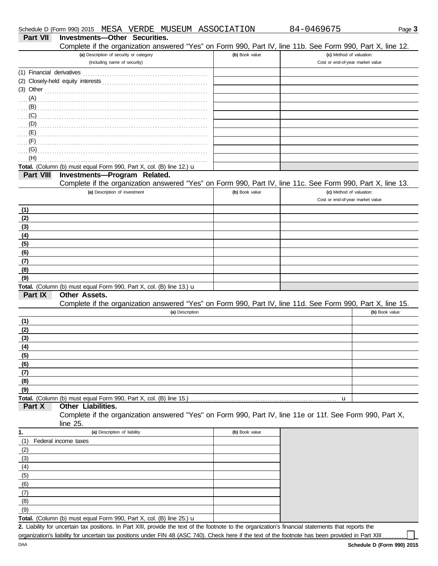| Complete if the organization answered "Yes" on Form 990, Part IV, line 11b. See Form 990, Part X, line 12.<br>(a) Description of security or category<br>(b) Book value<br>(c) Method of valuation:<br>(including name of security)<br>Cost or end-of-year market value<br>$(3)$ Other<br>$\overline{a}$ (G) and the contract of the contract of the contract of the contract of the contract of the contract of the contract of $\overline{a}$<br>(H)<br>Total. (Column (b) must equal Form 990, Part X, col. (B) line 12.) u<br>Part VIII<br>Investments-Program Related.<br>Complete if the organization answered "Yes" on Form 990, Part IV, line 11c. See Form 990, Part X, line 13.<br>(a) Description of investment<br>(b) Book value<br>(c) Method of valuation:<br>Cost or end-of-year market value<br>(1)<br>(2)<br>(3)<br>(4)<br>(5)<br>(6)<br>(7)<br>(8)<br>(9)<br>Total. (Column (b) must equal Form 990, Part X, col. (B) line 13.) u<br>Part IX<br>Other Assets.<br>Complete if the organization answered "Yes" on Form 990, Part IV, line 11d. See Form 990, Part X, line 15.<br>(b) Book value<br>(a) Description<br>(1)<br>(2)<br>(3)<br>(4)<br>(5)<br>(6)<br>(7)<br>(8)<br>(9)<br>Total. (Column (b) must equal Form 990, Part X, col. (B) line 15.)<br>u<br>Part X<br>Other Liabilities.<br>Complete if the organization answered "Yes" on Form 990, Part IV, line 11e or 11f. See Form 990, Part X,<br>line $25$ .<br>(b) Book value<br>(a) Description of liability<br>1.<br>(1)<br>Federal income taxes<br>(2)<br>(3)<br>(4)<br>(5)<br>(6)<br>(7)<br>(8)<br>(9) | Part VII | <b>Investments-Other Securities.</b> |  |
|----------------------------------------------------------------------------------------------------------------------------------------------------------------------------------------------------------------------------------------------------------------------------------------------------------------------------------------------------------------------------------------------------------------------------------------------------------------------------------------------------------------------------------------------------------------------------------------------------------------------------------------------------------------------------------------------------------------------------------------------------------------------------------------------------------------------------------------------------------------------------------------------------------------------------------------------------------------------------------------------------------------------------------------------------------------------------------------------------------------------------------------------------------------------------------------------------------------------------------------------------------------------------------------------------------------------------------------------------------------------------------------------------------------------------------------------------------------------------------------------------------------------------------------------------------------------------------------|----------|--------------------------------------|--|
|                                                                                                                                                                                                                                                                                                                                                                                                                                                                                                                                                                                                                                                                                                                                                                                                                                                                                                                                                                                                                                                                                                                                                                                                                                                                                                                                                                                                                                                                                                                                                                                        |          |                                      |  |
|                                                                                                                                                                                                                                                                                                                                                                                                                                                                                                                                                                                                                                                                                                                                                                                                                                                                                                                                                                                                                                                                                                                                                                                                                                                                                                                                                                                                                                                                                                                                                                                        |          |                                      |  |
|                                                                                                                                                                                                                                                                                                                                                                                                                                                                                                                                                                                                                                                                                                                                                                                                                                                                                                                                                                                                                                                                                                                                                                                                                                                                                                                                                                                                                                                                                                                                                                                        |          |                                      |  |
|                                                                                                                                                                                                                                                                                                                                                                                                                                                                                                                                                                                                                                                                                                                                                                                                                                                                                                                                                                                                                                                                                                                                                                                                                                                                                                                                                                                                                                                                                                                                                                                        |          |                                      |  |
|                                                                                                                                                                                                                                                                                                                                                                                                                                                                                                                                                                                                                                                                                                                                                                                                                                                                                                                                                                                                                                                                                                                                                                                                                                                                                                                                                                                                                                                                                                                                                                                        |          |                                      |  |
|                                                                                                                                                                                                                                                                                                                                                                                                                                                                                                                                                                                                                                                                                                                                                                                                                                                                                                                                                                                                                                                                                                                                                                                                                                                                                                                                                                                                                                                                                                                                                                                        |          |                                      |  |
|                                                                                                                                                                                                                                                                                                                                                                                                                                                                                                                                                                                                                                                                                                                                                                                                                                                                                                                                                                                                                                                                                                                                                                                                                                                                                                                                                                                                                                                                                                                                                                                        |          |                                      |  |
|                                                                                                                                                                                                                                                                                                                                                                                                                                                                                                                                                                                                                                                                                                                                                                                                                                                                                                                                                                                                                                                                                                                                                                                                                                                                                                                                                                                                                                                                                                                                                                                        |          |                                      |  |
|                                                                                                                                                                                                                                                                                                                                                                                                                                                                                                                                                                                                                                                                                                                                                                                                                                                                                                                                                                                                                                                                                                                                                                                                                                                                                                                                                                                                                                                                                                                                                                                        |          |                                      |  |
|                                                                                                                                                                                                                                                                                                                                                                                                                                                                                                                                                                                                                                                                                                                                                                                                                                                                                                                                                                                                                                                                                                                                                                                                                                                                                                                                                                                                                                                                                                                                                                                        |          |                                      |  |
|                                                                                                                                                                                                                                                                                                                                                                                                                                                                                                                                                                                                                                                                                                                                                                                                                                                                                                                                                                                                                                                                                                                                                                                                                                                                                                                                                                                                                                                                                                                                                                                        |          |                                      |  |
|                                                                                                                                                                                                                                                                                                                                                                                                                                                                                                                                                                                                                                                                                                                                                                                                                                                                                                                                                                                                                                                                                                                                                                                                                                                                                                                                                                                                                                                                                                                                                                                        |          |                                      |  |
|                                                                                                                                                                                                                                                                                                                                                                                                                                                                                                                                                                                                                                                                                                                                                                                                                                                                                                                                                                                                                                                                                                                                                                                                                                                                                                                                                                                                                                                                                                                                                                                        |          |                                      |  |
|                                                                                                                                                                                                                                                                                                                                                                                                                                                                                                                                                                                                                                                                                                                                                                                                                                                                                                                                                                                                                                                                                                                                                                                                                                                                                                                                                                                                                                                                                                                                                                                        |          |                                      |  |
|                                                                                                                                                                                                                                                                                                                                                                                                                                                                                                                                                                                                                                                                                                                                                                                                                                                                                                                                                                                                                                                                                                                                                                                                                                                                                                                                                                                                                                                                                                                                                                                        |          |                                      |  |
|                                                                                                                                                                                                                                                                                                                                                                                                                                                                                                                                                                                                                                                                                                                                                                                                                                                                                                                                                                                                                                                                                                                                                                                                                                                                                                                                                                                                                                                                                                                                                                                        |          |                                      |  |
|                                                                                                                                                                                                                                                                                                                                                                                                                                                                                                                                                                                                                                                                                                                                                                                                                                                                                                                                                                                                                                                                                                                                                                                                                                                                                                                                                                                                                                                                                                                                                                                        |          |                                      |  |
|                                                                                                                                                                                                                                                                                                                                                                                                                                                                                                                                                                                                                                                                                                                                                                                                                                                                                                                                                                                                                                                                                                                                                                                                                                                                                                                                                                                                                                                                                                                                                                                        |          |                                      |  |
|                                                                                                                                                                                                                                                                                                                                                                                                                                                                                                                                                                                                                                                                                                                                                                                                                                                                                                                                                                                                                                                                                                                                                                                                                                                                                                                                                                                                                                                                                                                                                                                        |          |                                      |  |
|                                                                                                                                                                                                                                                                                                                                                                                                                                                                                                                                                                                                                                                                                                                                                                                                                                                                                                                                                                                                                                                                                                                                                                                                                                                                                                                                                                                                                                                                                                                                                                                        |          |                                      |  |
|                                                                                                                                                                                                                                                                                                                                                                                                                                                                                                                                                                                                                                                                                                                                                                                                                                                                                                                                                                                                                                                                                                                                                                                                                                                                                                                                                                                                                                                                                                                                                                                        |          |                                      |  |
|                                                                                                                                                                                                                                                                                                                                                                                                                                                                                                                                                                                                                                                                                                                                                                                                                                                                                                                                                                                                                                                                                                                                                                                                                                                                                                                                                                                                                                                                                                                                                                                        |          |                                      |  |
|                                                                                                                                                                                                                                                                                                                                                                                                                                                                                                                                                                                                                                                                                                                                                                                                                                                                                                                                                                                                                                                                                                                                                                                                                                                                                                                                                                                                                                                                                                                                                                                        |          |                                      |  |
|                                                                                                                                                                                                                                                                                                                                                                                                                                                                                                                                                                                                                                                                                                                                                                                                                                                                                                                                                                                                                                                                                                                                                                                                                                                                                                                                                                                                                                                                                                                                                                                        |          |                                      |  |
|                                                                                                                                                                                                                                                                                                                                                                                                                                                                                                                                                                                                                                                                                                                                                                                                                                                                                                                                                                                                                                                                                                                                                                                                                                                                                                                                                                                                                                                                                                                                                                                        |          |                                      |  |
|                                                                                                                                                                                                                                                                                                                                                                                                                                                                                                                                                                                                                                                                                                                                                                                                                                                                                                                                                                                                                                                                                                                                                                                                                                                                                                                                                                                                                                                                                                                                                                                        |          |                                      |  |
|                                                                                                                                                                                                                                                                                                                                                                                                                                                                                                                                                                                                                                                                                                                                                                                                                                                                                                                                                                                                                                                                                                                                                                                                                                                                                                                                                                                                                                                                                                                                                                                        |          |                                      |  |
|                                                                                                                                                                                                                                                                                                                                                                                                                                                                                                                                                                                                                                                                                                                                                                                                                                                                                                                                                                                                                                                                                                                                                                                                                                                                                                                                                                                                                                                                                                                                                                                        |          |                                      |  |
|                                                                                                                                                                                                                                                                                                                                                                                                                                                                                                                                                                                                                                                                                                                                                                                                                                                                                                                                                                                                                                                                                                                                                                                                                                                                                                                                                                                                                                                                                                                                                                                        |          |                                      |  |
|                                                                                                                                                                                                                                                                                                                                                                                                                                                                                                                                                                                                                                                                                                                                                                                                                                                                                                                                                                                                                                                                                                                                                                                                                                                                                                                                                                                                                                                                                                                                                                                        |          |                                      |  |
|                                                                                                                                                                                                                                                                                                                                                                                                                                                                                                                                                                                                                                                                                                                                                                                                                                                                                                                                                                                                                                                                                                                                                                                                                                                                                                                                                                                                                                                                                                                                                                                        |          |                                      |  |
|                                                                                                                                                                                                                                                                                                                                                                                                                                                                                                                                                                                                                                                                                                                                                                                                                                                                                                                                                                                                                                                                                                                                                                                                                                                                                                                                                                                                                                                                                                                                                                                        |          |                                      |  |
|                                                                                                                                                                                                                                                                                                                                                                                                                                                                                                                                                                                                                                                                                                                                                                                                                                                                                                                                                                                                                                                                                                                                                                                                                                                                                                                                                                                                                                                                                                                                                                                        |          |                                      |  |
|                                                                                                                                                                                                                                                                                                                                                                                                                                                                                                                                                                                                                                                                                                                                                                                                                                                                                                                                                                                                                                                                                                                                                                                                                                                                                                                                                                                                                                                                                                                                                                                        |          |                                      |  |
|                                                                                                                                                                                                                                                                                                                                                                                                                                                                                                                                                                                                                                                                                                                                                                                                                                                                                                                                                                                                                                                                                                                                                                                                                                                                                                                                                                                                                                                                                                                                                                                        |          |                                      |  |
|                                                                                                                                                                                                                                                                                                                                                                                                                                                                                                                                                                                                                                                                                                                                                                                                                                                                                                                                                                                                                                                                                                                                                                                                                                                                                                                                                                                                                                                                                                                                                                                        |          |                                      |  |
|                                                                                                                                                                                                                                                                                                                                                                                                                                                                                                                                                                                                                                                                                                                                                                                                                                                                                                                                                                                                                                                                                                                                                                                                                                                                                                                                                                                                                                                                                                                                                                                        |          |                                      |  |
|                                                                                                                                                                                                                                                                                                                                                                                                                                                                                                                                                                                                                                                                                                                                                                                                                                                                                                                                                                                                                                                                                                                                                                                                                                                                                                                                                                                                                                                                                                                                                                                        |          |                                      |  |
|                                                                                                                                                                                                                                                                                                                                                                                                                                                                                                                                                                                                                                                                                                                                                                                                                                                                                                                                                                                                                                                                                                                                                                                                                                                                                                                                                                                                                                                                                                                                                                                        |          |                                      |  |
|                                                                                                                                                                                                                                                                                                                                                                                                                                                                                                                                                                                                                                                                                                                                                                                                                                                                                                                                                                                                                                                                                                                                                                                                                                                                                                                                                                                                                                                                                                                                                                                        |          |                                      |  |
|                                                                                                                                                                                                                                                                                                                                                                                                                                                                                                                                                                                                                                                                                                                                                                                                                                                                                                                                                                                                                                                                                                                                                                                                                                                                                                                                                                                                                                                                                                                                                                                        |          |                                      |  |
|                                                                                                                                                                                                                                                                                                                                                                                                                                                                                                                                                                                                                                                                                                                                                                                                                                                                                                                                                                                                                                                                                                                                                                                                                                                                                                                                                                                                                                                                                                                                                                                        |          |                                      |  |
|                                                                                                                                                                                                                                                                                                                                                                                                                                                                                                                                                                                                                                                                                                                                                                                                                                                                                                                                                                                                                                                                                                                                                                                                                                                                                                                                                                                                                                                                                                                                                                                        |          |                                      |  |
|                                                                                                                                                                                                                                                                                                                                                                                                                                                                                                                                                                                                                                                                                                                                                                                                                                                                                                                                                                                                                                                                                                                                                                                                                                                                                                                                                                                                                                                                                                                                                                                        |          |                                      |  |
|                                                                                                                                                                                                                                                                                                                                                                                                                                                                                                                                                                                                                                                                                                                                                                                                                                                                                                                                                                                                                                                                                                                                                                                                                                                                                                                                                                                                                                                                                                                                                                                        |          |                                      |  |
|                                                                                                                                                                                                                                                                                                                                                                                                                                                                                                                                                                                                                                                                                                                                                                                                                                                                                                                                                                                                                                                                                                                                                                                                                                                                                                                                                                                                                                                                                                                                                                                        |          |                                      |  |
|                                                                                                                                                                                                                                                                                                                                                                                                                                                                                                                                                                                                                                                                                                                                                                                                                                                                                                                                                                                                                                                                                                                                                                                                                                                                                                                                                                                                                                                                                                                                                                                        |          |                                      |  |
|                                                                                                                                                                                                                                                                                                                                                                                                                                                                                                                                                                                                                                                                                                                                                                                                                                                                                                                                                                                                                                                                                                                                                                                                                                                                                                                                                                                                                                                                                                                                                                                        |          |                                      |  |
|                                                                                                                                                                                                                                                                                                                                                                                                                                                                                                                                                                                                                                                                                                                                                                                                                                                                                                                                                                                                                                                                                                                                                                                                                                                                                                                                                                                                                                                                                                                                                                                        |          |                                      |  |
|                                                                                                                                                                                                                                                                                                                                                                                                                                                                                                                                                                                                                                                                                                                                                                                                                                                                                                                                                                                                                                                                                                                                                                                                                                                                                                                                                                                                                                                                                                                                                                                        |          |                                      |  |
|                                                                                                                                                                                                                                                                                                                                                                                                                                                                                                                                                                                                                                                                                                                                                                                                                                                                                                                                                                                                                                                                                                                                                                                                                                                                                                                                                                                                                                                                                                                                                                                        |          |                                      |  |
|                                                                                                                                                                                                                                                                                                                                                                                                                                                                                                                                                                                                                                                                                                                                                                                                                                                                                                                                                                                                                                                                                                                                                                                                                                                                                                                                                                                                                                                                                                                                                                                        |          |                                      |  |
|                                                                                                                                                                                                                                                                                                                                                                                                                                                                                                                                                                                                                                                                                                                                                                                                                                                                                                                                                                                                                                                                                                                                                                                                                                                                                                                                                                                                                                                                                                                                                                                        |          |                                      |  |

Total. (Column (b) must equal Form 990, Part X, col. (B) line 25.) **u** 

Liability for uncertain tax positions. In Part XIII, provide the text of the footnote to the organization's financial statements that reports the **2.** organization's liability for uncertain tax positions under FIN 48 (ASC 740). Check here if the text of the footnote has been provided in Part XIII ..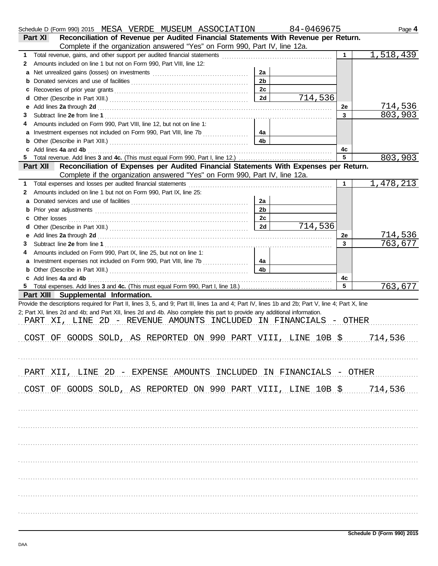|   | Schedule D (Form 990) 2015 MESA VERDE MUSEUM ASSOCIATION                                                                                                                                                                       |                | 84-0469675 |                | Page 4    |
|---|--------------------------------------------------------------------------------------------------------------------------------------------------------------------------------------------------------------------------------|----------------|------------|----------------|-----------|
|   | Reconciliation of Revenue per Audited Financial Statements With Revenue per Return.<br><b>Part XI</b>                                                                                                                          |                |            |                |           |
|   | Complete if the organization answered "Yes" on Form 990, Part IV, line 12a.                                                                                                                                                    |                |            |                |           |
| 1 |                                                                                                                                                                                                                                |                |            | 1.             | 1,518,439 |
| 2 | Amounts included on line 1 but not on Form 990, Part VIII, line 12:                                                                                                                                                            |                |            |                |           |
| a |                                                                                                                                                                                                                                | 2a             |            |                |           |
|   |                                                                                                                                                                                                                                | 2 <sub>b</sub> |            |                |           |
| c |                                                                                                                                                                                                                                | 2c             |            |                |           |
|   |                                                                                                                                                                                                                                | 2d             | 714,536    |                |           |
| е |                                                                                                                                                                                                                                |                |            | 2e             | 714,536   |
| 3 |                                                                                                                                                                                                                                |                |            | $\overline{3}$ | 803,903   |
| 4 | Amounts included on Form 990, Part VIII, line 12, but not on line 1:                                                                                                                                                           |                |            |                |           |
|   | a Investment expenses not included on Form 990, Part VIII, line 7b                                                                                                                                                             | 4a             |            |                |           |
|   |                                                                                                                                                                                                                                | 4b             |            |                |           |
|   | Add lines 4a and 4b [11] Add lines 4a and 4b [11] Add lines 4a and 4b [11] Add lines 4a and 4b [11] Add lines                                                                                                                  |                |            | 4с             |           |
| 5 |                                                                                                                                                                                                                                |                |            | 5              | 803,903   |
|   | Reconciliation of Expenses per Audited Financial Statements With Expenses per Return.<br>Part XII                                                                                                                              |                |            |                |           |
|   | Complete if the organization answered "Yes" on Form 990, Part IV, line 12a.                                                                                                                                                    |                |            |                |           |
| 1 |                                                                                                                                                                                                                                |                |            | 1              | 1,478,213 |
| 2 | Amounts included on line 1 but not on Form 990, Part IX, line 25:                                                                                                                                                              |                |            |                |           |
| a |                                                                                                                                                                                                                                | 2a             |            |                |           |
|   |                                                                                                                                                                                                                                | 2 <sub>b</sub> |            |                |           |
|   |                                                                                                                                                                                                                                | 2c             |            |                |           |
|   |                                                                                                                                                                                                                                | 2d             | 714,536    |                |           |
| е |                                                                                                                                                                                                                                |                |            | 2e             | 714,536   |
| 3 |                                                                                                                                                                                                                                |                |            | $\overline{3}$ | 763,677   |
| 4 | Amounts included on Form 990, Part IX, line 25, but not on line 1:                                                                                                                                                             |                |            |                |           |
|   |                                                                                                                                                                                                                                | 4a             |            |                |           |
|   |                                                                                                                                                                                                                                | 4 <sub>b</sub> |            |                |           |
|   |                                                                                                                                                                                                                                |                |            | 4c             |           |
|   | c Add lines 4a and 4b (a) and the contract of the state of the state of the state of the state of the state of the state of the state of the state of the state of the state of the state of the state of the state of the sta |                |            | 5              | 763,677   |
|   | Part XIII Supplemental Information.                                                                                                                                                                                            |                |            |                |           |
|   | Provide the descriptions required for Part II, lines 3, 5, and 9; Part III, lines 1a and 4; Part IV, lines 1b and 2b; Part V, line 4; Part X, line                                                                             |                |            |                |           |
|   | 2; Part XI, lines 2d and 4b; and Part XII, lines 2d and 4b. Also complete this part to provide any additional information.                                                                                                     |                |            |                |           |
|   | PART XI, LINE 2D - REVENUE AMOUNTS INCLUDED IN FINANCIALS - OTHER                                                                                                                                                              |                |            |                |           |
|   |                                                                                                                                                                                                                                |                |            |                |           |
|   | COST OF GOODS SOLD, AS REPORTED ON 990 PART VIII, LINE 10B \$ 7.14, 536                                                                                                                                                        |                |            |                |           |
|   |                                                                                                                                                                                                                                |                |            |                |           |
|   |                                                                                                                                                                                                                                |                |            |                |           |
|   |                                                                                                                                                                                                                                |                |            |                |           |
|   |                                                                                                                                                                                                                                |                |            |                |           |
|   | PART XII, LINE 2D - EXPENSE AMOUNTS INCLUDED IN FINANCIALS - OTHER                                                                                                                                                             |                |            |                |           |
|   |                                                                                                                                                                                                                                |                |            |                |           |
|   | COST OF GOODS SOLD, AS REPORTED ON 990 PART VIII, LINE 10B \$ 714,536                                                                                                                                                          |                |            |                |           |
|   |                                                                                                                                                                                                                                |                |            |                |           |
|   |                                                                                                                                                                                                                                |                |            |                |           |
|   |                                                                                                                                                                                                                                |                |            |                |           |
|   |                                                                                                                                                                                                                                |                |            |                |           |
|   |                                                                                                                                                                                                                                |                |            |                |           |
|   |                                                                                                                                                                                                                                |                |            |                |           |
|   |                                                                                                                                                                                                                                |                |            |                |           |
|   |                                                                                                                                                                                                                                |                |            |                |           |
|   |                                                                                                                                                                                                                                |                |            |                |           |
|   |                                                                                                                                                                                                                                |                |            |                |           |
|   |                                                                                                                                                                                                                                |                |            |                |           |
|   |                                                                                                                                                                                                                                |                |            |                |           |
|   |                                                                                                                                                                                                                                |                |            |                |           |
|   |                                                                                                                                                                                                                                |                |            |                |           |
|   |                                                                                                                                                                                                                                |                |            |                |           |
|   |                                                                                                                                                                                                                                |                |            |                |           |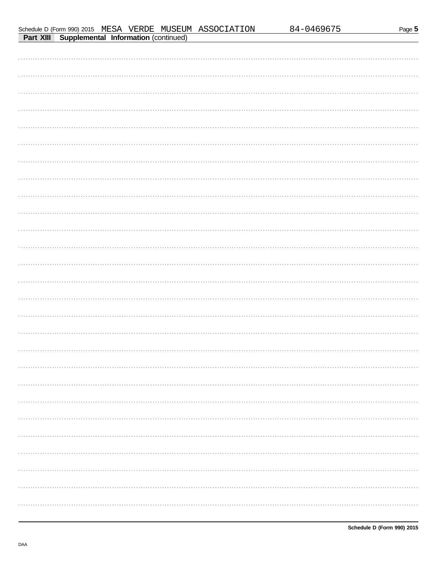|--|--|

|                                                       |  |  | Schedule D (Form 990) 2015 MESA VERDE MUSEUM ASSOCIATION |
|-------------------------------------------------------|--|--|----------------------------------------------------------|
| <b>Part XIII Supplemental Information (continued)</b> |  |  |                                                          |

| 84-0469675 |  |
|------------|--|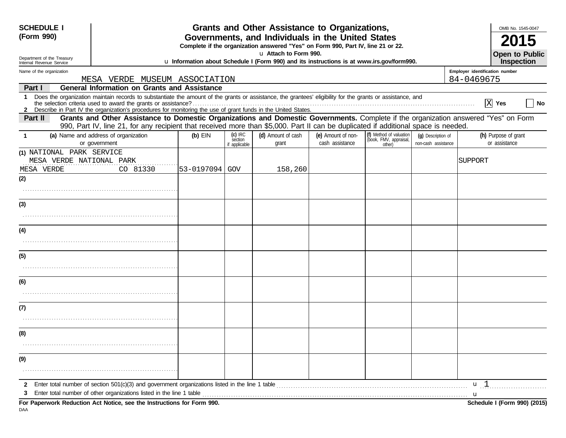| <b>SCHEDULE I</b> |                                                                                                    |                                                                                                                                                                                                                                                                                                                                                            |                                                                                                                                       | Grants and Other Assistance to Organizations, |                                                                                                                    |                                                                                                                                                                                                                                |                                                             |                                           | OMB No. 1545-0047              |                                       |
|-------------------|----------------------------------------------------------------------------------------------------|------------------------------------------------------------------------------------------------------------------------------------------------------------------------------------------------------------------------------------------------------------------------------------------------------------------------------------------------------------|---------------------------------------------------------------------------------------------------------------------------------------|-----------------------------------------------|--------------------------------------------------------------------------------------------------------------------|--------------------------------------------------------------------------------------------------------------------------------------------------------------------------------------------------------------------------------|-------------------------------------------------------------|-------------------------------------------|--------------------------------|---------------------------------------|
| (Form 990)        |                                                                                                    |                                                                                                                                                                                                                                                                                                                                                            | Governments, and Individuals in the United States<br>Complete if the organization answered "Yes" on Form 990, Part IV, line 21 or 22. |                                               |                                                                                                                    |                                                                                                                                                                                                                                |                                                             |                                           |                                |                                       |
|                   | Department of the Treasury<br>Internal Revenue Service                                             |                                                                                                                                                                                                                                                                                                                                                            |                                                                                                                                       |                                               | u Attach to Form 990.<br>u Information about Schedule I (Form 990) and its instructions is at www.irs.gov/form990. |                                                                                                                                                                                                                                |                                                             |                                           |                                | <b>Open to Public</b><br>Inspection   |
|                   | Name of the organization                                                                           |                                                                                                                                                                                                                                                                                                                                                            |                                                                                                                                       |                                               |                                                                                                                    |                                                                                                                                                                                                                                |                                                             |                                           | Employer identification number |                                       |
| Part I            | 84-0469675<br>MESA VERDE MUSEUM ASSOCIATION<br><b>General Information on Grants and Assistance</b> |                                                                                                                                                                                                                                                                                                                                                            |                                                                                                                                       |                                               |                                                                                                                    |                                                                                                                                                                                                                                |                                                             |                                           |                                |                                       |
| $\mathbf 1$       |                                                                                                    | Does the organization maintain records to substantiate the amount of the grants or assistance, the grantees' eligibility for the grants or assistance, and<br>$X$ Yes<br>the selection criteria used to award the grants or assistance?<br>2 Describe in Part IV the organization's procedures for monitoring the use of grant funds in the United States. |                                                                                                                                       |                                               |                                                                                                                    |                                                                                                                                                                                                                                |                                                             |                                           |                                |                                       |
| Part II           |                                                                                                    | Grants and Other Assistance to Domestic Organizations and Domestic Governments. Complete if the organization answered "Yes" on Form<br>990, Part IV, line 21, for any recipient that received more than \$5,000. Part II can be duplicated if additional space is needed.                                                                                  |                                                                                                                                       |                                               |                                                                                                                    |                                                                                                                                                                                                                                |                                                             |                                           |                                |                                       |
| -1                |                                                                                                    | (a) Name and address of organization<br>or government                                                                                                                                                                                                                                                                                                      | $(b)$ EIN                                                                                                                             | $(c)$ IRC<br>section<br>applicable            | (d) Amount of cash<br>grant                                                                                        | (e) Amount of non-<br>cash assistance                                                                                                                                                                                          | (f) Method of valuation<br>(book, FMV, appraisal,<br>other) | (g) Description of<br>non-cash assistance |                                | (h) Purpose of grant<br>or assistance |
|                   | (1) NATIONAL PARK SERVICE<br>MESA VERDE NATIONAL PARK<br>MESA VERDE                                | CO 81330                                                                                                                                                                                                                                                                                                                                                   | 53-0197094 GOV                                                                                                                        |                                               | 158,260                                                                                                            |                                                                                                                                                                                                                                |                                                             |                                           | SUPPORT                        |                                       |
| (2)               |                                                                                                    |                                                                                                                                                                                                                                                                                                                                                            |                                                                                                                                       |                                               |                                                                                                                    |                                                                                                                                                                                                                                |                                                             |                                           |                                |                                       |
| (3)               |                                                                                                    |                                                                                                                                                                                                                                                                                                                                                            |                                                                                                                                       |                                               |                                                                                                                    |                                                                                                                                                                                                                                |                                                             |                                           |                                |                                       |
| (4)               |                                                                                                    |                                                                                                                                                                                                                                                                                                                                                            |                                                                                                                                       |                                               |                                                                                                                    |                                                                                                                                                                                                                                |                                                             |                                           |                                |                                       |
| (5)               |                                                                                                    |                                                                                                                                                                                                                                                                                                                                                            |                                                                                                                                       |                                               |                                                                                                                    |                                                                                                                                                                                                                                |                                                             |                                           |                                |                                       |
| (6)               |                                                                                                    |                                                                                                                                                                                                                                                                                                                                                            |                                                                                                                                       |                                               |                                                                                                                    |                                                                                                                                                                                                                                |                                                             |                                           |                                |                                       |
| (7)               |                                                                                                    |                                                                                                                                                                                                                                                                                                                                                            |                                                                                                                                       |                                               |                                                                                                                    |                                                                                                                                                                                                                                |                                                             |                                           |                                |                                       |
| (8)               |                                                                                                    |                                                                                                                                                                                                                                                                                                                                                            |                                                                                                                                       |                                               |                                                                                                                    |                                                                                                                                                                                                                                |                                                             |                                           |                                |                                       |
| (9)               |                                                                                                    |                                                                                                                                                                                                                                                                                                                                                            |                                                                                                                                       |                                               |                                                                                                                    |                                                                                                                                                                                                                                |                                                             |                                           |                                |                                       |
|                   |                                                                                                    | Enter total number of section 501(c)(3) and government organizations listed in the line 1 table                                                                                                                                                                                                                                                            |                                                                                                                                       |                                               |                                                                                                                    | and the contract of the contract of the contract of the contract of the contract of the contract of the contract of the contract of the contract of the contract of the contract of the contract of the contract of the contra |                                                             |                                           | $\mathbf{u}$ 1<br>u            |                                       |
| DAA               |                                                                                                    | For Paperwork Reduction Act Notice, see the Instructions for Form 990.                                                                                                                                                                                                                                                                                     |                                                                                                                                       |                                               |                                                                                                                    |                                                                                                                                                                                                                                |                                                             |                                           |                                | Schedule I (Form 990) (2015)          |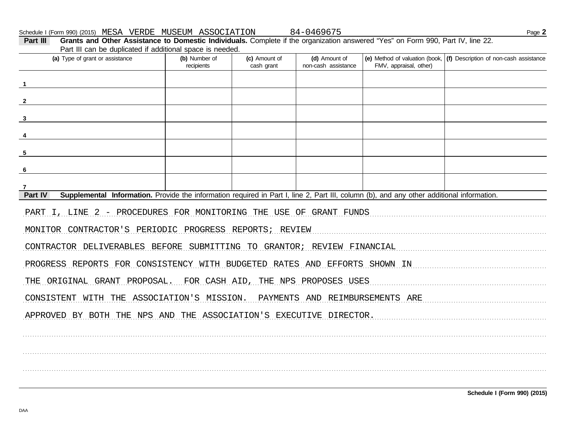Schedule I (Form 990) (2015) MESA VERDE MUSEUM ASSOCIATION

84-0469675

| Part III<br>Grants and Other Assistance to Domestic Individuals. Complete if the organization answered "Yes" on Form 990, Part IV, line 22.<br>Part III can be duplicated if additional space is needed. |                             |                             |                                      |                        |                                                                           |  |  |  |  |
|----------------------------------------------------------------------------------------------------------------------------------------------------------------------------------------------------------|-----------------------------|-----------------------------|--------------------------------------|------------------------|---------------------------------------------------------------------------|--|--|--|--|
| (a) Type of grant or assistance                                                                                                                                                                          | (b) Number of<br>recipients | (c) Amount of<br>cash grant | (d) Amount of<br>non-cash assistance | FMV, appraisal, other) | (e) Method of valuation (book, $ $ (f) Description of non-cash assistance |  |  |  |  |
|                                                                                                                                                                                                          |                             |                             |                                      |                        |                                                                           |  |  |  |  |
|                                                                                                                                                                                                          |                             |                             |                                      |                        |                                                                           |  |  |  |  |
| 3                                                                                                                                                                                                        |                             |                             |                                      |                        |                                                                           |  |  |  |  |
|                                                                                                                                                                                                          |                             |                             |                                      |                        |                                                                           |  |  |  |  |
| 5                                                                                                                                                                                                        |                             |                             |                                      |                        |                                                                           |  |  |  |  |
| 6                                                                                                                                                                                                        |                             |                             |                                      |                        |                                                                           |  |  |  |  |
| 7                                                                                                                                                                                                        |                             |                             |                                      |                        |                                                                           |  |  |  |  |
| Supplemental Information. Provide the information required in Part I, line 2, Part III, column (b), and any other additional information.<br>Part IV                                                     |                             |                             |                                      |                        |                                                                           |  |  |  |  |
| PART I, LINE 2 - PROCEDURES FOR MONITORING THE USE OF GRANT FUNDS                                                                                                                                        |                             |                             |                                      |                        |                                                                           |  |  |  |  |
| MONITOR CONTRACTOR'S PERIODIC PROGRESS REPORTS; REVIEW                                                                                                                                                   |                             |                             |                                      |                        |                                                                           |  |  |  |  |
| CONTRACTOR DELIVERABLES BEFORE SUBMITTING TO GRANTOR; REVIEW FINANCIAL                                                                                                                                   |                             |                             |                                      |                        |                                                                           |  |  |  |  |
| PROGRESS REPORTS FOR CONSISTENCY WITH BUDGETED RATES AND EFFORTS SHOWN IN                                                                                                                                |                             |                             |                                      |                        |                                                                           |  |  |  |  |
| THE ORIGINAL GRANT PROPOSAL. FOR CASH AID, THE NPS PROPOSES USES                                                                                                                                         |                             |                             |                                      |                        |                                                                           |  |  |  |  |
| CONSISTENT WITH THE ASSOCIATION'S MISSION. PAYMENTS AND REIMBURSEMENTS ARE                                                                                                                               |                             |                             |                                      |                        |                                                                           |  |  |  |  |
| APPROVED BY BOTH THE NPS AND THE ASSOCIATION'S EXECUTIVE DIRECTOR.                                                                                                                                       |                             |                             |                                      |                        |                                                                           |  |  |  |  |
|                                                                                                                                                                                                          |                             |                             |                                      |                        |                                                                           |  |  |  |  |
|                                                                                                                                                                                                          |                             |                             |                                      |                        |                                                                           |  |  |  |  |
|                                                                                                                                                                                                          |                             |                             |                                      |                        |                                                                           |  |  |  |  |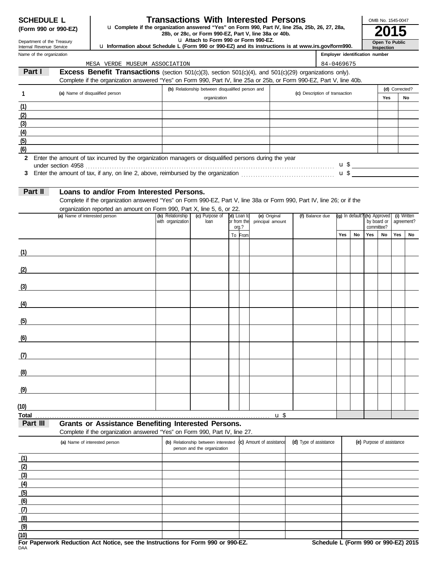| <b>SCHEDULE L</b>   |  |  |
|---------------------|--|--|
| (Form 990 or 990-F7 |  |  |

### **Transactions With Interested Persons**

**(Form 990 or 990-EZ)** u Complete if the organization answered "Yes" on Form 990, Part IV, line 25a, 25b, 26, 27, 28a,<br>28b, or 28c, or Form 990-EZ, Part V, line 38a or 40b.<br>**2015** 

Department of the Treasury Internal Revenue Service

| La Attach to Form 990 or Form 990-EZ. |  |
|---------------------------------------|--|
|---------------------------------------|--|

u **Information about Schedule L (Form 990 or 990-EZ) and its instructions is at www.irs.gov/form990.**

| Name of the organization |                                                                                                                       |                                       |                                                  |                            |                                  |                                | Employer identification number |                                |                           |             |                |                           |
|--------------------------|-----------------------------------------------------------------------------------------------------------------------|---------------------------------------|--------------------------------------------------|----------------------------|----------------------------------|--------------------------------|--------------------------------|--------------------------------|---------------------------|-------------|----------------|---------------------------|
|                          | MESA VERDE MUSEUM ASSOCIATION                                                                                         |                                       |                                                  |                            |                                  |                                | 84-0469675                     |                                |                           |             |                |                           |
| Part I                   | Excess Benefit Transactions (section 501(c)(3), section 501(c)(4), and 501(c)(29) organizations only).                |                                       |                                                  |                            |                                  |                                |                                |                                |                           |             |                |                           |
|                          | Complete if the organization answered "Yes" on Form 990, Part IV, line 25a or 25b, or Form 990-EZ, Part V, line 40b.  |                                       |                                                  |                            |                                  |                                |                                |                                |                           |             |                |                           |
| 1                        | (a) Name of disqualified person                                                                                       |                                       | (b) Relationship between disqualified person and |                            |                                  | (c) Description of transaction |                                |                                |                           |             | (d) Corrected? |                           |
|                          |                                                                                                                       |                                       | organization                                     |                            |                                  |                                |                                |                                |                           | Yes         |                | No                        |
| (1)                      |                                                                                                                       |                                       |                                                  |                            |                                  |                                |                                |                                |                           |             |                |                           |
| (2)                      |                                                                                                                       |                                       |                                                  |                            |                                  |                                |                                |                                |                           |             |                |                           |
| (3)                      |                                                                                                                       |                                       |                                                  |                            |                                  |                                |                                |                                |                           |             |                |                           |
| (4)<br>(5)               |                                                                                                                       |                                       |                                                  |                            |                                  |                                |                                |                                |                           |             |                |                           |
| (6)                      |                                                                                                                       |                                       |                                                  |                            |                                  |                                |                                |                                |                           |             |                |                           |
| $\mathbf{2}$             | Enter the amount of tax incurred by the organization managers or disqualified persons during the year                 |                                       |                                                  |                            |                                  |                                |                                |                                |                           |             |                |                           |
|                          |                                                                                                                       |                                       |                                                  |                            |                                  |                                |                                |                                |                           |             |                |                           |
| 3                        | Enter the amount of tax, if any, on line 2, above, reimbursed by the organization $\mathbf{u}$ , $\mathbf{u}$         |                                       |                                                  |                            |                                  |                                |                                |                                |                           |             |                |                           |
|                          |                                                                                                                       |                                       |                                                  |                            |                                  |                                |                                |                                |                           |             |                |                           |
| Part II                  | Loans to and/or From Interested Persons.                                                                              |                                       |                                                  |                            |                                  |                                |                                |                                |                           |             |                |                           |
|                          | Complete if the organization answered "Yes" on Form 990-EZ, Part V, line 38a or Form 990, Part IV, line 26; or if the |                                       |                                                  |                            |                                  |                                |                                |                                |                           |             |                |                           |
|                          | organization reported an amount on Form 990, Part X, line 5, 6, or 22.                                                |                                       |                                                  |                            |                                  |                                |                                |                                |                           |             |                |                           |
|                          | (a) Name of interested person                                                                                         | (b) Relationship<br>with organization | (c) Purpose of<br>loan                           | (d) Loan to<br>or from the | (e) Original<br>principal amount | (f) Balance due                |                                | $(g)$ In default? (h) Approved |                           | by board or |                | (i) Written<br>agreement? |
|                          |                                                                                                                       |                                       |                                                  | org.?                      |                                  |                                |                                |                                |                           | committee?  |                |                           |
|                          |                                                                                                                       |                                       |                                                  | To From                    |                                  |                                | Yes                            | No                             | Yes                       | No          | Yes            | No                        |
|                          |                                                                                                                       |                                       |                                                  |                            |                                  |                                |                                |                                |                           |             |                |                           |
| (1)                      |                                                                                                                       |                                       |                                                  |                            |                                  |                                |                                |                                |                           |             |                |                           |
|                          |                                                                                                                       |                                       |                                                  |                            |                                  |                                |                                |                                |                           |             |                |                           |
| (2)                      |                                                                                                                       |                                       |                                                  |                            |                                  |                                |                                |                                |                           |             |                |                           |
| (3)                      |                                                                                                                       |                                       |                                                  |                            |                                  |                                |                                |                                |                           |             |                |                           |
|                          |                                                                                                                       |                                       |                                                  |                            |                                  |                                |                                |                                |                           |             |                |                           |
| (4)                      |                                                                                                                       |                                       |                                                  |                            |                                  |                                |                                |                                |                           |             |                |                           |
|                          |                                                                                                                       |                                       |                                                  |                            |                                  |                                |                                |                                |                           |             |                |                           |
| (5)                      |                                                                                                                       |                                       |                                                  |                            |                                  |                                |                                |                                |                           |             |                |                           |
|                          |                                                                                                                       |                                       |                                                  |                            |                                  |                                |                                |                                |                           |             |                |                           |
| (6)                      |                                                                                                                       |                                       |                                                  |                            |                                  |                                |                                |                                |                           |             |                |                           |
|                          |                                                                                                                       |                                       |                                                  |                            |                                  |                                |                                |                                |                           |             |                |                           |
| (1)                      |                                                                                                                       |                                       |                                                  |                            |                                  |                                |                                |                                |                           |             |                |                           |
|                          |                                                                                                                       |                                       |                                                  |                            |                                  |                                |                                |                                |                           |             |                |                           |
| (8)                      |                                                                                                                       |                                       |                                                  |                            |                                  |                                |                                |                                |                           |             |                |                           |
|                          |                                                                                                                       |                                       |                                                  |                            |                                  |                                |                                |                                |                           |             |                |                           |
| (9)                      |                                                                                                                       |                                       |                                                  |                            |                                  |                                |                                |                                |                           |             |                |                           |
| (10)                     |                                                                                                                       |                                       |                                                  |                            |                                  |                                |                                |                                |                           |             |                |                           |
| <b>Total</b>             |                                                                                                                       |                                       |                                                  |                            | u <sup>§</sup>                   |                                |                                |                                |                           |             |                |                           |
| Part III                 | <b>Grants or Assistance Benefiting Interested Persons.</b>                                                            |                                       |                                                  |                            |                                  |                                |                                |                                |                           |             |                |                           |
|                          | Complete if the organization answered "Yes" on Form 990, Part IV, line 27.                                            |                                       |                                                  |                            |                                  |                                |                                |                                |                           |             |                |                           |
|                          | (a) Name of interested person                                                                                         |                                       | (b) Relationship between interested              |                            | (c) Amount of assistance         | (d) Type of assistance         |                                |                                | (e) Purpose of assistance |             |                |                           |
|                          |                                                                                                                       |                                       | person and the organization                      |                            |                                  |                                |                                |                                |                           |             |                |                           |
| (1)                      |                                                                                                                       |                                       |                                                  |                            |                                  |                                |                                |                                |                           |             |                |                           |
| (2)                      |                                                                                                                       |                                       |                                                  |                            |                                  |                                |                                |                                |                           |             |                |                           |
| (3)                      |                                                                                                                       |                                       |                                                  |                            |                                  |                                |                                |                                |                           |             |                |                           |
| (4)                      |                                                                                                                       |                                       |                                                  |                            |                                  |                                |                                |                                |                           |             |                |                           |
| (5)                      |                                                                                                                       |                                       |                                                  |                            |                                  |                                |                                |                                |                           |             |                |                           |
| (6)                      |                                                                                                                       |                                       |                                                  |                            |                                  |                                |                                |                                |                           |             |                |                           |

**(7) (8)**

DAA **For Paperwork Reduction Act Notice, see the Instructions for Form 990 or 990-EZ. Schedule L (Form 990 or 990-EZ) 2015**

**Inspection Open To Public**

OMB No. 1545-0047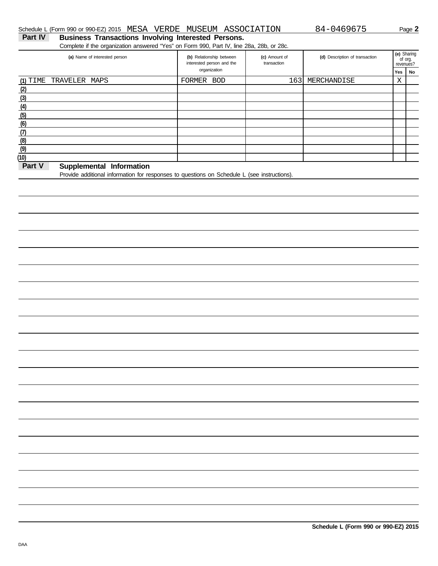### **Part IV Business Transactions Involving Interested Persons.** Schedule L (Form 990 or 990-EZ) 2015 MESA VERDE MUSEUM ASSOCIATION 84-0469675 Page 2

Complete if the organization answered "Yes" on Form 990, Part IV, line 28a, 28b, or 28c.

| (a) Name of interested person         | (b) Relationship between<br>interested person and the | (c) Amount of<br>transaction | (d) Description of transaction |     | (e) Sharing<br>of org.<br>revenues? |
|---------------------------------------|-------------------------------------------------------|------------------------------|--------------------------------|-----|-------------------------------------|
|                                       | organization                                          |                              |                                | Yes | No                                  |
| (1) TIME TRAVELER MAPS                | FORMER<br><b>BOD</b>                                  | 163                          | MERCHANDISE                    | Χ   |                                     |
| (2)                                   |                                                       |                              |                                |     |                                     |
| (3)                                   |                                                       |                              |                                |     |                                     |
| (4)                                   |                                                       |                              |                                |     |                                     |
| (5)                                   |                                                       |                              |                                |     |                                     |
| (6)                                   |                                                       |                              |                                |     |                                     |
| (7)                                   |                                                       |                              |                                |     |                                     |
| (8)                                   |                                                       |                              |                                |     |                                     |
| (9)                                   |                                                       |                              |                                |     |                                     |
| (10)                                  |                                                       |                              |                                |     |                                     |
| Dart V<br>Information<br>Supplamental |                                                       |                              |                                |     |                                     |

### **Part V Supplemental Information**

Provide additional information for responses to questions on Schedule L (see instructions).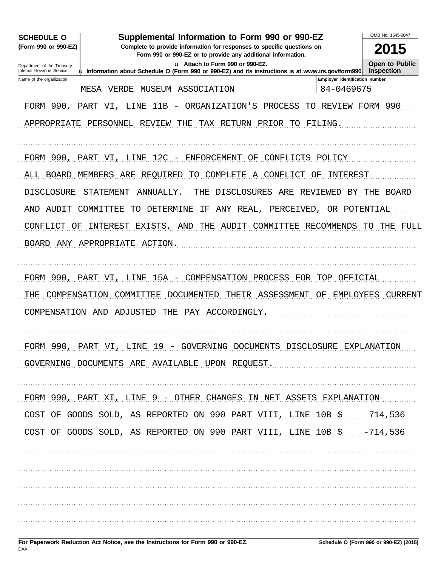| Supplemental Information to Form 990 or 990-EZ<br><b>SCHEDULE O</b><br>(Form 990 or 990-EZ)<br>Complete to provide information for responses to specific questions on |                                                                                                        |                                              |                       |  |  |  |  |  |  |
|-----------------------------------------------------------------------------------------------------------------------------------------------------------------------|--------------------------------------------------------------------------------------------------------|----------------------------------------------|-----------------------|--|--|--|--|--|--|
| Form 990 or 990-EZ or to provide any additional information.<br><b>Open to Public</b><br>u Attach to Form 990 or 990-EZ.<br>Department of the Treasury                |                                                                                                        |                                              |                       |  |  |  |  |  |  |
| Internal Revenue Service                                                                                                                                              | $\mu$ Information about Schedule O (Form 990 or 990-EZ) and its instructions is at www.irs.gov/form990 |                                              | <b>Inspection</b>     |  |  |  |  |  |  |
| Name of the organization                                                                                                                                              | MESA<br>VERDE<br>MUSEUM<br>ASSOCIATION                                                                 | Employer identification number<br>84-0469675 |                       |  |  |  |  |  |  |
|                                                                                                                                                                       |                                                                                                        |                                              |                       |  |  |  |  |  |  |
|                                                                                                                                                                       | FORM 990, PART VI, LINE<br>ORGANIZATION'S<br>11B<br>PROCESS<br>$\overline{\phantom{0}}$                | TO REVIEW FORM 990                           |                       |  |  |  |  |  |  |
|                                                                                                                                                                       | APPROPRIATE PERSONNEL REVIEW<br>THE<br>TAX RETURN PRIOR TO FILING.                                     |                                              |                       |  |  |  |  |  |  |
|                                                                                                                                                                       | FORM 990, PART VI, LINE 12C - ENFORCEMENT OF CONFLICTS POLICY                                          |                                              |                       |  |  |  |  |  |  |
|                                                                                                                                                                       | REQUIRED<br>COMPLETE<br>ALL BOARD MEMBERS ARE<br>TO<br>A CONFLICT                                      | INTEREST<br>ΟF                               |                       |  |  |  |  |  |  |
|                                                                                                                                                                       |                                                                                                        |                                              |                       |  |  |  |  |  |  |
| <b>DISCLOSURE</b>                                                                                                                                                     | <b>DISCLOSURES</b><br>STATEMENT<br>ANNUALLY.<br>ARE<br>THE                                             |                                              | REVIEWED BY THE BOARD |  |  |  |  |  |  |
| AND AUDIT COMMITTEE                                                                                                                                                   | TO DETERMINE<br>ANY REAL,<br>PERCEIVED,<br>ΙF                                                          | OR POTENTIAL                                 |                       |  |  |  |  |  |  |
| CONFLICT<br>OF                                                                                                                                                        | INTEREST EXISTS, AND THE<br>AUDIT COMMITTEE RECOMMENDS                                                 |                                              | TO THE<br>FULL        |  |  |  |  |  |  |
|                                                                                                                                                                       | BOARD ANY APPROPRIATE ACTION                                                                           |                                              |                       |  |  |  |  |  |  |
|                                                                                                                                                                       | 15A - COMPENSATION PROCESS FOR TOP OFFICIAL<br>FORM 990, PART VI, LINE                                 |                                              |                       |  |  |  |  |  |  |
| COMPENSATION<br>THE                                                                                                                                                   | THEIR ASSESSMENT OF EMPLOYEES CURRENT<br>COMMITTEE<br>DOCUMENTED                                       |                                              |                       |  |  |  |  |  |  |
|                                                                                                                                                                       | COMPENSATION AND ADJUSTED THE PAY ACCORDINGLY.                                                         |                                              |                       |  |  |  |  |  |  |
|                                                                                                                                                                       |                                                                                                        |                                              |                       |  |  |  |  |  |  |
|                                                                                                                                                                       | FORM 990, PART VI, LINE 19 - GOVERNING DOCUMENTS DISCLOSURE EXPLANATION                                |                                              |                       |  |  |  |  |  |  |
|                                                                                                                                                                       | GOVERNING DOCUMENTS ARE AVAILABLE UPON REQUEST.                                                        |                                              |                       |  |  |  |  |  |  |
|                                                                                                                                                                       | FORM 990, PART XI, LINE 9 - OTHER CHANGES IN NET ASSETS EXPLANATION                                    |                                              |                       |  |  |  |  |  |  |
|                                                                                                                                                                       | COST OF GOODS SOLD, AS REPORTED ON 990 PART VIII, LINE 10B \$ 714,536                                  |                                              |                       |  |  |  |  |  |  |
|                                                                                                                                                                       | COST OF GOODS SOLD, AS REPORTED ON 990 PART VIII, LINE 10B \$  -714, 536                               |                                              |                       |  |  |  |  |  |  |
|                                                                                                                                                                       |                                                                                                        |                                              |                       |  |  |  |  |  |  |
|                                                                                                                                                                       |                                                                                                        |                                              |                       |  |  |  |  |  |  |
|                                                                                                                                                                       |                                                                                                        |                                              |                       |  |  |  |  |  |  |
|                                                                                                                                                                       |                                                                                                        |                                              |                       |  |  |  |  |  |  |
|                                                                                                                                                                       |                                                                                                        |                                              |                       |  |  |  |  |  |  |
|                                                                                                                                                                       |                                                                                                        |                                              |                       |  |  |  |  |  |  |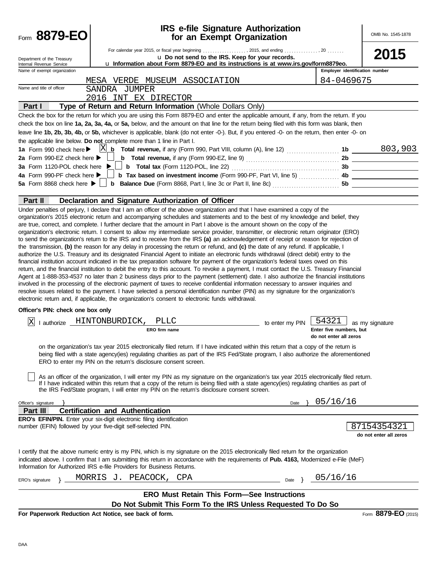| Form 8879-EO                                         | <b>IRS e-file Signature Authorization</b><br>for an Exempt Organization                                                                                                                                                                                                                                                                                                                                                                                                                                                                                                                                                                                                                                                                                                                                                                                                                                                                                                                                                                                                                                                                                                                                                                                                                                                                                                                 |                 |                                                   | OMB No. 1545-1878                     |
|------------------------------------------------------|-----------------------------------------------------------------------------------------------------------------------------------------------------------------------------------------------------------------------------------------------------------------------------------------------------------------------------------------------------------------------------------------------------------------------------------------------------------------------------------------------------------------------------------------------------------------------------------------------------------------------------------------------------------------------------------------------------------------------------------------------------------------------------------------------------------------------------------------------------------------------------------------------------------------------------------------------------------------------------------------------------------------------------------------------------------------------------------------------------------------------------------------------------------------------------------------------------------------------------------------------------------------------------------------------------------------------------------------------------------------------------------------|-----------------|---------------------------------------------------|---------------------------------------|
|                                                      | For calendar year 2015, or fiscal year beginning  , 2015, and ending  20                                                                                                                                                                                                                                                                                                                                                                                                                                                                                                                                                                                                                                                                                                                                                                                                                                                                                                                                                                                                                                                                                                                                                                                                                                                                                                                |                 |                                                   |                                       |
| Department of the Treasury                           | u Do not send to the IRS. Keep for your records.                                                                                                                                                                                                                                                                                                                                                                                                                                                                                                                                                                                                                                                                                                                                                                                                                                                                                                                                                                                                                                                                                                                                                                                                                                                                                                                                        |                 |                                                   | 2015                                  |
| Internal Revenue Service                             | u Information about Form 8879-EO and its instructions is at www.irs.gov/form8879eo.                                                                                                                                                                                                                                                                                                                                                                                                                                                                                                                                                                                                                                                                                                                                                                                                                                                                                                                                                                                                                                                                                                                                                                                                                                                                                                     |                 |                                                   |                                       |
| Name of exempt organization                          |                                                                                                                                                                                                                                                                                                                                                                                                                                                                                                                                                                                                                                                                                                                                                                                                                                                                                                                                                                                                                                                                                                                                                                                                                                                                                                                                                                                         |                 | Employer identification number                    |                                       |
| Name and title of officer                            | MESA VERDE MUSEUM ASSOCIATION                                                                                                                                                                                                                                                                                                                                                                                                                                                                                                                                                                                                                                                                                                                                                                                                                                                                                                                                                                                                                                                                                                                                                                                                                                                                                                                                                           |                 | 84-0469675                                        |                                       |
|                                                      | SANDRA JUMPER                                                                                                                                                                                                                                                                                                                                                                                                                                                                                                                                                                                                                                                                                                                                                                                                                                                                                                                                                                                                                                                                                                                                                                                                                                                                                                                                                                           |                 |                                                   |                                       |
|                                                      | 2016 INT EX DIRECTOR                                                                                                                                                                                                                                                                                                                                                                                                                                                                                                                                                                                                                                                                                                                                                                                                                                                                                                                                                                                                                                                                                                                                                                                                                                                                                                                                                                    |                 |                                                   |                                       |
| Part I                                               | Type of Return and Return Information (Whole Dollars Only)                                                                                                                                                                                                                                                                                                                                                                                                                                                                                                                                                                                                                                                                                                                                                                                                                                                                                                                                                                                                                                                                                                                                                                                                                                                                                                                              |                 |                                                   |                                       |
|                                                      | Check the box for the return for which you are using this Form 8879-EO and enter the applicable amount, if any, from the return. If you<br>check the box on line 1a, 2a, 3a, 4a, or 5a, below, and the amount on that line for the return being filed with this form was blank, then                                                                                                                                                                                                                                                                                                                                                                                                                                                                                                                                                                                                                                                                                                                                                                                                                                                                                                                                                                                                                                                                                                    |                 |                                                   |                                       |
|                                                      | leave line 1b, 2b, 3b, 4b, or 5b, whichever is applicable, blank (do not enter -0-). But, if you entered -0- on the return, then enter -0- on                                                                                                                                                                                                                                                                                                                                                                                                                                                                                                                                                                                                                                                                                                                                                                                                                                                                                                                                                                                                                                                                                                                                                                                                                                           |                 |                                                   |                                       |
|                                                      | the applicable line below. Do not complete more than 1 line in Part I.                                                                                                                                                                                                                                                                                                                                                                                                                                                                                                                                                                                                                                                                                                                                                                                                                                                                                                                                                                                                                                                                                                                                                                                                                                                                                                                  |                 |                                                   |                                       |
|                                                      |                                                                                                                                                                                                                                                                                                                                                                                                                                                                                                                                                                                                                                                                                                                                                                                                                                                                                                                                                                                                                                                                                                                                                                                                                                                                                                                                                                                         |                 |                                                   |                                       |
| 2a Form 990-EZ check here $\blacktriangleright$      |                                                                                                                                                                                                                                                                                                                                                                                                                                                                                                                                                                                                                                                                                                                                                                                                                                                                                                                                                                                                                                                                                                                                                                                                                                                                                                                                                                                         |                 |                                                   |                                       |
| 3a Form 1120-POL check here ▶                        |                                                                                                                                                                                                                                                                                                                                                                                                                                                                                                                                                                                                                                                                                                                                                                                                                                                                                                                                                                                                                                                                                                                                                                                                                                                                                                                                                                                         |                 |                                                   |                                       |
| 4a Form 990-PF check here $\blacktriangleright$      |                                                                                                                                                                                                                                                                                                                                                                                                                                                                                                                                                                                                                                                                                                                                                                                                                                                                                                                                                                                                                                                                                                                                                                                                                                                                                                                                                                                         |                 |                                                   |                                       |
| 5a Form 8868 check here $\blacktriangleright$ $\mid$ |                                                                                                                                                                                                                                                                                                                                                                                                                                                                                                                                                                                                                                                                                                                                                                                                                                                                                                                                                                                                                                                                                                                                                                                                                                                                                                                                                                                         |                 |                                                   |                                       |
|                                                      |                                                                                                                                                                                                                                                                                                                                                                                                                                                                                                                                                                                                                                                                                                                                                                                                                                                                                                                                                                                                                                                                                                                                                                                                                                                                                                                                                                                         |                 |                                                   |                                       |
| Part II                                              | Declaration and Signature Authorization of Officer                                                                                                                                                                                                                                                                                                                                                                                                                                                                                                                                                                                                                                                                                                                                                                                                                                                                                                                                                                                                                                                                                                                                                                                                                                                                                                                                      |                 |                                                   |                                       |
|                                                      | organization's electronic return. I consent to allow my intermediate service provider, transmitter, or electronic return originator (ERO)<br>to send the organization's return to the IRS and to receive from the IRS (a) an acknowledgement of receipt or reason for rejection of<br>the transmission, (b) the reason for any delay in processing the return or refund, and (c) the date of any refund. If applicable, I<br>authorize the U.S. Treasury and its designated Financial Agent to initiate an electronic funds withdrawal (direct debit) entry to the<br>financial institution account indicated in the tax preparation software for payment of the organization's federal taxes owed on this<br>return, and the financial institution to debit the entry to this account. To revoke a payment, I must contact the U.S. Treasury Financial<br>Agent at 1-888-353-4537 no later than 2 business days prior to the payment (settlement) date. I also authorize the financial institutions<br>involved in the processing of the electronic payment of taxes to receive confidential information necessary to answer inquiries and<br>resolve issues related to the payment. I have selected a personal identification number (PIN) as my signature for the organization's<br>electronic return and, if applicable, the organization's consent to electronic funds withdrawal. |                 |                                                   |                                       |
| Officer's PIN: check one box only                    |                                                                                                                                                                                                                                                                                                                                                                                                                                                                                                                                                                                                                                                                                                                                                                                                                                                                                                                                                                                                                                                                                                                                                                                                                                                                                                                                                                                         |                 |                                                   |                                       |
| X                                                    | I authorize _HINTONBURDICK, PLLC                                                                                                                                                                                                                                                                                                                                                                                                                                                                                                                                                                                                                                                                                                                                                                                                                                                                                                                                                                                                                                                                                                                                                                                                                                                                                                                                                        | to enter my PIN | 54321                                             |                                       |
|                                                      | <b>ERO</b> firm name                                                                                                                                                                                                                                                                                                                                                                                                                                                                                                                                                                                                                                                                                                                                                                                                                                                                                                                                                                                                                                                                                                                                                                                                                                                                                                                                                                    |                 | Enter five numbers, but<br>do not enter all zeros | as my signature                       |
|                                                      | on the organization's tax year 2015 electronically filed return. If I have indicated within this return that a copy of the return is<br>being filed with a state agency(ies) regulating charities as part of the IRS Fed/State program, I also authorize the aforementioned<br>ERO to enter my PIN on the return's disclosure consent screen.<br>As an officer of the organization, I will enter my PIN as my signature on the organization's tax year 2015 electronically filed return.<br>If I have indicated within this return that a copy of the return is being filed with a state agency(ies) regulating charities as part of<br>the IRS Fed/State program, I will enter my PIN on the return's disclosure consent screen.                                                                                                                                                                                                                                                                                                                                                                                                                                                                                                                                                                                                                                                       |                 |                                                   |                                       |
|                                                      |                                                                                                                                                                                                                                                                                                                                                                                                                                                                                                                                                                                                                                                                                                                                                                                                                                                                                                                                                                                                                                                                                                                                                                                                                                                                                                                                                                                         |                 |                                                   |                                       |
| Officer's signature                                  |                                                                                                                                                                                                                                                                                                                                                                                                                                                                                                                                                                                                                                                                                                                                                                                                                                                                                                                                                                                                                                                                                                                                                                                                                                                                                                                                                                                         | Date            | 05/16/16                                          |                                       |
| Part III                                             | <b>Certification and Authentication</b>                                                                                                                                                                                                                                                                                                                                                                                                                                                                                                                                                                                                                                                                                                                                                                                                                                                                                                                                                                                                                                                                                                                                                                                                                                                                                                                                                 |                 |                                                   |                                       |
|                                                      | <b>ERO's EFIN/PIN.</b> Enter your six-digit electronic filing identification<br>number (EFIN) followed by your five-digit self-selected PIN.                                                                                                                                                                                                                                                                                                                                                                                                                                                                                                                                                                                                                                                                                                                                                                                                                                                                                                                                                                                                                                                                                                                                                                                                                                            |                 |                                                   | 87154354321<br>do not enter all zeros |
|                                                      | I certify that the above numeric entry is my PIN, which is my signature on the 2015 electronically filed return for the organization<br>indicated above. I confirm that I am submitting this return in accordance with the requirements of Pub. 4163, Modernized e-File (MeF)<br>Information for Authorized IRS e-file Providers for Business Returns.                                                                                                                                                                                                                                                                                                                                                                                                                                                                                                                                                                                                                                                                                                                                                                                                                                                                                                                                                                                                                                  |                 |                                                   |                                       |
| ERO's signature                                      | MORRIS J. PEACOCK,<br>CPA                                                                                                                                                                                                                                                                                                                                                                                                                                                                                                                                                                                                                                                                                                                                                                                                                                                                                                                                                                                                                                                                                                                                                                                                                                                                                                                                                               | Date $\}$       | 05/16/16                                          |                                       |
|                                                      | <b>ERO Must Retain This Form-See Instructions</b>                                                                                                                                                                                                                                                                                                                                                                                                                                                                                                                                                                                                                                                                                                                                                                                                                                                                                                                                                                                                                                                                                                                                                                                                                                                                                                                                       |                 |                                                   |                                       |
|                                                      | Do Not Submit This Form To the IRS Unless Requested To Do So                                                                                                                                                                                                                                                                                                                                                                                                                                                                                                                                                                                                                                                                                                                                                                                                                                                                                                                                                                                                                                                                                                                                                                                                                                                                                                                            |                 |                                                   |                                       |
|                                                      | For Paperwork Reduction Act Notice, see back of form.                                                                                                                                                                                                                                                                                                                                                                                                                                                                                                                                                                                                                                                                                                                                                                                                                                                                                                                                                                                                                                                                                                                                                                                                                                                                                                                                   |                 |                                                   | Form 8879-EO (2015)                   |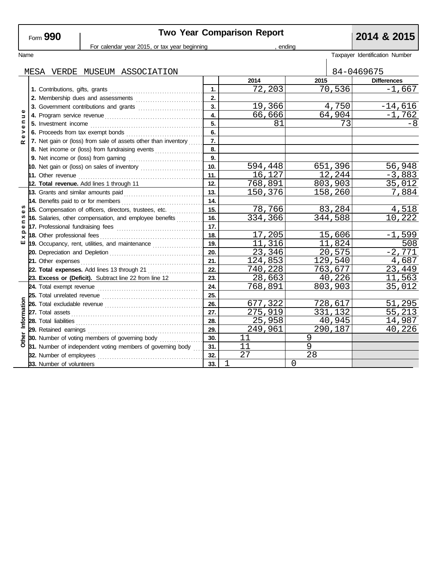# **Two Year Comparison Report 2014 & 2015**

| For calendar year 2015, or tax year beginning |                                                                                                                                                                                                                                      |     | ending  |          |                                |  |  |
|-----------------------------------------------|--------------------------------------------------------------------------------------------------------------------------------------------------------------------------------------------------------------------------------------|-----|---------|----------|--------------------------------|--|--|
| Name                                          |                                                                                                                                                                                                                                      |     |         |          | Taxpayer Identification Number |  |  |
|                                               | MESA VERDE MUSEUM ASSOCIATION                                                                                                                                                                                                        |     |         |          | 84-0469675                     |  |  |
|                                               |                                                                                                                                                                                                                                      |     | 2014    | 2015     | <b>Differences</b>             |  |  |
|                                               |                                                                                                                                                                                                                                      | 1.  | 72,203  | 70,536   | $-1,667$                       |  |  |
|                                               | 2. Membership dues and assessments                                                                                                                                                                                                   | 2.  |         |          |                                |  |  |
|                                               | 3. Government contributions and grants                                                                                                                                                                                               | 3.  | 19,366  | 4,750    | $-14,616$                      |  |  |
| Φ<br>Б                                        |                                                                                                                                                                                                                                      | 4.  | 66,666  | 64,904   | $-1,762$                       |  |  |
| $\blacksquare$<br>Φ                           |                                                                                                                                                                                                                                      | 5.  | 81      | 73       | $-8$                           |  |  |
| >                                             |                                                                                                                                                                                                                                      | 6.  |         |          |                                |  |  |
| ω<br>≃                                        | 7. Net gain or (loss) from sale of assets other than inventory                                                                                                                                                                       | 7.  |         |          |                                |  |  |
|                                               | 8. Net income or (loss) from fundraising events                                                                                                                                                                                      | 8.  |         |          |                                |  |  |
|                                               |                                                                                                                                                                                                                                      | 9.  |         |          |                                |  |  |
|                                               | 10. Net gain or (loss) on sales of inventory                                                                                                                                                                                         | 10. | 594,448 | 651,396  | 56,948                         |  |  |
|                                               | 11. Other revenue <b>constant of the constant of the constant of the constant of the constant of the constant of the constant of the constant of the constant of the constant of the constant of the constant of the constant of</b> | 11. | 16,127  | 12,244   | $-3,883$                       |  |  |
|                                               | 12. Total revenue. Add lines 1 through 11                                                                                                                                                                                            | 12. | 768,891 | 803,903  | 35,012                         |  |  |
|                                               | 13. Grants and similar amounts paid                                                                                                                                                                                                  | 13. | 150,376 | 158,260  | 7,884                          |  |  |
|                                               |                                                                                                                                                                                                                                      | 14. |         |          |                                |  |  |
| n                                             | 15. Compensation of officers, directors, trustees, etc.                                                                                                                                                                              | 15. | 78,766  | 83,284   | 4,518                          |  |  |
| ⊆                                             | 16. Salaries, other compensation, and employee benefits                                                                                                                                                                              | 16. | 334,366 | 344,588  | 10,222                         |  |  |
| Φ                                             |                                                                                                                                                                                                                                      | 17. |         |          |                                |  |  |
| $\times$                                      |                                                                                                                                                                                                                                      | 18. | 17,205  | 15,606   | $-1,599$                       |  |  |
| ш                                             | 19. Occupancy, rent, utilities, and maintenance                                                                                                                                                                                      | 19. | 11,316  | 11,824   | 508                            |  |  |
|                                               |                                                                                                                                                                                                                                      | 20. | 23,346  | 20,575   | $-2,771$                       |  |  |
|                                               | 21. Other expenses                                                                                                                                                                                                                   | 21. | 124,853 | 129,540  | 4,687                          |  |  |
|                                               | 22. Total expenses. Add lines 13 through 21                                                                                                                                                                                          | 22. | 740,228 | 763,677  | 23,449                         |  |  |
|                                               | 23. Excess or (Deficit). Subtract line 22 from line 12                                                                                                                                                                               | 23. | 28,663  | 40,226   | 11,563                         |  |  |
|                                               |                                                                                                                                                                                                                                      | 24. | 768,891 | 803,903  | 35,012                         |  |  |
|                                               |                                                                                                                                                                                                                                      | 25. |         |          |                                |  |  |
|                                               |                                                                                                                                                                                                                                      | 26. | 677,322 | 728,617  | 51,295                         |  |  |
|                                               | 27. Total assets <b>construction</b> as a construction of the construction of the construction of the construction of the construction of the construction of the construction of the construction of the construction of the const  | 27. | 275,919 | 331,132  | 55,213                         |  |  |
| Information                                   | 28. Total liabilities <b>constant in the constant of the constant in the constant in the constant in the constant in the constant in the constant in the constant in the constant in the constant in the constant in the constan</b> | 28. | 25,958  | 40,945   | 14,987                         |  |  |
|                                               | 29. Retained earnings                                                                                                                                                                                                                | 29. | 249,961 | 290,187  | 40,226                         |  |  |
| Other                                         | 30. Number of voting members of governing body                                                                                                                                                                                       | 30. | 11      | 9        |                                |  |  |
|                                               | 31. Number of independent voting members of governing body                                                                                                                                                                           | 31. | 11      | 9        |                                |  |  |
|                                               | 32. Number of employees                                                                                                                                                                                                              | 32. | 27      | 28       |                                |  |  |
|                                               | 33. Number of volunteers                                                                                                                                                                                                             | 33. | 1       | $\Omega$ |                                |  |  |